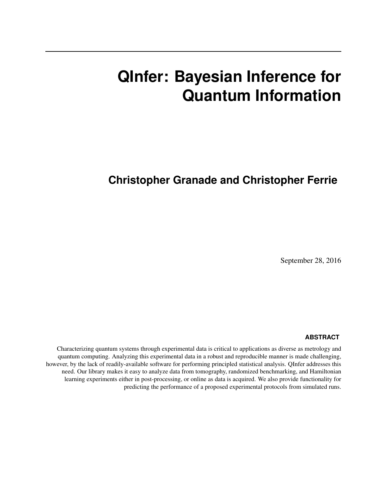# **QInfer: Bayesian Inference for Quantum Information**

## **Christopher Granade and Christopher Ferrie**

September 28, 2016

#### **ABSTRACT**

Characterizing quantum systems through experimental data is critical to applications as diverse as metrology and quantum computing. Analyzing this experimental data in a robust and reproducible manner is made challenging, however, by the lack of readily-available software for performing principled statistical analysis. QInfer addresses this need. Our library makes it easy to analyze data from tomography, randomized benchmarking, and Hamiltonian learning experiments either in post-processing, or online as data is acquired. We also provide functionality for predicting the performance of a proposed experimental protocols from simulated runs.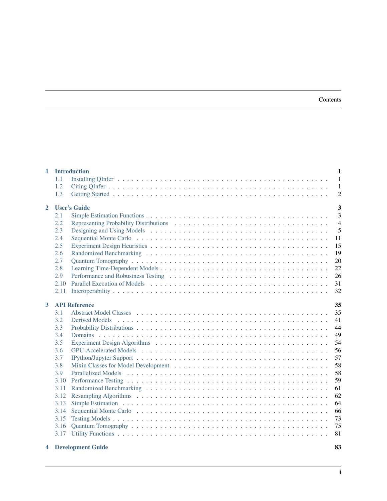| $\mathbf{1}$                        | <b>Introduction</b> |                          |                         |  |
|-------------------------------------|---------------------|--------------------------|-------------------------|--|
|                                     | 1.1                 |                          | 1                       |  |
|                                     | 1.2                 |                          | 1                       |  |
|                                     | 1.3                 |                          | $\overline{2}$          |  |
| <b>User's Guide</b><br>$\mathbf{2}$ |                     |                          | $\overline{\mathbf{3}}$ |  |
|                                     | 2.1                 |                          | $\overline{3}$          |  |
|                                     | 2.2                 |                          | $\overline{4}$          |  |
|                                     | 2.3                 |                          | 5                       |  |
|                                     | 2.4                 |                          | 11                      |  |
|                                     | 2.5                 |                          | 15                      |  |
|                                     | 2.6                 |                          | 19                      |  |
|                                     | 2.7                 |                          | 20                      |  |
|                                     | 2.8                 |                          | 22                      |  |
|                                     | 2.9                 |                          | 26                      |  |
|                                     | 2.10                |                          | 31                      |  |
|                                     | 2.11                |                          | 32                      |  |
|                                     |                     |                          |                         |  |
| 3                                   |                     | <b>API Reference</b>     | 35                      |  |
|                                     | 3.1                 |                          | 35                      |  |
|                                     | 3.2                 |                          | 41                      |  |
|                                     | 3.3                 |                          | 44                      |  |
|                                     | 3.4                 |                          | 49                      |  |
|                                     | 3.5                 |                          | 54                      |  |
|                                     | 3.6                 |                          | 56                      |  |
|                                     | 3.7                 |                          | 57                      |  |
|                                     | 3.8                 |                          | 58                      |  |
|                                     | 3.9                 |                          | 58                      |  |
|                                     | 3.10                |                          | 59                      |  |
|                                     | 3.11                |                          | 61                      |  |
|                                     | 3.12                |                          | 62                      |  |
|                                     | 3.13                |                          | 64                      |  |
|                                     | 3.14                |                          | 66                      |  |
|                                     | 3.15                |                          | 73                      |  |
|                                     | 3.16                |                          | 75                      |  |
|                                     | 3.17                |                          | 81                      |  |
| 4                                   |                     | <b>Development Guide</b> | 83                      |  |

**i**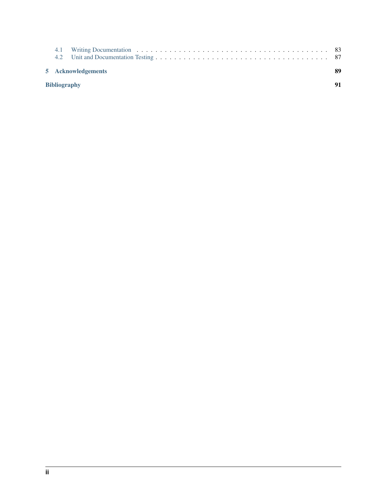| 5 Acknowledgements  |  |  |  |
|---------------------|--|--|--|
| <b>Bibliography</b> |  |  |  |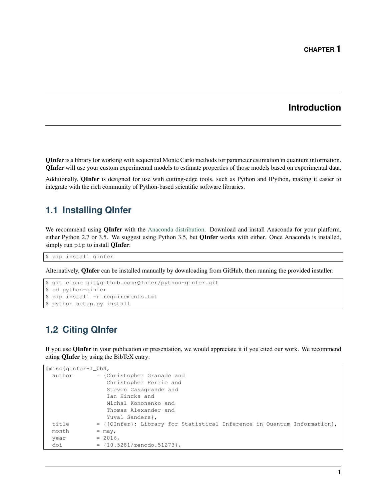### **Introduction**

<span id="page-3-0"></span>QInfer is a library for working with sequential Monte Carlo methods for parameter estimation in quantum information. QInfer will use your custom experimental models to estimate properties of those models based on experimental data.

Additionally, QInfer is designed for use with cutting-edge tools, such as Python and IPython, making it easier to integrate with the rich community of Python-based scientific software libraries.

### <span id="page-3-1"></span>**1.1 Installing QInfer**

We recommend using **QInfer** with the [Anaconda distribution.](https://www.continuum.io/downloads) Download and install Anaconda for your platform, either Python 2.7 or 3.5. We suggest using Python 3.5, but **QInfer** works with either. Once Anaconda is installed, simply run pip to install **QInfer:** 

\$ pip install qinfer

Alternatively, QInfer can be installed manually by downloading from GitHub, then running the provided installer:

```
$ git clone git@github.com:QInfer/python-qinfer.git
$ cd python-qinfer
$ pip install -r requirements.txt
$ python setup.py install
```
### <span id="page-3-2"></span>**1.2 Citing QInfer**

If you use QInfer in your publication or presentation, we would appreciate it if you cited our work. We recommend citing QInfer by using the BibTeX entry:

```
@misc{qinfer-1_0b4,
 author = {Christopher Granade and
                Christopher Ferrie and
                Steven Casagrande and
                Ian Hincks and
                Michal Kononenko and
                Thomas Alexander and
                Yuval Sanders},
 title = {\text{QInfer}}: Library for Statistical Inference in Quantum Information},
 month = may,year = 2016,doi = {10.5281/zenodo.51273},
```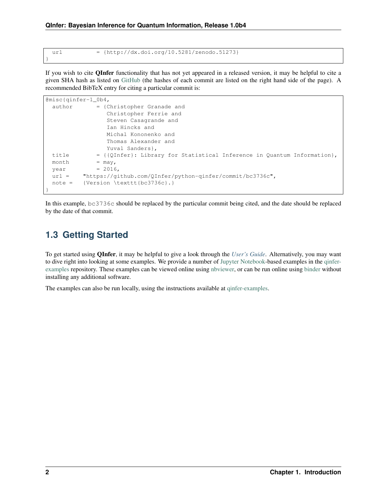}

url =  $\{http://dx.doi.org/10.5281/zenodo.51273\}$ 

If you wish to cite QInfer functionality that has not yet appeared in a released version, it may be helpful to cite a given SHA hash as listed on [GitHub](https://github.com/QInfer/python-qinfer/commits/master) (the hashes of each commit are listed on the right hand side of the page). A recommended BibTeX entry for citing a particular commit is:

```
@misc{qinfer-1_0b4,
 author = {Christopher Granade and
                Christopher Ferrie and
                Steven Casagrande and
                 Ian Hincks and
                Michal Kononenko and
                Thomas Alexander and
                Yuval Sanders},
 title = {\text{QInfer}}: Library for Statistical Inference in Quantum Information},
 month = may,
 year = 2016,url = "https://github.com/QInfer/python-qinfer/commit/bc3736c",
 note = {Version \texttt{bc3736c}.}
}
```
In this example, bc3736c should be replaced by the particular commit being cited, and the date should be replaced by the date of that commit.

### <span id="page-4-0"></span>**1.3 Getting Started**

To get started using QInfer, it may be helpful to give a look through the *[User's Guide](#page-5-0)*. Alternatively, you may want to dive right into looking at some examples. We provide a number of [Jupyter Notebook-](http://jupyter.org/)based examples in the [qinfer](https://github.com/QInfer/qinfer-examples)[examples](https://github.com/QInfer/qinfer-examples) repository. These examples can be viewed online using [nbviewer,](http://nbviewer.jupyter.org/github/qinfer/qinfer-examples/tree/master/) or can be run online using [binder](http://mybinder.org/repo/qinfer/qinfer-examples) without installing any additional software.

The examples can also be run locally, using the instructions available at [qinfer-examples.](https://github.com/QInfer/qinfer-examples)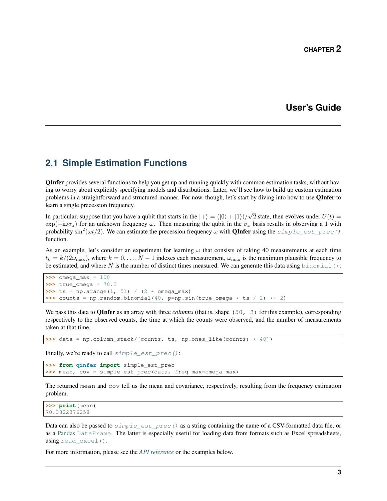### **User's Guide**

### <span id="page-5-1"></span><span id="page-5-0"></span>**2.1 Simple Estimation Functions**

QInfer provides several functions to help you get up and running quickly with common estimation tasks, without having to worry about explicitly specifying models and distributions. Later, we'll see how to build up custom estimation problems in a straightforward and structured manner. For now, though, let's start by diving into how to use QInfer to learn a single precession frequency.

In particular, suppose that you have a qubit that starts in the  $|+\rangle = (|0\rangle + |1\rangle)/$ √ 2 state, then evolves under  $U(t) =$  $\exp(-i\omega\sigma_z)$  for an unknown frequency  $\omega$ . Then measuring the qubit in the  $\sigma_x$  basis results in observing a 1 with probability  $\sin^2(\omega t/2)$ . We can estimate the precession frequency  $\omega$  with **QInfer** using the  $\sin^2(\omega t/2)$  est\_prec() function.

As an example, let's consider an experiment for learning  $\omega$  that consists of taking 40 measurements at each time  $t_k = k/(2\omega_{\text{max}})$ , where  $k = 0, \ldots, N-1$  indexes each measurement,  $\omega_{\text{max}}$  is the maximum plausible frequency to be estimated, and where N is the number of distinct times measured. We can generate this data using [binomial\(\)](https://docs.scipy.org/doc/numpy/reference/generated/numpy.random.binomial.html#numpy.random.binomial):

```
>>> omega_max = 100
>>> true_omega = 70.3
>>> ts = np.arange(1, 51) / (2 * omega_max)
\rightarrow\rightarrow\rightarrow counts = np.random.binomial(40, p=np.sin(true_omega \star ts / 2) \star\star 2)
```
We pass this data to **OInfer** as an array with three *columns* (that is, shape (50, 3) for this example), corresponding respectively to the observed counts, the time at which the counts were observed, and the number of measurements taken at that time.

```
>>> data = np.column_stack([counts, ts, np.ones_like(counts) * 40])
```
Finally, we're ready to call  $simple\_est\_prec()$ :

```
>>> from qinfer import simple_est_prec
>>> mean, cov = simple_est_prec(data, freq_max=omega_max)
```
The returned mean and cov tell us the mean and covariance, respectively, resulting from the frequency estimation problem.

```
>>> print(mean)
70.3822376258
```
Data can also be passed to  $simple\_est\_prec()$  as a string containing the name of a CSV-formatted data file, or as a [Pandas](http://pandas.pydata.org/) [DataFrame](http://pandas.pydata.org/pandas-docs/stable/generated/pandas.DataFrame.html#pandas.DataFrame). The latter is especially useful for loading data from formats such as Excel spreadsheets, using read excel().

For more information, please see the *[API reference](#page-66-0)* or the examples below.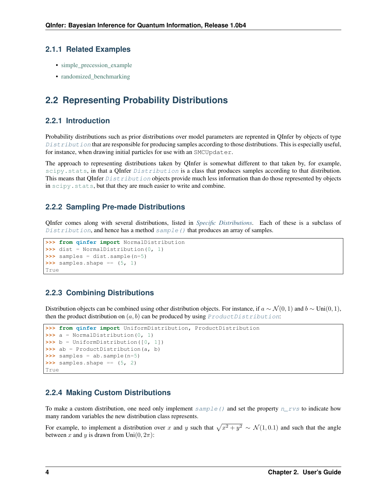### **2.1.1 Related Examples**

- simple precession example
- [randomized\\_benchmarking](https://nbviewer.jupyter.org/github/qinfer/qinfer-examples/blob/master/randomized_benchmarking.ipynb)

### <span id="page-6-0"></span>**2.2 Representing Probability Distributions**

### **2.2.1 Introduction**

Probability distributions such as prior distributions over model parameters are reprented in QInfer by objects of type  $Distri but *ion* that are responsible for producing samples according to those distributions. This is especially useful,$ for instance, when drawing initial particles for use with an SMCUpdater.

The approach to representing distributions taken by QInfer is somewhat different to that taken by, for example, [scipy.stats](https://docs.scipy.org/doc/scipy/reference/stats.html#module-scipy.stats), in that a QInfer [Distribution](#page-46-1) is a class that produces samples according to that distribution. This means that OInfer  $Distribution$  objects provide much less information than do those represented by objects in scipy. stats, but that they are much easier to write and combine.

### **2.2.2 Sampling Pre-made Distributions**

QInfer comes along with several distributions, listed in *[Specific Distributions](#page-46-2)*. Each of these is a subclass of [Distribution](#page-46-1), and hence has a method  $sample()$  that produces an array of samples.

```
>>> from qinfer import NormalDistribution
>>> dist = NormalDistribution(0, 1)
>>> samples = dist.sample(n=5)
\rightarrow\rightarrow\rightarrow samples.shape == (5, 1)True
```
### **2.2.3 Combining Distributions**

Distribution objects can be combined using other distribution objects. For instance, if  $a \sim \mathcal{N}(0, 1)$  and  $b \sim \text{Uni}(0, 1)$ , then the product distribution on  $(a, b)$  can be produced by using [ProductDistribution](#page-50-0):

```
>>> from qinfer import UniformDistribution, ProductDistribution
>>> a = NormalDistribution(0, 1)
>>> b = UniformDistribution([0, 1])
>>> ab = ProductDistribution(a, b)
>>> samples = ab.sample(n=5)
>>> samples.shape == (5, 2)
True
```
### **2.2.4 Making Custom Distributions**

To make a custom distribution, one need only implement  $sample()$  and set the property  $n\_rvs$  to indicate how many random variables the new distribution class represents.

For example, to implement a distribution over x and y such that  $\sqrt{x^2 + y^2} \sim \mathcal{N}(1, 0.1)$  and such that the angle between x and y is drawn from Uni $(0, 2\pi)$ :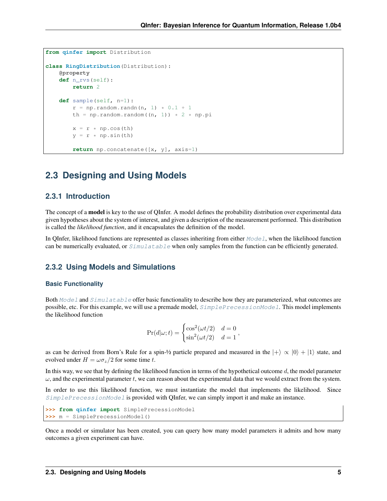```
from qinfer import Distribution
class RingDistribution(Distribution):
    @property
    def n_rvs(self):
        return 2
    def sample(self, n=1):
        r = np.random.random(n, 1) * 0.1 + 1th = np.random.random((n, 1)) * 2 * np.pi
        x = r * np \cdot cos(th)y = r * np \cdot sin(th)return np.concatenate([x, y], axis=1)
```
### <span id="page-7-0"></span>**2.3 Designing and Using Models**

#### **2.3.1 Introduction**

The concept of a **model** is key to the use of QInfer. A model defines the probability distribution over experimental data given hypotheses about the system of interest, and given a description of the measurement performed. This distribution is called the *likelihood function*, and it encapsulates the definition of the model.

In QInfer, likelihood functions are represented as classes inheriting from either  $Model$ , when the likelihood function can be numerically evaluated, or  $Simulated$  at able when only samples from the function can be efficiently generated.

#### **2.3.2 Using Models and Simulations**

#### **Basic Functionality**

Both [Model](#page-40-0) and [Simulatable](#page-37-2) offer basic functionality to describe how they are parameterized, what outcomes are possible, etc. For this example, we will use a premade model,  $SimplePrecessionModel$ . This model implements the likelihood function

$$
Pr(d|\omega; t) = \begin{cases} \cos^2(\omega t/2) & d = 0\\ \sin^2(\omega t/2) & d = 1 \end{cases},
$$

as can be derived from Born's Rule for a spin-½ particle prepared and measured in the  $|+\rangle \propto |0\rangle + |1\rangle$  state, and evolved under  $H = \omega \sigma_z/2$  for some time t.

In this way, we see that by defining the likelihood function in terms of the hypothetical outcome  $d$ , the model parameter  $\omega$ , and the experimental parameter t, we can reason about the experimental data that we would extract from the system.

In order to use this likelihood function, we must instantiate the model that implements the likelihood. Since  $SimplePrecession Model$  is provided with OInfer, we can simply import it and make an instance.

```
>>> from qinfer import SimplePrecessionModel
>>> m = SimplePrecessionModel()
```
Once a model or simulator has been created, you can query how many model parameters it admits and how many outcomes a given experiment can have.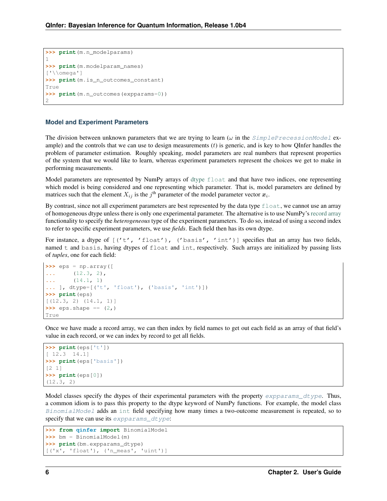```
>>> print(m.n_modelparams)
1
>>> print(m.modelparam_names)
['\backslash\omega]>>> print(m.is_n_outcomes_constant)
True
>>> print(m.n_outcomes(expparams=0))
\mathcal{D}
```
#### **Model and Experiment Parameters**

The division between unknown parameters that we are trying to learn  $(\omega)$  in the [SimplePrecessionModel](#page-75-1) example) and the controls that we can use to design measurements  $(t)$  is generic, and is key to how QInfer handles the problem of parameter estimation. Roughly speaking, model parameters are real numbers that represent properties of the system that we would like to learn, whereas experiment parameters represent the choices we get to make in performing measurements.

Model parameters are represented by NumPy arrays of [dtype](http://docs.scipy.org/doc/numpy/user/basics.types.html) [float](https://docs.python.org/3/library/functions.html#float) and that have two indices, one representing which model is being considered and one representing which parameter. That is, model parameters are defined by matrices such that the element  $X_{ij}$  is the  $j^{\text{th}}$  parameter of the model parameter vector  $\boldsymbol{x}_i$ .

By contrast, since not all experiment parameters are best represented by the data type  $\text{float}$  $\text{float}$  $\text{float}$ , we cannot use an array of homogeneous dtype unless there is only one experimental parameter. The alternative is to use NumPy's [record array](http://docs.scipy.org/doc/numpy/user/basics.rec.html) functionality to specify the *heterogeneous* type of the experiment parameters. To do so, instead of using a second index to refer to specific experiment parameters, we use *fields*. Each field then has its own dtype.

For instance, a dtype of  $[(t't', 'float'), ('basis', 'int')]$  specifies that an array has two fields, named t and basis, having dtypes of float and int, respectively. Such arrays are initialized by passing lists of *tuples*, one for each field:

```
>>> eps = np.array([
... (12.3, 2),
... (14.1, 1)
... ], dtype=[('t', 'float'), ('basis', 'int')])
>>> print(eps)
[(12.3, 2) (14.1, 1)]
\Rightarrow >>> eps.shape == (2, )True
```
Once we have made a record array, we can then index by field names to get out each field as an array of that field's value in each record, or we can index by record to get all fields.

```
>>> print(eps['t'])
[ 12.3 14.1]
>>> print(eps['basis'])
[2 1]
>>> print(eps[0])
(12.3, 2)
```
Model classes specify the dtypes of their experimental parameters with the property  $\exp\left(\frac{\partial f}{\partial x}\right)$  and  $\exp\left(\frac{\partial f}{\partial y}\right)$ . a common idiom is to pass this property to the dtype keyword of NumPy functions. For example, the model class [BinomialModel](#page-43-1) adds an [int](https://docs.python.org/3/library/functions.html#int) field specifying how many times a two-outcome measurement is repeated, so to specify that we can use its expparams dtype:

```
>>> from qinfer import BinomialModel
>>> bm = BinomialModel(m)
>>> print(bm.expparams_dtype)
[('x', 'float'), ('n_meas', 'uint')]
```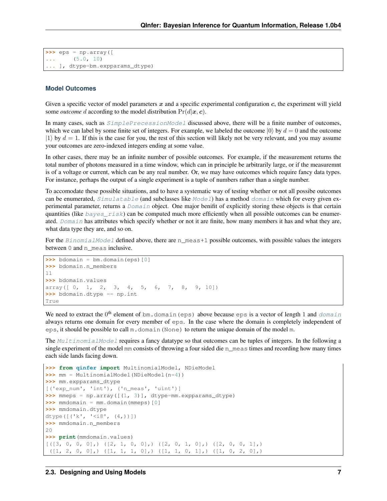```
>>> eps = np.array([
         ... (5.0, 10)
    ... ], dtype=bm.expparams_dtype)
```
#### **Model Outcomes**

Given a specific vector of model parameters  $x$  and a specific experimental configuration  $c$ , the experiment will yield some *outcome* d according to the model distribution  $Pr(d|\boldsymbol{x}, \boldsymbol{c})$ .

In many cases, such as  $SimplePrecessionModel$  discussed above, there will be a finite number of outcomes, which we can label by some finite set of integers. For example, we labeled the outcome  $|0\rangle$  by  $d = 0$  and the outcome  $|1\rangle$  by  $d=1$ . If this is the case for you, the rest of this section will likely not be very relevant, and you may assume your outcomes are zero-indexed integers ending at some value.

In other cases, there may be an infinite number of possible outcomes. For example, if the measurement returns the total number of photons measured in a time window, which can in principle be arbitrarily large, or if the measuremnt is of a voltage or current, which can be any real number. Or, we may have outcomes which require fancy data types. For instance, perhaps the output of a single experiment is a tuple of numbers rather than a single number.

To accomodate these possible situations, and to have a systematic way of testing whether or not all possibe outcomes can be enumerated,  $Simulatedable$  (and subclasses like  $Model$ ) has a method  $domain$  which for every given experimental parameter, returns a [Domain](#page-52-0) object. One major benifit of explicitly storing these objects is that certain quantities (like  $bayes\_risk$ ) can be computed much more efficiently when all possible outcomes can be enumer-ated. [Domain](#page-52-0) has attributes which specify whether or not it are finite, how many members it has and what they are, what data type they are, and so on.

For the [BinomialModel](#page-43-1) defined above, there are n\_meas+1 possible outcomes, with possible values the integers between 0 and n\_meas inclusive.

```
>>> bdomain = bm.domain(eps)[0]
>>> bdomain.n_members
11
>>> bdomain.values
array([ 0, 1, 2, 3, 4, 5, 6, 7, 8, 9, 10])>>> bdomain.dtype == np.int
True
```
We need to extract the  $0^{\text{th}}$  element of bm.[domain](#page-38-0)(eps) above because eps is a vector of length 1 and domain always returns one domain for every member of eps. In the case where the domain is completely independent of eps, it should be possible to call  $m$ . domain (None) to return the unique domain of the model m.

The [MultinomialModel](#page-44-0) requires a fancy datatype so that outcomes can be tuples of integers. In the following a single experiment of the model mm consists of throwing a four sided die  $n$  meas times and recording how many times each side lands facing down.

```
>>> from qinfer import MultinomialModel, NDieModel
>>> mm = MultinomialModel(NDieModel(n=4))
>>> mm.expparams_dtype
[('exp_num', 'int'), ('n_meas', 'uint')]
>>> mmeps = np.array([(1, 3)], dtype=mm.expparams_dtype)
>>> mmdomain = mm.domain(mmeps)[0]
>>> mmdomain.dtype
dtype([('k', '<i8', (4,))])
>>> mmdomain.n_members
20>>> print(mmdomain.values)
[(13, 0, 0, 0],) (12, 1, 0, 0],) (12, 0, 1, 0],) (12, 0, 0, 1],)([1, 2, 0, 0],) ([1, 1, 1, 0],) ([1, 1, 0, 1],) ([1, 0, 2, 0],)
```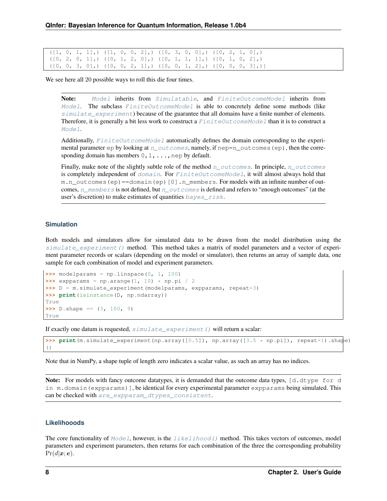$([1, 0, 1, 1],)$   $([1, 0, 0, 2],)$   $([0, 3, 0, 0],)$   $([0, 2, 1, 0],)$  $([0, 2, 0, 1],)$   $([0, 1, 2, 0],)$   $([0, 1, 1, 1],)$   $([0, 1, 0, 2],)$  $([0, 0, 3, 0],)$   $([0, 0, 2, 1],)$   $([0, 0, 1, 2],)$   $([0, 0, 0, 3],)$ ]

We see here all 20 possible ways to roll this die four times.

Note: [Model](#page-40-0) inherits from [Simulatable](#page-37-2), and [FiniteOutcomeModel](#page-41-0) inherits from [Model](#page-40-0). The subclass [FiniteOutcomeModel](#page-41-0) is able to concretely define some methods (like [simulate\\_experiment](#page-39-0)) because of the guarantee that all domains have a finite number of elements. Therefore, it is generally a bit less work to construct a  $FiniteOutcomeModel$  than it is to construct a [Model](#page-40-0).

Additionally,  $FiniteOutcom$ e $Med$  automatically defines the domain corresponding to the experimental parameter  $ep$  by looking at  $n\_outcomes$ , namely, if  $nep=n\_outcomes$  (ep), then the corresponding domain has members  $0, 1, \ldots$ , nep by default.

Finally, make note of the slightly subtle role of the method [n\\_outcomes](#page-38-1). In principle, n\_outcomes is completely independent of [domain](#page-38-0). For [FiniteOutcomeModel](#page-41-0), it will almost always hold that m.n\_outcomes(ep)==domain(ep)[0].n\_members. For models with an infinite number of outcomes, [n\\_members](#page-52-1) is not defined, but [n\\_outcomes](#page-38-1) is defined and refers to "enough outcomes" (at the user's discretion) to make estimates of quantities  $bayes\_risk$ .

#### **Simulation**

Both models and simulators allow for simulated data to be drawn from the model distribution using the [simulate\\_experiment\(\)](#page-39-0) method. This method takes a matrix of model parameters and a vector of experiment parameter records or scalars (depending on the model or simulator), then returns an array of sample data, one sample for each combination of model and experiment parameters.

```
\rightarrow\rightarrow\rightarrow modelparams = np.linspace(0, 1, 100)
>>> expparams = np.arange(1, 10) * np.pi / 2
>>> D = m.simulate_experiment(modelparams, expparams, repeat=3)
>>> print(isinstance(D, np.ndarray))
True
\Rightarrow D.shape == (3, 100, 9)True
```
If exactly one datum is requested,  $simulate\_experiment$  () will return a scalar:

```
>>> print(m.simulate_experiment(np.array([0.5]), np.array([3.5 * np.pi]), repeat=1).shape)
()
```
Note that in NumPy, a shape tuple of length zero indicates a scalar value, as such an array has no indices.

Note: For models with fancy outcome datatypes, it is demanded that the outcome data types, [d.dtype for d in  $m$ . domain (expparams)], be identical for every experimental parameter expparams being simulated. This can be checked with [are\\_expparam\\_dtypes\\_consistent](#page-38-2).

#### **Likelihooods**

The core functionality of  $Model$ , however, is the *[likelihood\(\)](#page-40-1)* method. This takes vectors of outcomes, model parameters and experiment parameters, then returns for each combination of the three the corresponding probability  $Pr(d|\boldsymbol{x}; \boldsymbol{e}).$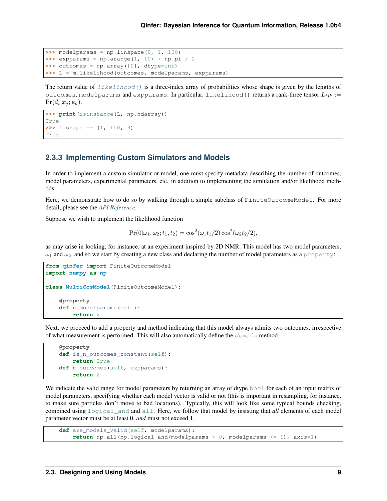```
>>> modelparams = np.linspace(0, 1, 100)
\rightarrow\rightarrow\rightarrow expparams = np.arange(1, 10) * np.pi / 2
>>> outcomes = np.array([0], dtype=int)
>>> L = m.likelihood(outcomes, modelparams, expparams)
```
The return value of  $likelihood()$  is a three-index array of probabilities whose shape is given by the lengths of outcomes, modelparams and expparams. In particular, likelihood() returns a rank-three tensor  $L_{ijk}$  :=  $Pr(d_i | \boldsymbol{x}_j; \boldsymbol{e}_k).$ 

```
>>> print(isinstance(L, np.ndarray))
True
\Rightarrow L.shape == (1, 100, 9)True
```
#### **2.3.3 Implementing Custom Simulators and Models**

In order to implement a custom simulator or model, one must specify metadata describing the number of outcomes, model parameters, experimental parameters, etc. in addition to implementing the simulation and/or likelihood methods.

Here, we demonstrate how to do so by walking through a simple subclass of FiniteOutcomeModel. For more detail, please see the *[API Reference](#page-37-0)*.

Suppose we wish to implement the likelihood function

$$
Pr(0|\omega_1, \omega_2; t_1, t_2) = \cos^2(\omega_1 t_1/2) \cos^2(\omega_2 t_2/2),
$$

as may arise in looking, for instance, at an experiment inspired by 2D NMR. This model has two model parameters,  $\omega_1$  and  $\omega_2$ , and so we start by creating a new class and declaring the number of model parameters as a [property](https://docs.python.org/3/library/functions.html#property):

```
from qinfer import FiniteOutcomeModel
import numpy as np
class MultiCosModel(FiniteOutcomeModel):
    @property
    def n_modelparams(self):
        return 2
```
Next, we proceed to add a property and method indicating that this model always admits two outcomes, irrespective of what measurement is performed. This will also automatically define the  $\gamma$  method.

```
@property
def is_n_outcomes_constant(self):
    return True
def n_outcomes(self, expparams):
    return 2
```
We indicate the valid range for model parameters by returning an array of dtype  $b \circ b \circ b$  for each of an input matrix of model parameters, specifying whether each model vector is valid or not (this is important in resampling, for instance, to make sure particles don't move to bad locations). Typically, this will look like some typical bounds checking, combined using [logical\\_and](https://docs.scipy.org/doc/numpy/reference/generated/numpy.logical_and.html#numpy.logical_and) and [all](https://docs.scipy.org/doc/numpy/reference/generated/numpy.all.html#numpy.all). Here, we follow that model by insisting that *all* elements of each model parameter vector must be at least 0, *and* must not exceed 1.

```
def are_models_valid(self, modelparams):
    return np.all(np.logical_and(modelparams > 0, modelparams <= 1), axis=1)
```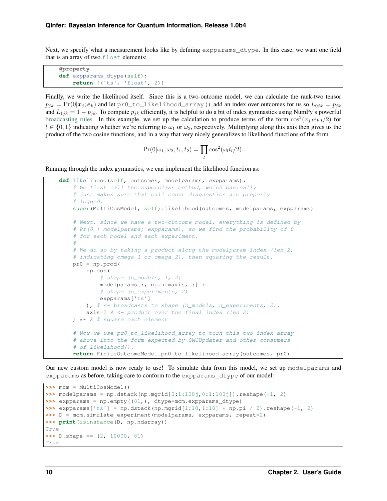Next, we specify what a measurement looks like by defining expparams dtype. In this case, we want one field that is an array of two  $f$ loat elements:

```
@property
def expparams_dtype(self):
    return [('ts', 'float', 2)]
```
Finally, we write the likelihood itself. Since this is a two-outcome model, we can calculate the rank-two tensor  $p_{jk} = \Pr(0|\bm{x}_j;\bm{e}_k)$  and let pr0\_to\_likelihood\_array() add an index over outcomes for us so  $L_{0jk} = p_{jk}$ and  $L_{1ik} = 1 - p_{ik}$ . To compute  $p_{ik}$  efficiently, it is helpful to do a bit of index gymnastics using NumPy's powerful [broadcasting rules.](http://docs.scipy.org/doc/numpy/user/basics.broadcasting.html) In this example, we set up the calculation to produce terms of the form  $\cos^2(x_{j,l}e_{k,l}/2)$  for  $l \in \{0, 1\}$  indicating whether we're referring to  $\omega_1$  or  $\omega_2$ , respectively. Multiplying along this axis then gives us the product of the two cosine functions, and in a way that very nicely generalizes to likelihood functions of the form

$$
Pr(0|\omega_1, \omega_2; t_1, t_2) = \prod_l \cos^2(\omega_l t_l/2).
$$

Running through the index gymnastics, we can implement the likelihood function as:

```
def likelihood(self, outcomes, modelparams, expparams):
    # We first call the superclass method, which basically
    # just makes sure that call count diagnostics are properly
    # logged.
    super(MultiCosModel, self).likelihood(outcomes, modelparams, expparams)
    # Next, since we have a two-outcome model, everything is defined by
    # Pr(0 | modelparams; expparams), so we find the probability of 0
    # for each model and each experiment.
    #
    # We do so by taking a product along the modelparam index (len 2,
    # indicating omega_1 or omega_2), then squaring the result.
    pr0 = np.prod(
       np.cos(
            # shape (n_models, 1, 2)
            modelparams[:, np.newaxis, :] *
            # shape (n_experiments, 2)
            expparams['ts']
        ), # \leq broadcasts to shape (n_models, n_experiments, 2).
        axis=2 # \leftarrow \text{product over the final index (len 2)}) ** 2 # square each element
    # Now we use pr0_to_likelihood_array to turn this two index array
    # above into the form expected by SMCUpdater and other consumers
    # of likelihood().
    return FiniteOutcomeModel.pr0_to_likelihood_array(outcomes, pr0)
```
Our new custom model is now ready to use! To simulate data from this model, we set up modelparams and expparams as before, taking care to conform to the expparams\_dtype of our model:

```
>>> mcm = MultiCosModel()
\rightarrow \rightarrow modelparams = np.dstack(np.mgrid[0:1:100j,0:1:100j]).reshape(-1, 2)
>>> expparams = np.empty((81,), dtype=mcm.expparams_dtype)
>>> expparams['ts'] = np.dstack(np.mgrid[1:10,1:10] * np.pi / 2).reshape(-1, 2)
>>> D = mcm.simulate_experiment(modelparams, expparams, repeat=2)
>>> print(isinstance(D, np.ndarray))
True
\Rightarrow D.shape == (2, 10000, 81)True
```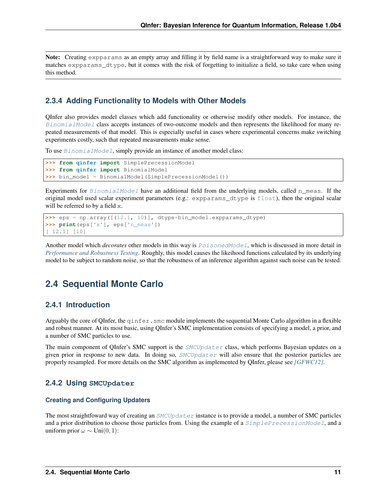Note: Creating expparams as an empty array and filling it by field name is a straightforward way to make sure it matches expparams dtype, but it comes with the risk of forgetting to initialize a field, so take care when using this method.

### <span id="page-13-1"></span>**2.3.4 Adding Functionality to Models with Other Models**

QInfer also provides model classes which add functionality or otherwise modify other models. For instance, the [BinomialModel](#page-43-1) class accepts instances of two-outcome models and then represents the likelihood for many repeated measurements of that model. This is especially useful in cases where experimental concerns make switching experiments costly, such that repeated measurements make sense.

To use [BinomialModel](#page-43-1), simply provide an instance of another model class:

```
>>> from qinfer import SimplePrecessionModel
>>> from qinfer import BinomialModel
>>> bin_model = BinomialModel(SimplePrecessionModel())
```
Experiments for [BinomialModel](#page-43-1) have an additional field from the underlying models, called n\_meas. If the original model used scalar experiment parameters (e.g.: expparams\_dtype is [float](https://docs.python.org/3/library/functions.html#float)), then the original scalar will be referred to by a field x.

```
>>> eps = np.array([(12.1, 10)], dtype=bin_model.expparams_dtype)
>>> print(eps['x'], eps['n_meas'])
[ 12.1] [10]
```
Another model which *decorates* other models in this way is [PoisonedModel](#page-43-2), which is discussed in more detail in *[Performance and Robustness Testing](#page-28-0)*. Roughly, this model causes the likeihood functions calculated by its underlying model to be subject to random noise, so that the robustness of an inference algorithm against such noise can be tested.

### <span id="page-13-0"></span>**2.4 Sequential Monte Carlo**

#### **2.4.1 Introduction**

Arguably the core of QInfer, the  $q$ infer. smc module implements the sequential Monte Carlo algorithm in a flexible and robust manner. At its most basic, using QInfer's SMC implementation consists of specifying a model, a prior, and a number of SMC particles to use.

The main component of QInfer's SMC support is the *[SMCUpdater](#page-68-1)* class, which performs Bayesian updates on a given prior in response to new data. In doing so,  $SMCUpdater$  will also ensure that the posterior particles are properly resampled. For more details on the SMC algorithm as implemented by QInfer, please see *[\[GFWC12\]](#page-93-1)*.

#### **2.4.2 Using SMCUpdater**

#### **Creating and Configuring Updaters**

The most straightfoward way of creating an  $SMCUpdate$  instance is to provide a model, a number of SMC particles and a prior distribution to choose those particles from. Using the example of a *[SimplePrecessionModel](#page-75-1)*, and a uniform prior  $\omega \sim \text{Uni}(0, 1)$ :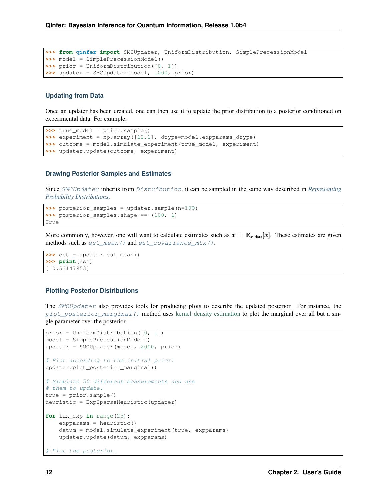```
>>> from qinfer import SMCUpdater, UniformDistribution, SimplePrecessionModel
>>> model = SimplePrecessionModel()
>>> prior = UniformDistribution([0, 1])
>>> updater = SMCUpdater(model, 1000, prior)
```
#### **Updating from Data**

Once an updater has been created, one can then use it to update the prior distribution to a posterior conditioned on experimental data. For example,

```
>>> true_model = prior.sample()
>>> experiment = np.array([12.1], dtype=model.expparams_dtype)
>>> outcome = model.simulate_experiment(true_model, experiment)
>>> updater.update(outcome, experiment)
```
#### **Drawing Posterior Samples and Estimates**

Since [SMCUpdater](#page-68-1) inherits from [Distribution](#page-46-1), it can be sampled in the same way described in *[Representing](#page-6-0) [Probability Distributions](#page-6-0)*.

```
>>> posterior_samples = updater.sample(n=100)
>>> posterior_samples.shape == (100, 1)
True
```
More commonly, however, one will want to calculate estimates such as  $\hat{x} = \mathbb{E}_{x|\text{data}}[x]$ . These estimates are given methods such as [est\\_mean\(\)](#page-70-0) and [est\\_covariance\\_mtx\(\)](#page-71-1).

```
>>> est = updater.est_mean()
>>> print(est)
[ 0.53147953]
```
#### **Plotting Posterior Distributions**

The [SMCUpdater](#page-68-1) also provides tools for producing plots to describe the updated posterior. For instance, the  $p$ lot\_posterior\_marginal() method uses [kernel density estimation](https://en.wikipedia.org/wiki/Kernel_density_estimation) to plot the marginal over all but a single parameter over the posterior.

```
prior = UniformDistribution([0, 1])
model = SimplePrecessionModel()
updater = SMCUpdater(model, 2000, prior)
# Plot according to the initial prior.
updater.plot_posterior_marginal()
# Simulate 50 different measurements and use
# them to update.
true = prior.sample()
heuristic = ExpSparseHeuristic(updater)
for idx_exp in range(25):
   expparams = heuristic()
    datum = model.simulate_experiment(true, expparams)
    updater.update(datum, expparams)
# Plot the posterior.
```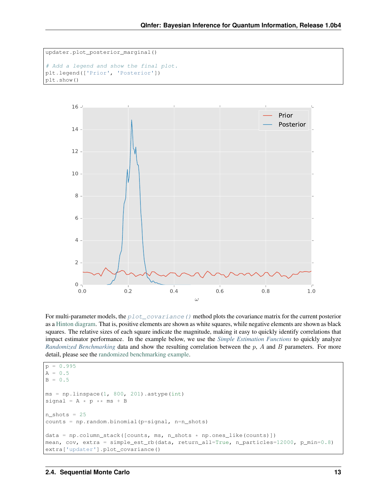```
updater.plot_posterior_marginal()
# Add a legend and show the final plot.
plt.legend(['Prior', 'Posterior'])
plt.show()
```


For multi-parameter models, the [plot\\_covariance\(\)](#page-74-1) method plots the covariance matrix for the current posterior as a [Hinton diagram.](http://tonysyu.github.io/mpltools/auto_examples/special/plot_hinton.html) That is, positive elements are shown as white squares, while negative elements are shown as black squares. The relative sizes of each square indicate the magnitude, making it easy to quickly identify correlations that impact estimator performance. In the example below, we use the *[Simple Estimation Functions](#page-5-1)* to quickly analyze *[Randomized Benchmarking](#page-21-0)* data and show the resulting correlation between the p, A and B parameters. For more detail, please see the [randomized benchmarking example.](http://nbviewer.jupyter.org/github/qinfer/qinfer-examples/blob/master/randomized_benchmarking.ipynb)

```
p = 0.995A = 0.5B = 0.5ms = npu.linspace(1, 800, 201).astype(int)
signal = A * p * m s + Bn\_shots = 25counts = np.random.binomial(p=signal, n=n_shots)
data = np.colum_stack([counts, ms, n\_shots * np.ones_like(counts)])mean, cov, extra = simple_est_rb(data, return_all=True, n_particles=12000, p_min=0.8)
extra['updater'].plot_covariance()
```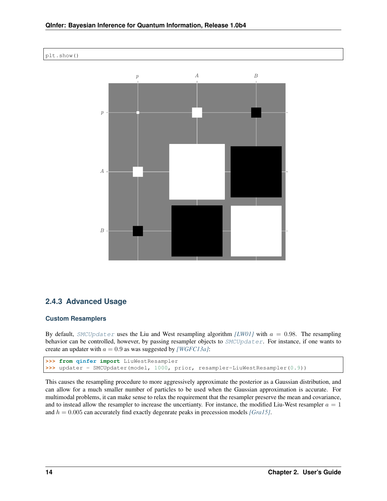



### **2.4.3 Advanced Usage**

#### **Custom Resamplers**

By default, [SMCUpdater](#page-68-1) uses the Liu and West resampling algorithm  $|LW01|$  with  $a = 0.98$ . The resampling behavior can be controlled, however, by passing resampler objects to  $SMCUpdater$ . For instance, if one wants to create an updater with  $a = 0.9$  as was suggested by *[\[WGFC13a\]](#page-94-0)*:

```
>>> from qinfer import LiuWestResampler
>>> updater = SMCUpdater(model, 1000, prior, resampler=LiuWestResampler(0.9))
```
This causes the resampling procedure to more aggressively approximate the posterior as a Gaussian distribution, and can allow for a much smaller number of particles to be used when the Gaussian approximation is accurate. For multimodal problems, it can make sense to relax the requirement that the resampler preserve the mean and covariance, and to instead allow the resampler to increase the uncertianty. For instance, the modified Liu-West resampler  $a = 1$ and  $h = 0.005$  can accurately find exactly degenrate peaks in precession models *[\[Gra15\]](#page-93-3)*.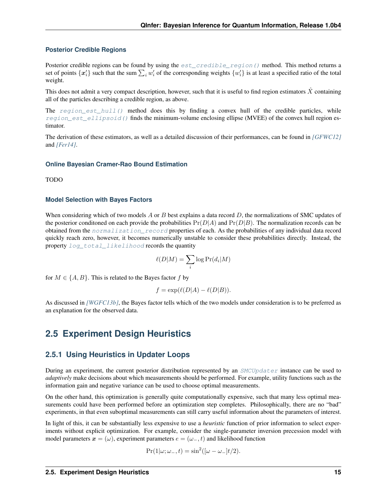#### **Posterior Credible Regions**

Posterior credible regions can be found by using the  $est\_creditble\_region()$  method. This method returns a set of points  $\{x'_i\}$  such that the sum  $\sum_i w'_i$  of the corresponding weights  $\{w'_i\}$  is at least a specified ratio of the total weight.

This does not admit a very compact description, however, such that it is useful to find region estimators  $X$  containing all of the particles describing a credible region, as above.

The region est hull() method does this by finding a convex hull of the credible particles, while [region\\_est\\_ellipsoid\(\)](#page-72-1) finds the minimum-volume enclosing ellipse (MVEE) of the convex hull region estimator.

The derivation of these estimators, as well as a detailed discussion of their performances, can be found in *[\[GFWC12\]](#page-93-1)* and *[\[Fer14\]](#page-93-4)*.

#### **Online Bayesian Cramer-Rao Bound Estimation**

TODO

#### **Model Selection with Bayes Factors**

When considering which of two models  $A$  or  $B$  best explains a data record  $D$ , the normalizations of SMC updates of the posterior conditioned on each provide the probabilities  $Pr(D|A)$  and  $Pr(D|B)$ . The normalization records can be obtained from the normalization record properties of each. As the probabilities of any individual data record quickly reach zero, however, it becomes numerically unstable to consider these probabilities directly. Instead, the property log total likelihood records the quantity

$$
\ell(D|M) = \sum_{i} \log \Pr(d_i|M)
$$

for  $M \in \{A, B\}$ . This is related to the Bayes factor f by

$$
f = \exp(\ell(D|A) - \ell(D|B)).
$$

As discussed in *[\[WGFC13b\]](#page-94-1)*, the Bayes factor tells which of the two models under consideration is to be preferred as an explanation for the observed data.

### <span id="page-17-0"></span>**2.5 Experiment Design Heuristics**

#### **2.5.1 Using Heuristics in Updater Loops**

During an experiment, the current posterior distribution represented by an [SMCUpdater](#page-68-1) instance can be used to *adaptively* make decisions about which measurements should be performed. For example, utility functions such as the information gain and negative variance can be used to choose optimal measurements.

On the other hand, this optimization is generally quite computationally expensive, such that many less optimal measurements could have been performed before an optimization step completes. Philosophically, there are no "bad" experiments, in that even suboptimal measurements can still carry useful information about the parameters of interest.

In light of this, it can be substantially less expensive to use a *heuristic* function of prior information to select experiments without explicit optimization. For example, consider the single-parameter inversion precession model with model parameters  $x = (\omega)$ , experiment parameters  $e = (\omega_-, t)$  and likelihood function

$$
Pr(1|\omega; \omega_-, t) = \sin^2([\omega - \omega_-]t/2).
$$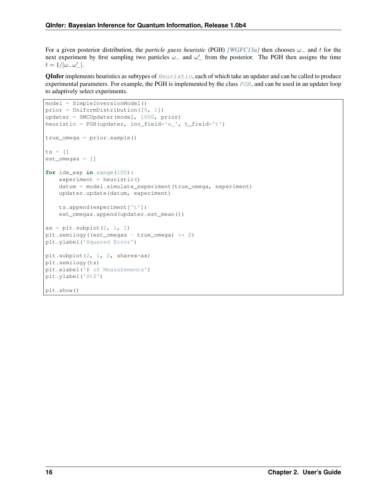For a given posterior distribution, the *particle guess heuristic* (PGH) *[\[WGFC13a\]](#page-94-0)* then chooses  $\omega_{-}$  and t for the next experiment by first sampling two particles  $\omega_-$  and  $\omega'_-$  from the posterior. The PGH then assigns the time  $t = 1/|\omega_-\omega'_-|.$ 

**QInfer** implements heuristics as subtypes of  $Heuristic$ , each of which take an updater and can be called to produce experimental parameters. For example, the [PGH](#page-58-1) is implemented by the class PGH, and can be used in an updater loop to adaptively select experiments.

```
model = SimpleInversionModel()
prior = UniformDistribution([0, 1])
updater = SMCUpdater(model, 1000, prior)
heuristic = PGH(updater, inv_field='w_', t_field='t')
true_omega = prior.sample()
ts = []est_omegas = []
for idx_exp in range(100):
   experiment = heuristic()datum = model.simulate_experiment(true_omega, experiment)
    updater.update(datum, experiment)
    ts.append(experiment['t'])
   est_omegas.append(updater.est_mean())
ax = plt.subplot(2, 1, 1)plt.semilogy((est_omegas - true_omega) ** 2)
plt.ylabel('Squared Error')
plt.subplot(2, 1, 2, sharex=ax)
plt.semilogy(ts)
plt.xlabel('# of Measurements')
plt.ylabel('$t$')
plt.show()
```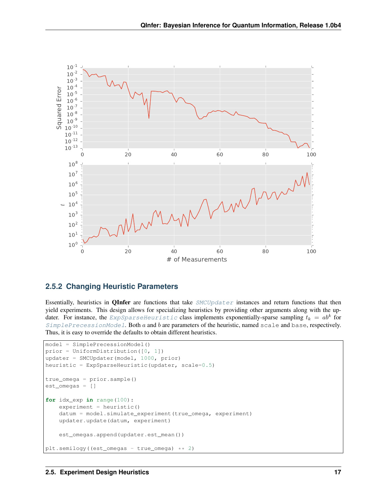

### **2.5.2 Changing Heuristic Parameters**

Essentially, heuristics in **QInfer** are functions that take  $SMCUpdater$  instances and return functions that then yield experiments. This design allows for specializing heuristics by providing other arguments along with the updater. For instance, the  $\emph{ExpSparseHeuristic}$  $\emph{ExpSparseHeuristic}$  $\emph{ExpSparseHeuristic}$  class implements exponentially-sparse sampling  $t_k\,=\,ab^k$  for  $SimplePrecessionModel$ . Both  $a$  and  $b$  are parameters of the heuristic, named scale and base, respectively. Thus, it is easy to override the defaults to obtain different heuristics.

```
model = SimplePrecessionModel()
prior = UniformDistribution([0, 1])
updater = SMCUpdater(model, 1000, prior)
heuristic = ExpSparseHeuristic(updater, scale=0.5)
true_omega = prior.sample()
est_omegas = []
for idx_exp in range(100):
    experiment = heuristic()
    datum = model.simulate_experiment(true_omega, experiment)
    updater.update(datum, experiment)
    est_omegas.append(updater.est_mean())
plt.semilogy((est_omegas - true_omega) ** 2)
```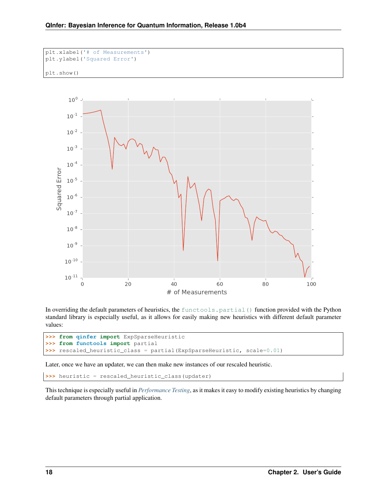```
plt.xlabel('# of Measurements')
plt.ylabel('Squared Error')
plt.show()
```


In overriding the default parameters of heuristics, the [functools.partial\(\)](https://docs.python.org/3/library/functools.html#functools.partial) function provided with the Python standard library is especially useful, as it allows for easily making new heuristics with different default parameter values:

```
>>> from qinfer import ExpSparseHeuristic
>>> from functools import partial
>>> rescaled_heuristic_class = partial(ExpSparseHeuristic, scale=0.01)
```
Later, once we have an updater, we can then make new instances of our rescaled heuristic.

**>>>** heuristic = rescaled\_heuristic\_class(updater)

This technique is especially useful in *[Performance Testing](#page-61-0)*, as it makes it easy to modify existing heuristics by changing default parameters through partial application.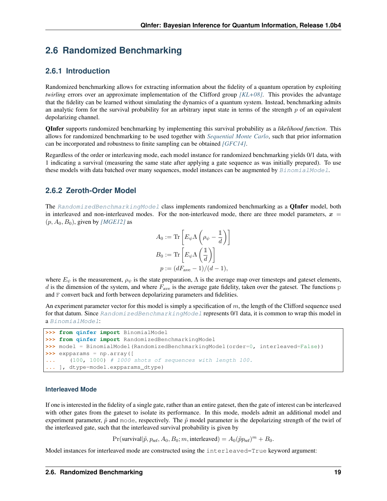### <span id="page-21-0"></span>**2.6 Randomized Benchmarking**

### **2.6.1 Introduction**

Randomized benchmarking allows for extracting information about the fidelity of a quantum operation by exploiting *twirling* errors over an approximate implementation of the Clifford group *[\[KL+08\]](#page-93-5)*. This provides the advantage that the fidelity can be learned without simulating the dynamics of a quantum system. Instead, benchmarking admits an analytic form for the survival probability for an arbitrary input state in terms of the strength  $p$  of an equivalent depolarizing channel.

QInfer supports randomized benchmarking by implementing this survival probability as a *likelihood function*. This allows for randomized benchmarking to be used together with *[Sequential Monte Carlo](#page-13-0)*, such that prior information can be incorporated and robustness to finite sampling can be obtained *[\[GFC14\]](#page-93-6)*.

Regardless of the order or interleaving mode, each model instance for randomized benchmarking yields 0/1 data, with 1 indicating a survival (measuring the same state after applying a gate sequence as was initially prepared). To use these models with data batched over many sequences, model instances can be augmented by  $BinomialModel$ .

### **2.6.2 Zeroth-Order Model**

The [RandomizedBenchmarkingModel](#page-63-1) class implements randomized benchmarking as a **QInfer** model, both in interleaved and non-interleaved modes. For the non-interleaved mode, there are three model parameters,  $x =$  $(p, A_0, B_0)$ , given by *[\[MGE12\]](#page-93-7)* as

$$
A_0 := \text{Tr}\left[E_{\psi}\Lambda\left(\rho_{\psi} - \frac{1}{d}\right)\right]
$$
  
\n
$$
B_0 := \text{Tr}\left[E_{\psi}\Lambda\left(\frac{1}{d}\right)\right]
$$
  
\n
$$
p := (dF_{\text{ave}} - 1)/(d - 1),
$$

where  $E_{\psi}$  is the measurement,  $\rho_{\psi}$  is the state preparation,  $\Lambda$  is the average map over timesteps and gateset elements, d is the dimension of the system, and where  $F_{\text{ave}}$  is the average gate fidelity, taken over the gateset. The functions p and F convert back and forth between depolarizing parameters and fidelities.

An experiment parameter vector for this model is simply a specification of  $m$ , the length of the Clifford sequence used for that datum. Since [RandomizedBenchmarkingModel](#page-63-1) represents 0/1 data, it is common to wrap this model in a [BinomialModel](#page-43-1):

```
>>> from qinfer import BinomialModel
>>> from qinfer import RandomizedBenchmarkingModel
>>> model = BinomialModel(RandomizedBenchmarkingModel(order=0, interleaved=False))
>>> expparams = np.array([
... (100, 1000) # 1000 shots of sequences with length 100.
... ], dtype=model.expparams_dtype)
```
#### **Interleaved Mode**

If one is interested in the fidelity of a single gate, rather than an entire gateset, then the gate of interest can be interleaved with other gates from the gateset to isolate its performance. In this mode, models admit an additional model and experiment parameter,  $\tilde{p}$  and mode, respectively. The  $\tilde{p}$  model parameter is the depolarizing strength of the twirl of the interleaved gate, such that the interleaved survival probability is given by

 $Pr(\text{survival}|\tilde{p}, p_{\text{ref}}, A_0, B_0; m, \text{interleaved}) = A_0(\tilde{p}p_{\text{ref}})^m + B_0.$ 

Model instances for interleaved mode are constructed using the  $interleaved=True$  keyword argument: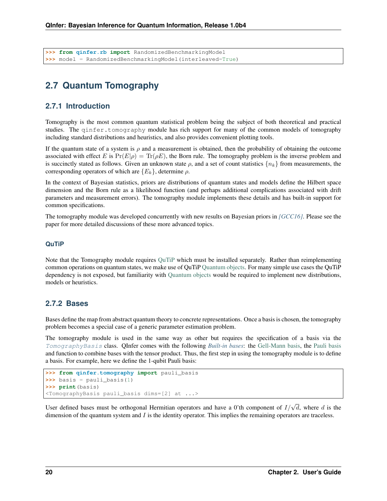**>>> from qinfer.rb import** RandomizedBenchmarkingModel **>>>** model = RandomizedBenchmarkingModel(interleaved=True)

### <span id="page-22-0"></span>**2.7 Quantum Tomography**

#### **2.7.1 Introduction**

Tomography is the most common quantum statistical problem being the subject of both theoretical and practical studies. The ginfer.tomography module has rich support for many of the common models of tomography including standard distributions and heuristics, and also provides convenient plotting tools.

If the quantum state of a system is  $\rho$  and a measurement is obtained, then the probability of obtaining the outcome associated with effect E is  $Pr(E|\rho) = Tr(\rho E)$ , the Born rule. The tomography problem is the inverse problem and is succinctly stated as follows. Given an unknown state  $\rho$ , and a set of count statistics  $\{n_k\}$  from measurements, the corresponding operators of which are  ${E<sub>k</sub>}$ , determine  $\rho$ .

In the context of Bayesian statistics, priors are distributions of quantum states and models define the Hilbert space dimension and the Born rule as a likelihood function (and perhaps additional complications associated with drift parameters and measurement errors). The tomography module implements these details and has built-in support for common specifications.

The tomography module was developed concurrently with new results on Bayesian priors in *[\[GCC16\]](#page-94-2)*. Please see the paper for more detailed discussions of these more advanced topics.

#### **QuTiP**

Note that the Tomography module requires [QuTiP](http://qutip.org/) which must be installed separately. Rather than reimplementing common operations on quantum states, we make use of QuTiP [Quantum objects.](http://qutip.org/docs/3.1.0/guide/guide-basics.html) For many simple use cases the QuTiP dependency is not exposed, but familiarity with [Quantum objects](http://qutip.org/docs/3.1.0/guide/guide-basics.html) would be required to implement new distributions, models or heuristics.

#### **2.7.2 Bases**

Bases define the map from abstract quantum theory to concrete representations. Once a basis is chosen, the tomography problem becomes a special case of a generic parameter estimation problem.

The tomography module is used in the same way as other but requires the specification of a basis via the [TomographyBasis](#page-77-1) class. QInfer comes with the following *[Built-in bases](#page-78-0)*: the [Gell-Mann basis,](https://en.wikipedia.org/wiki/Gell-Mann_matrices) the [Pauli basis](https://en.wikipedia.org/wiki/Pauli_matrices) and function to combine bases with the tensor product. Thus, the first step in using the tomography module is to define a basis. For example, here we define the 1-qubit Pauli basis:

```
>>> from qinfer.tomography import pauli_basis
>>> basis = pauli_basis(1)
>>> print(basis)
<TomographyBasis pauli_basis dims=[2] at ...>
```
User defined bases must be orthogonal Hermitian operators and have a 0'th component of  $I/\sqrt{d}$ , where d is the dimension of the quantum system and  $I$  is the identity operator. This implies the remaining operators are traceless.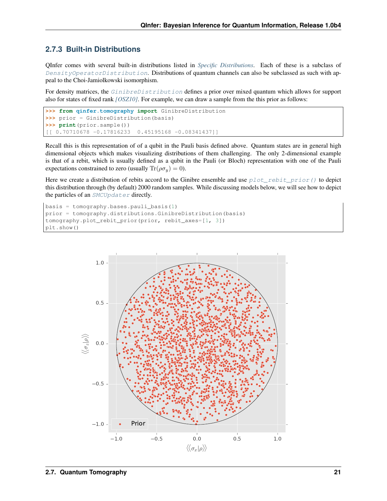### **2.7.3 Built-in Distributions**

QInfer comes with several built-in distributions listed in *[Specific Distributions](#page-79-0)*. Each of these is a subclass of [DensityOperatorDistribution](#page-78-1). Distributions of quantum channels can also be subclassed as such with appeal to the Choi-Jamiolkowski isomorphism.

For density matrices, the *[GinibreDistribution](#page-79-1)* defines a prior over mixed quantum which allows for support also for states of fixed rank *[\[OSZ10\]](#page-94-3)*. For example, we can draw a sample from the this prior as follows:

```
>>> from qinfer.tomography import GinibreDistribution
>>> prior = GinibreDistribution(basis)
>>> print(prior.sample())
[[ 0.70710678 -0.17816233 0.45195168 -0.08341437]]
```
Recall this is this representation of of a qubit in the Pauli basis defined above. Quantum states are in general high dimensional objects which makes visualizing distributions of them challenging. The only 2-dimensional example is that of a rebit, which is usually defined as a qubit in the Pauli (or Bloch) representation with one of the Pauli expectations constrained to zero (usually  $\text{Tr}(\rho \sigma_u) = 0$ ).

Here we create a distribution of rebits accord to the Ginibre ensemble and use  $plot\_rebit\_prior()$  to depict this distribution through (by default) 2000 random samples. While discussing models below, we will see how to depict the particles of an [SMCUpdater](#page-68-1) directly.

```
basis = tomography.bases.pauli_basis(1)prior = tomography.distributions.GinibreDistribution(basis)
tomography.plot rebit prior(prior, rebit axes=[1, 3])
plt.show()
```
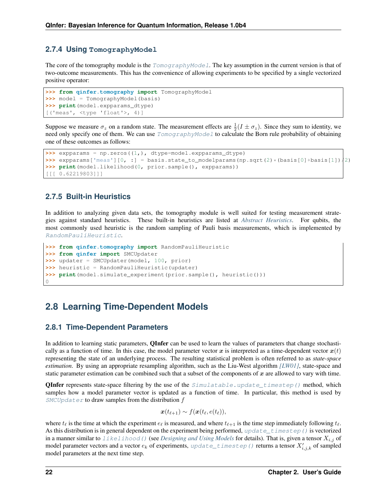### **2.7.4 Using TomographyModel**

The core of the tomography module is the  $TomographyModel$ . The key assumption in the current version is that of two-outcome measurements. This has the convenience of allowing experiments to be specified by a single vectorized positive operator:

```
>>> from qinfer.tomography import TomographyModel
>>> model = TomographyModel(basis)
>>> print(model.expparams_dtype)
[('meas', <type 'float'>, 4)]
```
Suppose we measure  $\sigma_z$  on a random state. The measurement effects are  $\frac{1}{2}(I \pm \sigma_z)$ . Since they sum to identity, we need only specify one of them. We can use  $TomographyModel$  to calculate the Born rule probability of obtaining one of these outcomes as follows:

```
>>> expparams = np.zeros((1,), dtype=model.expparams_dtype)
>>> expparams['meas'][0, :] = basis.state_to_modelparams(np.sqrt(2)*(basis[0]+basis[1])/2)
>>> print(model.likelihood(0, prior.sample(), expparams))
[[[ 0.62219803]]]
```
### **2.7.5 Built-in Heuristics**

In addition to analyzing given data sets, the tomography module is well suited for testing measurement strategies against standard heuristics. These built-in heuristics are listed at *[Abstract Heuristics](#page-81-0)*. For qubits, the most commonly used heuristic is the random sampling of Pauli basis measurements, which is implemented by [RandomPauliHeuristic](#page-81-1).

```
>>> from qinfer.tomography import RandomPauliHeuristic
>>> from qinfer import SMCUpdater
>>> updater = SMCUpdater(model, 100, prior)
>>> heuristic = RandomPauliHeuristic(updater)
>>> print(model.simulate_experiment(prior.sample(), heuristic()))
\bigcap
```
### <span id="page-24-0"></span>**2.8 Learning Time-Dependent Models**

#### **2.8.1 Time-Dependent Parameters**

In addition to learning static parameters, **QInfer** can be used to learn the values of parameters that change stochastically as a function of time. In this case, the model parameter vector x is interpreted as a time-dependent vector  $x(t)$ representing the state of an underlying process. The resulting statistical problem is often referred to as *state-space estimation*. By using an appropriate resampling algorithm, such as the Liu-West algorithm *[\[LW01\]](#page-93-2)*, state-space and static parameter estimation can be combined such that a subset of the components of  $x$  are allowed to vary with time.

**QInfer** represents state-space filtering by the use of the  $Simulate\_update\_timestamp()$  method, which samples how a model parameter vector is updated as a function of time. In particular, this method is used by  $SMCUpdater$  to draw samples from the distribution  $f$ 

$$
\boldsymbol{x}(t_{\ell+1}) \sim f(\boldsymbol{x}(t_\ell, e(t_\ell)),
$$

where  $t_{\ell}$  is the time at which the experiment  $e_{\ell}$  is measured, and where  $t_{\ell+1}$  is the time step immediately following  $t_{\ell}$ . As this distribution is in general dependent on the experiment being performed, update timestep() is vectorized in a manner similar to  $\exists$  ikelihood() (see *[Designing and Using Models](#page-7-0)* for details). That is, given a tensor  $X_{i,j}$  of model parameter vectors and a vector  $e_k$  of experiments, [update\\_timestep\(\)](#page-39-1) returns a tensor  $X'_{i,j,k}$  of sampled model parameters at the next time step.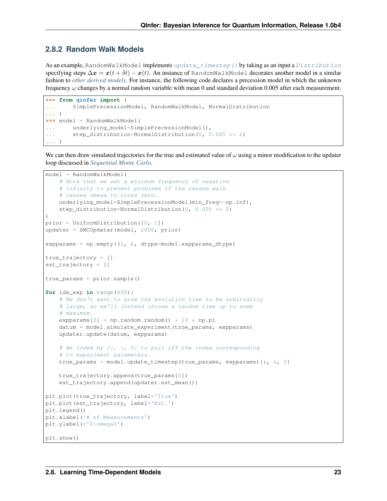### **2.8.2 Random Walk Models**

As an example, RandomWalkModel implements [update\\_timestep\(\)](#page-39-1) by taking as an input a [Distribution](#page-46-1) specifying steps  $\Delta x = x(t + \delta t) - x(t)$ . An instance of RandomWalkModel decorates another model in a similar fashion to *[other derived models](#page-13-1)*. For instance, the following code declares a precession model in which the unknown frequency  $\omega$  changes by a normal random variable with mean 0 and standard deviation 0.005 after each measurement.

```
>>> from qinfer import (
... SimplePrecessionModel, RandomWalkModel, NormalDistribution
... )
>>> model = RandomWalkModel(
... underlying model=SimplePrecessionModel(),
... step_distribution=NormalDistribution(0, 0.005 ** 2)
... )
```
We can then draw simulated trajectories for the true and estimated value of  $\omega$  using a minor modification to the updater loop discussed in *[Sequential Monte Carlo](#page-13-0)*.

```
model = RandomWalkModel(
    # Note that we set a minimum frequency of negative
    # infinity to prevent problems if the random walk
    # causes omega to cross zero.
   underlying_model=SimplePrecessionModel(min_freq=-np.inf),
    step_distribution=NormalDistribution(0, 0.005 ** 2)
)
prior = UniformDistribution([0, 1])
updater = SMCUpdater(model, 2000, prior)
expparams = np.empty((1, ), dtype=model.expparams_dtype)
true_trajectory = []
est_trajectory = []
true_params = prior.sample()
for idx_exp in range(400):
    # We don't want to grow the evolution time to be arbitrarily
    # large, so we'll instead choose a random time up to some
    # maximum.
   expparams[0] = np.random.random() * 10 * np.pi
   datum = model.simulate_experiment(true_params, expparams)
   updater.update(datum, expparams)
    # We index by [:, :, 0] to pull off the index corresponding
    # to experiment parameters.
   true_params = model.update_timestep(true_params, expparams)[:, :, 0]
   true_trajectory.append(true_params[0])
   est_trajectory.append(updater.est_mean())
plt.plot(true_trajectory, label='True')
plt.plot(est_trajectory, label='Est.')
plt.legend()
plt.xlabel('# of Measurements')
plt.ylabel(r'$\omega$')
plt.show()
```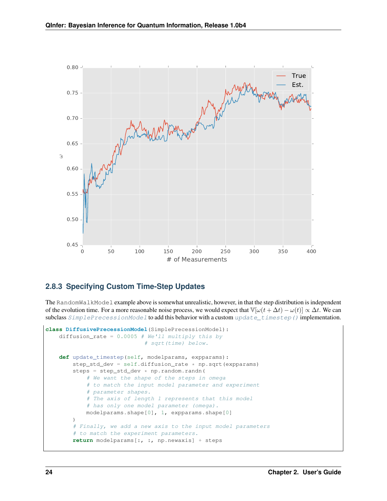

#### **2.8.3 Specifying Custom Time-Step Updates**

The RandomWalkModel example above is somewhat unrealistic, however, in that the step distribution is independent of the evolution time. For a more reasonable noise process, we would expect that  $\mathbb{V}[\omega(t + \Delta t) - \omega(t)] \propto \Delta t$ . We can subclass  $SimplePrecession Model$  to add this behavior with a custom [update\\_timestep\(\)](#page-39-1) implementation.

```
class DiffusivePrecessionModel(SimplePrecessionModel):
   diffusion_rate = 0.0005 # We'll multiply this by
                             # sqrt(time) below.
   def update_timestep(self, modelparams, expparams):
        step_std_dev = self.diffusion_rate * np.sqrt(expparams)
        steps = step_std_dev * np.random.randn(
            # We want the shape of the steps in omega
            # to match the input model parameter and experiment
            # parameter shapes.
            # The axis of length 1 represents that this model
            # has only one model parameter (omega).
           modelparams.shape[0], 1, expparams.shape[0]
        )
        # Finally, we add a new axis to the input model parameters
        # to match the experiment parameters.
       return modelparams[:, :, np.newaxis] + steps
```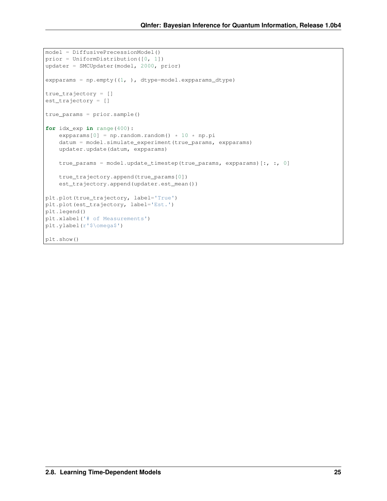```
model = DiffusivePrecessionModel()
prior = UniformDistribution([0, 1])
updater = SMCUpdater(model, 2000, prior)
expparams = np.\text{empty}(1, ), dtype=model.expparams_dtype)
true_trajectory = []
est_trajectory = []
true_params = prior.sample()
for idx_exp in range(400):
    expparams[0] = np.random.random() * 10 * np.pi
    datum = model.simulate_experiment(true_params, expparams)
   updater.update(datum, expparams)
   true_params = model.update_timestep(true_params, expparams)[:, :, 0]
    true_trajectory.append(true_params[0])
    est_trajectory.append(updater.est_mean())
plt.plot(true_trajectory, label='True')
plt.plot(est_trajectory, label='Est.')
plt.legend()
plt.xlabel('# of Measurements')
plt.ylabel(r'$\omega$')
plt.show()
```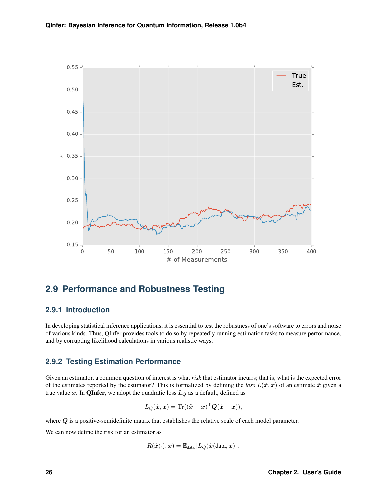

### <span id="page-28-0"></span>**2.9 Performance and Robustness Testing**

### **2.9.1 Introduction**

In developing statistical inference applications, it is essential to test the robustness of one's software to errors and noise of various kinds. Thus, QInfer provides tools to do so by repeatedly running estimation tasks to measure performance, and by corrupting likelihood calculations in various realistic ways.

### **2.9.2 Testing Estimation Performance**

Given an estimator, a common question of interest is what *risk* that estimator incurrs; that is, what is the expected error of the estimates reported by the estimator? This is formalized by defining the *loss*  $L(\hat{x}, x)$  of an estimate  $\hat{x}$  given a true value x. In **QInfer**, we adopt the quadratic loss  $L_Q$  as a default, defined as

$$
L_Q(\hat{\boldsymbol{x}}, \boldsymbol{x}) = \text{Tr}((\hat{\boldsymbol{x}} - \boldsymbol{x})^{\text{T}} \boldsymbol{Q}(\hat{\boldsymbol{x}} - \boldsymbol{x})),
$$

where  $Q$  is a positive-semidefinite matrix that establishes the relative scale of each model parameter.

We can now define the risk for an estimator as

$$
R(\hat{\boldsymbol{x}}(\cdot),\boldsymbol{x}) = \mathbb{E}_{\text{data}}\left[L_Q(\hat{\boldsymbol{x}}(\text{data},\boldsymbol{x})\right].
$$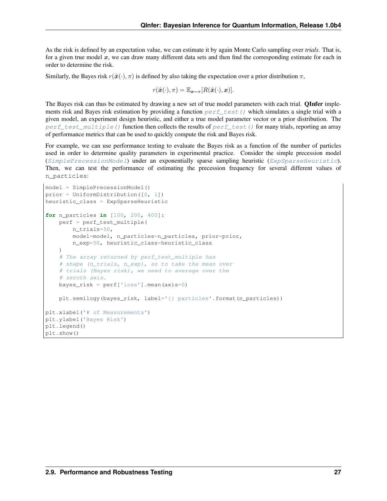As the risk is defined by an expectation value, we can estimate it by again Monte Carlo sampling over *trials*. That is, for a given true model  $x$ , we can draw many different data sets and then find the corresponding estimate for each in order to determine the risk.

Similarly, the Bayes risk  $r(\hat{\boldsymbol{x}}(\cdot), \pi)$  is defined by also taking the expectation over a prior distribution  $\pi$ ,

$$
r(\hat{\boldsymbol{x}}(\cdot),\pi)=\mathbb{E}_{\boldsymbol{x}\sim\pi}[R(\hat{\boldsymbol{x}}(\cdot),\boldsymbol{x})].
$$

The Bayes risk can thus be estimated by drawing a new set of true model parameters with each trial. **QInfer** implements risk and Bayes risk estimation by providing a function  $pert\_test$  () which simulates a single trial with a given model, an experiment design heuristic, and either a true model parameter vector or a prior distribution. The perf test multiple() function then collects the results of perf test() for many trials, reporting an array of performance metrics that can be used to quickly compute the risk and Bayes risk.

For example, we can use performance testing to evaluate the Bayes risk as a function of the number of particles used in order to determine quality parameters in experimental practice. Consider the simple precession model ([SimplePrecessionModel](#page-75-1)) under an exponentially sparse sampling heuristic ([ExpSparseHeuristic](#page-57-1)). Then, we can test the performance of estimating the precession frequency for several different values of n\_particles:

```
model = SimplePrecessionModel()
prior = UniformDistribution([0, 1])
heuristic_class = ExpSparseHeuristic
for n_particles in [100, 200, 400]:
   perf = perf_test_multiple(
       n_trials=50,
       model=model, n_particles=n_particles, prior=prior,
        n_exp=50, heuristic_class=heuristic_class
    )
    # The array returned by perf_test_multiple has
    # shape (n_trials, n_exp), so to take the mean over
    # trials (Bayes risk), we need to average over the
    # zeroth axis.
   bayes_risk = perf['loss'].mean(axis=0)
    plt.semilogy(bayes_risk, label='{} particles'.format(n_particles))
plt.xlabel('# of Measurements')
plt.ylabel('Bayes Risk')
plt.legend()
plt.show()
```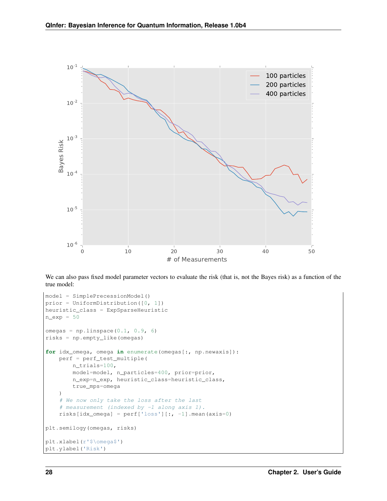

We can also pass fixed model parameter vectors to evaluate the risk (that is, not the Bayes risk) as a function of the true model:

```
model = SimplePrecessionModel()
prior = UniformDistribution([0, 1])
heuristic_class = ExpSparseHeuristic
n_exp = 50
omegas = npu.linspace(0.1, 0.9, 6)
risks = np.empty_like(omegas)
for idx_omega, omega in enumerate(omegas[:, np.newaxis]):
    perf = perf_test_multiple(
        n_trials=100,
        model=model, n_particles=400, prior=prior,
        n_exp=n_exp, heuristic_class=heuristic_class,
        true_mps=omega
    )
    # We now only take the loss after the last
    # measurement (indexed by -1 along axis 1).
    risks[idx_omega] = perf['loss'][:, -1].mean(axis=0)
plt.semilogy(omegas, risks)
plt.xlabel(r'$\omega$')
plt.ylabel('Risk')
```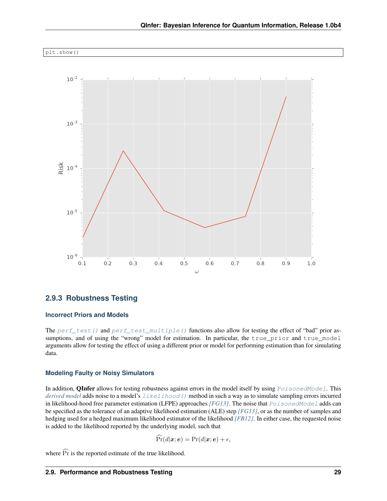

### **2.9.3 Robustness Testing**

#### **Incorrect Priors and Models**

The [perf\\_test\(\)](#page-61-1) and [perf\\_test\\_multiple\(\)](#page-62-0) functions also allow for testing the effect of "bad" prior assumptions, and of using the "wrong" model for estimation. In particular, the true\_prior and true\_model arguments allow for testing the effect of using a different prior or model for performing estimation than for simulating data.

#### **Modeling Faulty or Noisy Simulators**

In addition, **QInfer** allows for testing robustness against errors in the model itself by using  $PoisonedModel$ . This *[derived model](#page-13-1)* adds noise to a model's [likelihood\(\)](#page-40-1) method in such a way as to simulate sampling errors incurred in likelihood-hood free parameter estimation (LFPE) approaches *[\[FG13\]](#page-93-8)*. The noise that  $PoisonedModel$  adds can be specified as the tolerance of an adaptive likelihood estimation (ALE) step *[\[FG13\]](#page-93-8)*, or as the number of samples and hedging used for a hedged maximum likelihood estimator of the likelihood *[\[FB12\]](#page-93-9)*. In either case, the requested noise is added to the likelihood reported by the underlying model, such that

$$
\widehat{\Pr}(d|\boldsymbol{x};\boldsymbol{e}) = \Pr(d|\boldsymbol{x};\boldsymbol{e}) + \epsilon,
$$

where  $\widehat{Pr}$  is the reported estimate of the true likelihood.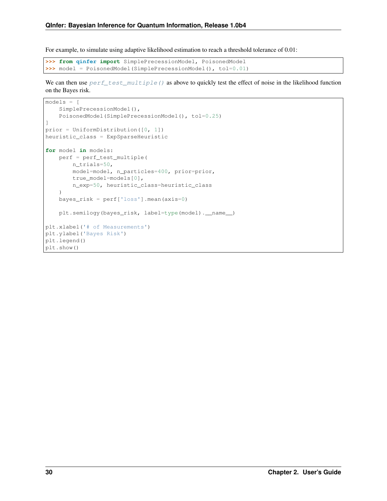For example, to simulate using adaptive likelihood estimation to reach a threshold tolerance of 0.01:

```
>>> from qinfer import SimplePrecessionModel, PoisonedModel
>>> model = PoisonedModel(SimplePrecessionModel(), tol=0.01)
```
We can then use  $perf\_test\_multiple()$  as above to quickly test the effect of noise in the likelihood function on the Bayes risk.

```
models = [
   SimplePrecessionModel(),
   PoisonedModel(SimplePrecessionModel(), tol=0.25)
]
prior = UniformDistribution([0, 1])
heuristic_class = ExpSparseHeuristic
for model in models:
   perf = perf_test_multiple(
       n_trials=50,
       model=model, n_particles=400, prior=prior,
       true_model=models[0],
       n_exp=50, heuristic_class=heuristic_class
   )
   bayes_risk = perf['loss'].mean(axis=0)
   plt.semilogy(bayes_risk, label=type(model).__name__)
plt.xlabel('# of Measurements')
plt.ylabel('Bayes Risk')
plt.legend()
plt.show()
```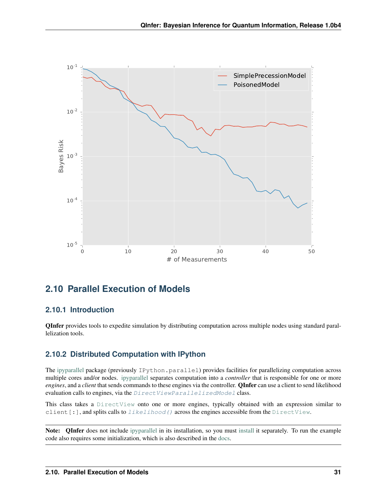

### <span id="page-33-0"></span>**2.10 Parallel Execution of Models**

### **2.10.1 Introduction**

QInfer provides tools to expedite simulation by distributing computation across multiple nodes using standard parallelization tools.

### **2.10.2 Distributed Computation with IPython**

The [ipyparallel](https://ipyparallel.readthedocs.org/en/latest/) package (previously IPython.parallel) provides facilities for parallelizing computation across multiple cores and/or nodes. [ipyparallel](https://ipyparallel.readthedocs.org/en/latest/) separates computation into a *controller* that is responsible for one or more *engines*, and a *client* that sends commands to these engines via the controller. QInfer can use a client to send likelihood evaluation calls to engines, via the *[DirectViewParallelizedModel](#page-60-2)* class.

This class takes a [DirectView](https://ipyparallel.readthedocs.io/en/latest/api/ipyparallel.html#ipyparallel.DirectView) onto one or more engines, typically obtained with an expression similar to client  $[:]$ , and splits calls to  $likelihood()$  across the engines accessible from the [DirectView](https://ipyparallel.readthedocs.io/en/latest/api/ipyparallel.html#ipyparallel.DirectView).

Note: QInfer does not include [ipyparallel](https://ipyparallel.readthedocs.org/en/latest/) in its [install](https://ipyparallel.readthedocs.io/en/latest/#installing-ipython-parallel)ation, so you must install it separately. To run the example code also requires some initialization, which is also described in the [docs.](https://ipyparallel.readthedocs.io/en/latest/intro.html#getting-started)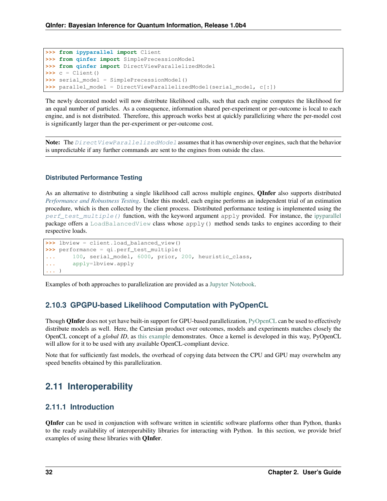```
>>> from ipyparallel import Client
>>> from qinfer import SimplePrecessionModel
>>> from qinfer import DirectViewParallelizedModel
\rightarrow \rightarrow \circ = Client()
>>> serial_model = SimplePrecessionModel()
>>> parallel_model = DirectViewParallelizedModel(serial_model, c[:])
```
The newly decorated model will now distribute likelihood calls, such that each engine computes the likelihood for an equal number of particles. As a consequence, information shared per-experiment or per-outcome is local to each engine, and is not distributed. Therefore, this approach works best at quickly parallelizing where the per-model cost is significantly larger than the per-experiment or per-outcome cost.

Note: The [DirectViewParallelizedModel](#page-60-2) assumes that it has ownership over engines, such that the behavior is unpredictable if any further commands are sent to the engines from outside the class.

#### **Distributed Performance Testing**

As an alternative to distributing a single likelihood call across multiple engines, QInfer also supports distributed *[Performance and Robustness Testing](#page-28-0)*. Under this model, each engine performs an independent trial of an estimation procedure, which is then collected by the client process. Distributed performance testing is implemented using the [perf\\_test\\_multiple\(\)](#page-62-0) function, with the keyword argument apply provided. For instance, the [ipyparallel](https://ipyparallel.readthedocs.org/en/latest/) package offers a [LoadBalancedView](https://ipyparallel.readthedocs.io/en/latest/api/ipyparallel.html#ipyparallel.LoadBalancedView) class whose apply() method sends tasks to engines according to their respective loads.

```
>>> lbview = client.load_balanced_view()
>>> performance = qi.perf_test_multiple(
... 100, serial_model, 6000, prior, 200, heuristic_class,
... apply=lbview.apply
... )
```
Examples of both approaches to parallelization are provided as a [Jupyter Notebook.](http://nbviewer.jupyter.org/github/QInfer/python-qinfer/blob/master/examples/parallelization.ipynb)

### **2.10.3 GPGPU-based Likelihood Computation with PyOpenCL**

Though **QInfer** does not yet have built-in support for GPU-based parallelization, [PyOpenCL](http://documen.tician.de/pyopencl/) can be used to effectively distribute models as well. Here, the Cartesian product over outcomes, models and experiments matches closely the OpenCL concept of a *global ID*, as [this example](https://gist.github.com/cgranade/6137168) demonstrates. Once a kernel is developed in this way, PyOpenCL will allow for it to be used with any available OpenCL-compliant device.

Note that for sufficiently fast models, the overhead of copying data between the CPU and GPU may overwhelm any speed benefits obtained by this parallelization.

### <span id="page-34-0"></span>**2.11 Interoperability**

#### **2.11.1 Introduction**

QInfer can be used in conjunction with software written in scientific software platforms other than Python, thanks to the ready availability of interoperability libraries for interacting with Python. In this section, we provide brief examples of using these libraries with QInfer.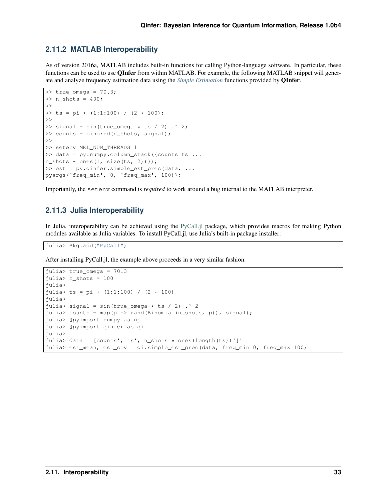### **2.11.2 MATLAB Interoperability**

As of version 2016a, MATLAB includes built-in functions for calling Python-language software. In particular, these functions can be used to use QInfer from within MATLAB. For example, the following MATLAB snippet will generate and analyze frequency estimation data using the *[Simple Estimation](#page-66-0)* functions provided by QInfer.

```
\gg true omega = 70.3;
\gg n shots = 400;
>>
>> ts = pi * (1:1:100) / (2 * 100);
>>
\gg signal = sin(true_omega \star ts / 2) .^ 2;
>> counts = binornd(n shots, signal);
>>
>> setenv MKL_NUM_THREADS 1
>> data = py.numpy.column_stack({counts ts ...
n_{shots} \times ones(1, size(ts, 2));
>> est = py.qinfer.simple_est_prec(data, ...
pyargs('freq_min', 0, 'freq_max', 100));
```
Importantly, the setenv command is *required* to work around a bug internal to the MATLAB interpreter.

### **2.11.3 Julia Interoperability**

In Julia, interoperability can be achieved using the [PyCall.jl](https://github.com/stevengj/PyCall.jl) package, which provides macros for making Python modules available as Julia variables. To install PyCall.jl, use Julia's built-in package installer:

julia> Pkg.add("PyCall")

After installing PyCall.jl, the example above proceeds in a very similar fashion:

```
julia> true_omega = 70.3
julia> n_shots = 100
julia>
julia> ts = pi * (1:1:100) / (2 * 100)julia>
julia> signal = sin(true_omega * ts / 2) .^ 2
julia> counts = map(p -> rand(Binomial(n_shots, p)), signal);
julia> @pyimport numpy as np
julia> @pyimport qinfer as qi
julia>
julia> data = [counts'; ts'; n_shots * ones(length(ts))']'
julia> est_mean, est_cov = qi.simple_est_prec(data, freq_min=0, freq_max=100)
```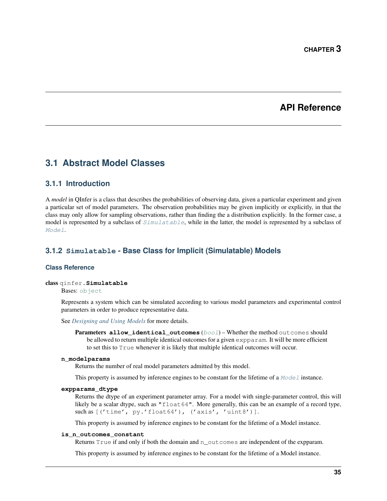# **API Reference**

# **3.1 Abstract Model Classes**

# **3.1.1 Introduction**

A *model* in QInfer is a class that describes the probabilities of observing data, given a particular experiment and given a particular set of model parameters. The observation probabilities may be given implicitly or explicitly, in that the class may only allow for sampling observations, rather than finding the a distribution explicitly. In the former case, a model is represented by a subclass of  $Simulated$  while in the latter, the model is represented by a subclass of [Model](#page-40-0).

# **3.1.2 Simulatable - Base Class for Implicit (Simulatable) Models**

# **Class Reference**

# <span id="page-37-0"></span>class qinfer.**Simulatable**

Bases: [object](https://docs.python.org/3/library/functions.html#object)

Represents a system which can be simulated according to various model parameters and experimental control parameters in order to produce representative data.

See *[Designing and Using Models](#page-7-0)* for more details.

Parameters **allow\_identical\_outcomes** ([bool](https://docs.python.org/3/library/functions.html#bool)) – Whether the method outcomes should be allowed to return multiple identical outcomes for a given expparam. It will be more efficient to set this to True whenever it is likely that multiple identical outcomes will occur.

# **n\_modelparams**

Returns the number of real model parameters admitted by this model.

This property is assumed by inference engines to be constant for the lifetime of a  $Model$  instance.

# <span id="page-37-1"></span>**expparams\_dtype**

Returns the dtype of an experiment parameter array. For a model with single-parameter control, this will likely be a scalar dtype, such as "float64". More generally, this can be an example of a record type, such as [('time', py.'float64'), ('axis', 'uint8')].

This property is assumed by inference engines to be constant for the lifetime of a Model instance.

# **is\_n\_outcomes\_constant**

Returns True if and only if both the domain and n\_outcomes are independent of the expparam.

This property is assumed by inference engines to be constant for the lifetime of a Model instance.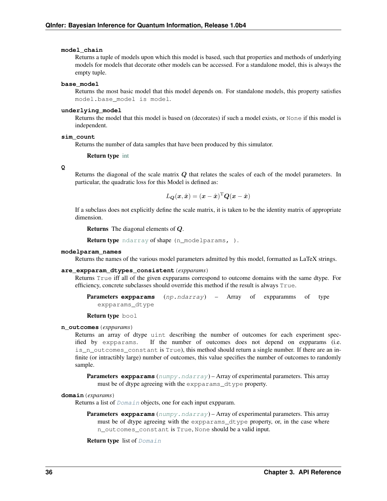#### **model\_chain**

Returns a tuple of models upon which this model is based, such that properties and methods of underlying models for models that decorate other models can be accessed. For a standalone model, this is always the empty tuple.

#### **base\_model**

Returns the most basic model that this model depends on. For standalone models, this property satisfies model.base\_model is model.

# **underlying\_model**

Returns the model that this model is based on (decorates) if such a model exists, or None if this model is independent.

#### **sim\_count**

Returns the number of data samples that have been produced by this simulator.

## Return type [int](https://docs.python.org/3/library/functions.html#int)

**Q**

Returns the diagonal of the scale matrix  $Q$  that relates the scales of each of the model parameters. In particular, the quadratic loss for this Model is defined as:

$$
L_{\boldsymbol{Q}}(\boldsymbol{x}, \hat{\boldsymbol{x}}) = (\boldsymbol{x} - \hat{\boldsymbol{x}})^{\text{T}} \boldsymbol{Q} (\boldsymbol{x} - \hat{\boldsymbol{x}})
$$

If a subclass does not explicitly define the scale matrix, it is taken to be the identity matrix of appropriate dimension.

**Returns** The diagonal elements of  $Q$ .

Return type [ndarray](https://docs.scipy.org/doc/numpy/reference/generated/numpy.ndarray.html#numpy.ndarray) of shape (n\_modelparams, ).

#### **modelparam\_names**

Returns the names of the various model parameters admitted by this model, formatted as LaTeX strings.

## **are\_expparam\_dtypes\_consistent**(*expparams*)

Returns True iff all of the given expparams correspond to outcome domains with the same dtype. For efficiency, concrete subclasses should override this method if the result is always True.

Parameters **expparams** (np.ndarray) – Array of expparamms of type expparams\_dtype

Return type bool

# <span id="page-38-1"></span>**n\_outcomes**(*expparams*)

Returns an array of dtype uint describing the number of outcomes for each experiment specified by expparams. If the number of outcomes does not depend on expparams (i.e. is\_n\_outcomes\_constant is True), this method should return a single number. If there are an infinite (or intractibly large) number of outcomes, this value specifies the number of outcomes to randomly sample.

**Parameters expparams** ([numpy.ndarray](https://docs.scipy.org/doc/numpy/reference/generated/numpy.ndarray.html#numpy.ndarray)) – Array of experimental parameters. This array must be of dtype agreeing with the expparams\_dtype property.

#### <span id="page-38-0"></span>**domain**(*exparams*)

Returns a list of *[Domain](#page-52-0)* objects, one for each input expparam.

**Parameters expparams** ([numpy.ndarray](https://docs.scipy.org/doc/numpy/reference/generated/numpy.ndarray.html#numpy.ndarray)) – Array of experimental parameters. This array must be of dtype agreeing with the expparams\_dtype property, or, in the case where n\_outcomes\_constant is True, None should be a valid input.

**Return type** list of [Domain](#page-52-0)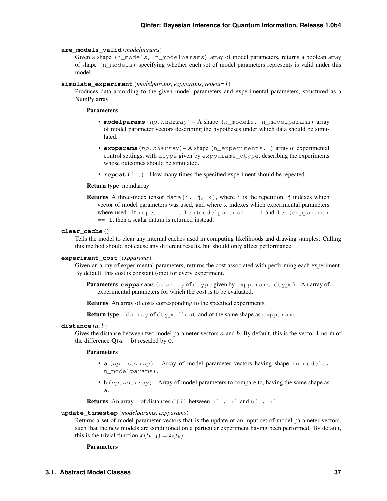#### **are\_models\_valid**(*modelparams*)

Given a shape (n\_models, n\_modelparams) array of model parameters, returns a boolean array of shape (n\_models) specifying whether each set of model parameters represents is valid under this model.

#### <span id="page-39-0"></span>**simulate\_experiment**(*modelparams*, *expparams*, *repeat=1*)

Produces data according to the given model parameters and experimental parameters, structured as a NumPy array.

## **Parameters**

- **modelparams** (np.ndarray) A shape (n\_models, n\_modelparams) array of model parameter vectors describing the hypotheses under which data should be simulated.
- **expparams** (np.ndarray) A shape (n\_experiments, ) array of experimental control settings, with dtype given by expparams\_dtype, describing the experiments whose outcomes should be simulated.
- **repeat** ([int](https://docs.python.org/3/library/functions.html#int)) How many times the specified experiment should be repeated.

#### Return type np.ndarray

**Returns** A three-index tensor data[i, j, k], where i is the repetition, j indexes which vector of model parameters was used, and where k indexes which experimental parameters where used. If repeat  $== 1$ , len(modelparams)  $== 1$  and len(expparams) == 1, then a scalar datum is returned instead.

#### **clear\_cache**()

Tells the model to clear any internal caches used in computing likelihoods and drawing samples. Calling this method should not cause any different results, but should only affect performance.

#### **experiment\_cost**(*expparams*)

Given an array of experimental parameters, returns the cost associated with performing each experiment. By default, this cost is constant (one) for every experiment.

Parameters **expparams** ([ndarray](https://docs.scipy.org/doc/numpy/reference/generated/numpy.ndarray.html#numpy.ndarray) of dtype given by expparams\_dtype) – An array of experimental parameters for which the cost is to be evaluated.

Returns An array of costs corresponding to the specified experiments.

Return type [ndarray](https://docs.scipy.org/doc/numpy/reference/generated/numpy.ndarray.html#numpy.ndarray) of dtype float and of the same shape as expparams.

#### **distance**(*a*, *b*)

Gives the distance between two model parameter vectors  $a$  and  $b$ . By default, this is the vector 1-norm of the difference  $\mathbf{Q}(\mathbf{a}-\mathbf{b})$  rescaled by  $\mathbf{Q}$ .

#### Parameters

- **a** (np. ndarray) Array of model parameter vectors having shape (n models, n\_modelparams).
- **b** (*np*. *ndarray*) Array of model parameters to compare to, having the same shape as a.

**Returns** An array d of distances d[i] between  $a[i, :]$  and  $b[i, :]$ .

#### **update\_timestep**(*modelparams*, *expparams*)

Returns a set of model parameter vectors that is the update of an input set of model parameter vectors, such that the new models are conditioned on a particular experiment having been performed. By default, this is the trivial function  $x(t_{k+1}) = x(t_k)$ .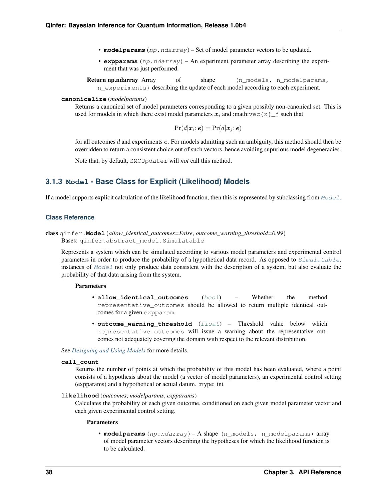- **modelparams** (np.ndarray) Set of model parameter vectors to be updated.
- **expparams** (np.ndarray) An experiment parameter array describing the experiment that was just performed.

Return np.ndarray Array of shape (n\_models, n\_modelparams, n\_experiments) describing the update of each model according to each experiment.

#### **canonicalize**(*modelparams*)

Returns a canonical set of model parameters corresponding to a given possibly non-canonical set. This is used for models in which there exist model parameters  $x_i$  and :math:vec{x}\_j such that

$$
Pr(d|\boldsymbol{x}_i;\boldsymbol{e}) = Pr(d|\boldsymbol{x}_j;\boldsymbol{e})
$$

for all outcomes  $d$  and experiments  $e$ . For models admitting such an ambiguity, this method should then be overridden to return a consistent choice out of such vectors, hence avoiding supurious model degeneracies.

Note that, by default, SMCUpdater will *not* call this method.

# **3.1.3 Model - Base Class for Explicit (Likelihood) Models**

If a model supports explicit calculation of the likelihood function, then this is represented by subclassing from  $Model$ .

# **Class Reference**

<span id="page-40-0"></span>class qinfer.**Model**(*allow\_identical\_outcomes=False*, *outcome\_warning\_threshold=0.99*) Bases: qinfer.abstract\_model.Simulatable

Represents a system which can be simulated according to various model parameters and experimental control parameters in order to produce the probability of a hypothetical data record. As opposed to  $Simulatedable$ , instances of [Model](#page-40-0) not only produce data consistent with the description of a system, but also evaluate the probability of that data arising from the system.

#### **Parameters**

- **allow identical outcomes** ([bool](https://docs.python.org/3/library/functions.html#bool)) Whether the method representative\_outcomes should be allowed to return multiple identical outcomes for a given expparam.
- **outcome\_warning\_threshold** ([float](https://docs.python.org/3/library/functions.html#float)) Threshold value below which representative outcomes will issue a warning about the representative outcomes not adequately covering the domain with respect to the relevant distribution.

See *[Designing and Using Models](#page-7-0)* for more details.

## **call\_count**

Returns the number of points at which the probability of this model has been evaluated, where a point consists of a hypothesis about the model (a vector of model parameters), an experimental control setting (expparams) and a hypothetical or actual datum. :rtype: int

## <span id="page-40-1"></span>**likelihood**(*outcomes*, *modelparams*, *expparams*)

Calculates the probability of each given outcome, conditioned on each given model parameter vector and each given experimental control setting.

#### Parameters

• **modelparams** (np.ndarray) – A shape (n\_models, n\_modelparams) array of model parameter vectors describing the hypotheses for which the likelihood function is to be calculated.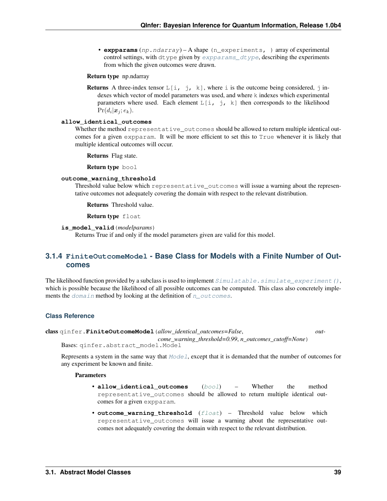• **expparams** (np. ndarray) – A shape (n experiments, ) array of experimental control settings, with dtype given by  $expparams_dtrype$ , describing the experiments from which the given outcomes were drawn.

## Return type np.ndarray

**Returns** A three-index tensor  $L[i, j, k]$ , where i is the outcome being considered, j indexes which vector of model parameters was used, and where k indexes which experimental parameters where used. Each element  $L[i, j, k]$  then corresponds to the likelihood  $Pr(d_i | \boldsymbol{x}_j; e_k).$ 

# **allow\_identical\_outcomes**

Whether the method representative\_outcomes should be allowed to return multiple identical outcomes for a given expparam. It will be more efficient to set this to True whenever it is likely that multiple identical outcomes will occur.

Returns Flag state.

Return type bool

#### **outcome\_warning\_threshold**

Threshold value below which representative\_outcomes will issue a warning about the representative outcomes not adequately covering the domain with respect to the relevant distribution.

Returns Threshold value.

Return type float

### **is\_model\_valid**(*modelparams*)

Returns True if and only if the model parameters given are valid for this model.

# **3.1.4 FiniteOutcomeModel - Base Class for Models with a Finite Number of Outcomes**

The likelihood function provided by a subclass is used to implement  $Simulate$ ,  $simulate$  experiment (), which is possible because the likelihood of all possible outcomes can be computed. This class also concretely implements the  $domain$  method by looking at the definition of  $n\_outcomes$ .

#### **Class Reference**

# <span id="page-41-0"></span>class qinfer.**FiniteOutcomeModel**(*allow\_identical\_outcomes=False*, *out-*

*come\_warning\_threshold=0.99*, *n\_outcomes\_cutoff=None*)

Bases: qinfer.abstract\_model.Model

Represents a system in the same way that  $Model$ , except that it is demanded that the number of outcomes for any experiment be known and finite.

- **allow\_identical\_outcomes** ([bool](https://docs.python.org/3/library/functions.html#bool)) Whether the method representative outcomes should be allowed to return multiple identical outcomes for a given expparam.
- **outcome\_warning\_threshold** ([float](https://docs.python.org/3/library/functions.html#float)) Threshold value below which representative outcomes will issue a warning about the representative outcomes not adequately covering the domain with respect to the relevant distribution.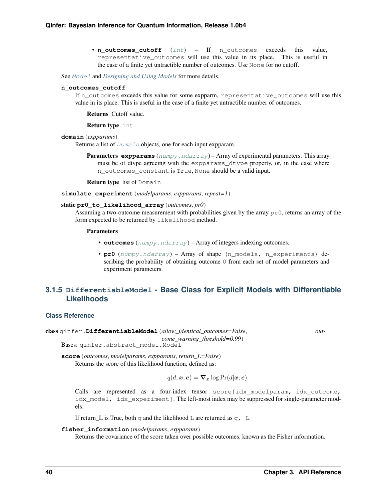• **n\_outcomes\_cutoff** ([int](https://docs.python.org/3/library/functions.html#int)) – If n\_outcomes exceeds this value, representative\_outcomes will use this value in its place. This is useful in the case of a finite yet untractible number of outcomes. Use None for no cutoff.

See [Model](#page-40-0) and *[Designing and Using Models](#page-7-0)* for more details.

#### **n\_outcomes\_cutoff**

If n\_outcomes exceeds this value for some expparm, representative\_outcomes will use this value in its place. This is useful in the case of a finite yet untractible number of outcomes.

Returns Cutoff value.

Return type int

#### **domain**(*expparams*)

Returns a list of *[Domain](#page-52-0)* objects, one for each input expparam.

**Parameters expparams** ([numpy.ndarray](https://docs.scipy.org/doc/numpy/reference/generated/numpy.ndarray.html#numpy.ndarray)) – Array of experimental parameters. This array must be of dtype agreeing with the expparams\_dtype property, or, in the case where n\_outcomes\_constant is True, None should be a valid input.

Return type list of Domain

**simulate\_experiment**(*modelparams*, *expparams*, *repeat=1*)

#### static **pr0\_to\_likelihood\_array**(*outcomes*, *pr0*)

Assuming a two-outcome measurement with probabilities given by the array  $p\text{-}r0$ , returns an array of the form expected to be returned by likelihood method.

### Parameters

- **outcomes** ([numpy.ndarray](https://docs.scipy.org/doc/numpy/reference/generated/numpy.ndarray.html#numpy.ndarray)) Array of integers indexing outcomes.
- **pr0** ([numpy.ndarray](https://docs.scipy.org/doc/numpy/reference/generated/numpy.ndarray.html#numpy.ndarray)) Array of shape (n\_models, n\_experiments) describing the probability of obtaining outcome 0 from each set of model parameters and experiment parameters.

# **3.1.5 DifferentiableModel - Base Class for Explicit Models with Differentiable Likelihoods**

#### **Class Reference**

class qinfer.**DifferentiableModel**(*allow\_identical\_outcomes=False*, *out-*

<span id="page-42-0"></span>Bases: qinfer.abstract\_model.Model

**score**(*outcomes*, *modelparams*, *expparams*, *return\_L=False*) Returns the score of this likelihood function, defined as:

$$
q(d, \boldsymbol{x}; \boldsymbol{e}) = \boldsymbol{\nabla}_{\boldsymbol{x}} \log \Pr(d | \boldsymbol{x}; \boldsymbol{e}).
$$

*come\_warning\_threshold=0.99*)

Calls are represented as a four-index tensor score[idx\_modelparam, idx\_outcome, idx\_model, idx\_experiment]. The left-most index may be suppressed for single-parameter models.

If return\_L is True, both q and the likelihood  $\mathbb L$  are returned as q,  $\mathbb L$ .

## **fisher\_information**(*modelparams*, *expparams*)

Returns the covariance of the score taken over possible outcomes, known as the Fisher information.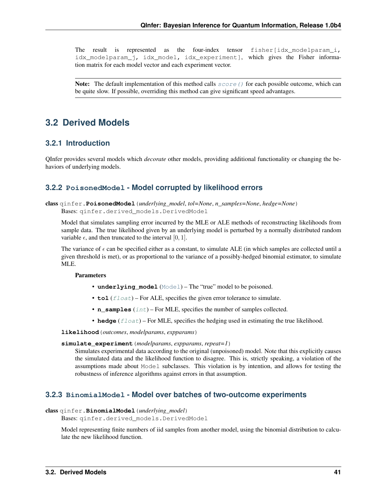The result is represented as the four-index tensor  $fisher$   $idx$  modelparam  $i$ , idx\_modelparam\_j, idx\_model, idx\_experiment], which gives the Fisher information matrix for each model vector and each experiment vector.

**Note:** The default implementation of this method calls  $score()$  for each possible outcome, which can be quite slow. If possible, overriding this method can give significant speed advantages.

# **3.2 Derived Models**

# **3.2.1 Introduction**

QInfer provides several models which *decorate* other models, providing additional functionality or changing the behaviors of underlying models.

# **3.2.2 PoisonedModel - Model corrupted by likelihood errors**

class qinfer.**PoisonedModel**(*underlying\_model*, *tol=None*, *n\_samples=None*, *hedge=None*) Bases: qinfer.derived\_models.DerivedModel

Model that simulates sampling error incurred by the MLE or ALE methods of reconstructing likelihoods from sample data. The true likelihood given by an underlying model is perturbed by a normally distributed random variable  $\epsilon$ , and then truncated to the interval [0, 1].

The variance of  $\epsilon$  can be specified either as a constant, to simulate ALE (in which samples are collected until a given threshold is met), or as proportional to the variance of a possibly-hedged binomial estimator, to simulate MLE.

# Parameters

- **underlying\_model** ([Model](#page-40-0)) The "true" model to be poisoned.
- **tol** ([float](https://docs.python.org/3/library/functions.html#float)) For ALE, specifies the given error tolerance to simulate.
- **n\_samples** ([int](https://docs.python.org/3/library/functions.html#int)) For MLE, specifies the number of samples collected.
- **hedge**  $(f$ l $o$ at) For MLE, specifies the hedging used in estimating the true likelihood.

**likelihood**(*outcomes*, *modelparams*, *expparams*)

#### **simulate\_experiment**(*modelparams*, *expparams*, *repeat=1*)

Simulates experimental data according to the original (unpoisoned) model. Note that this explicitly causes the simulated data and the likelihood function to disagree. This is, strictly speaking, a violation of the assumptions made about Model subclasses. This violation is by intention, and allows for testing the robustness of inference algorithms against errors in that assumption.

# **3.2.3 BinomialModel - Model over batches of two-outcome experiments**

# class qinfer.**BinomialModel**(*underlying\_model*)

Bases: qinfer.derived\_models.DerivedModel

Model representing finite numbers of iid samples from another model, using the binomial distribution to calculate the new likelihood function.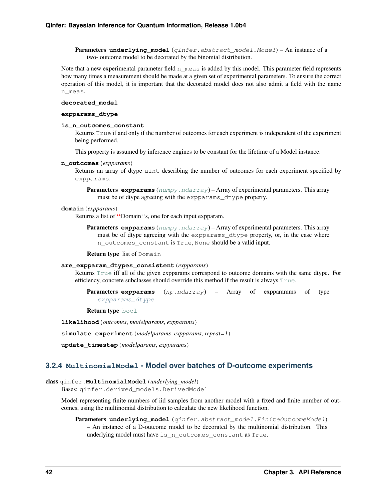**Parameters underlying model** (ginfer.abstract model.Model) – An instance of a two- outcome model to be decorated by the binomial distribution.

Note that a new experimental parameter field n\_meas is added by this model. This parameter field represents how many times a measurement should be made at a given set of experimental parameters. To ensure the correct operation of this model, it is important that the decorated model does not also admit a field with the name n\_meas.

#### <span id="page-44-0"></span>**decorated\_model**

#### **expparams\_dtype**

## **is\_n\_outcomes\_constant**

Returns True if and only if the number of outcomes for each experiment is independent of the experiment being performed.

This property is assumed by inference engines to be constant for the lifetime of a Model instance.

#### **n\_outcomes**(*expparams*)

Returns an array of dtype uint describing the number of outcomes for each experiment specified by expparams.

**Parameters expparams** ([numpy.ndarray](https://docs.scipy.org/doc/numpy/reference/generated/numpy.ndarray.html#numpy.ndarray)) – Array of experimental parameters. This array must be of dtype agreeing with the expparams\_dtype property.

# **domain**(*expparams*)

Returns a list of ''Domain''s, one for each input expparam.

**Parameters expparams** ([numpy.ndarray](https://docs.scipy.org/doc/numpy/reference/generated/numpy.ndarray.html#numpy.ndarray)) – Array of experimental parameters. This array must be of dtype agreeing with the expparams dtype property, or, in the case where n\_outcomes\_constant is True, None should be a valid input.

Return type list of Domain

#### **are\_expparam\_dtypes\_consistent**(*expparams*)

Returns [True](https://docs.python.org/3/library/constants.html#True) iff all of the given expparams correspond to outcome domains with the same dtype. For efficiency, concrete subclasses should override this method if the result is always  $True$ .

Parameters **expparams** (np.ndarray) – Array of expparamms of type [expparams\\_dtype](#page-44-0)

Return type [bool](https://docs.python.org/3/library/functions.html#bool)

**likelihood**(*outcomes*, *modelparams*, *expparams*)

**simulate\_experiment**(*modelparams*, *expparams*, *repeat=1*)

**update\_timestep**(*modelparams*, *expparams*)

# **3.2.4 MultinomialModel - Model over batches of D-outcome experiments**

# <span id="page-44-1"></span>class qinfer.**MultinomialModel**(*underlying\_model*)

Bases: qinfer.derived\_models.DerivedModel

Model representing finite numbers of iid samples from another model with a fixed and finite number of outcomes, using the multinomial distribution to calculate the new likelihood function.

Parameters underlying\_model (qinfer.abstract\_model.FiniteOutcomeModel) – An instance of a D-outcome model to be decorated by the multinomial distribution. This underlying model must have is\_n\_outcomes\_constant as True.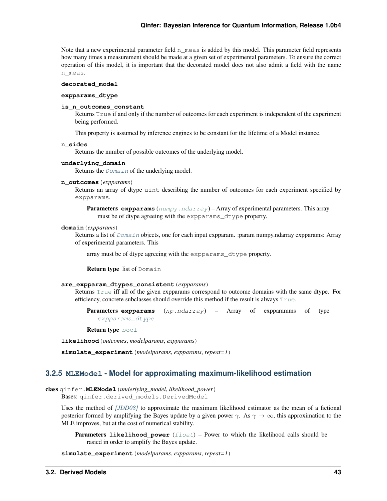Note that a new experimental parameter field n  $meas$  is added by this model. This parameter field represents how many times a measurement should be made at a given set of experimental parameters. To ensure the correct operation of this model, it is important that the decorated model does not also admit a field with the name n\_meas.

# <span id="page-45-0"></span>**decorated\_model**

## **expparams\_dtype**

## **is\_n\_outcomes\_constant**

Returns True if and only if the number of outcomes for each experiment is independent of the experiment being performed.

This property is assumed by inference engines to be constant for the lifetime of a Model instance.

## **n\_sides**

Returns the number of possible outcomes of the underlying model.

## **underlying\_domain**

Returns the [Domain](#page-52-0) of the underlying model.

## **n\_outcomes**(*expparams*)

Returns an array of dtype uint describing the number of outcomes for each experiment specified by expparams.

**Parameters expparams** ([numpy.ndarray](https://docs.scipy.org/doc/numpy/reference/generated/numpy.ndarray.html#numpy.ndarray)) – Array of experimental parameters. This array must be of dtype agreeing with the expparams\_dtype property.

## **domain**(*expparams*)

Returns a list of [Domain](#page-52-0) objects, one for each input expparam. :param numpy.ndarray expparams: Array of experimental parameters. This

array must be of dtype agreeing with the expparams\_dtype property.

Return type list of Domain

#### **are\_expparam\_dtypes\_consistent**(*expparams*)

Returns [True](https://docs.python.org/3/library/constants.html#True) iff all of the given expparams correspond to outcome domains with the same dtype. For efficiency, concrete subclasses should override this method if the result is always [True](https://docs.python.org/3/library/constants.html#True).

Parameters **expparams** (np.ndarray) – Array of expparamms of type [expparams\\_dtype](#page-45-0)

Return type [bool](https://docs.python.org/3/library/functions.html#bool)

**likelihood**(*outcomes*, *modelparams*, *expparams*)

**simulate\_experiment**(*modelparams*, *expparams*, *repeat=1*)

# **3.2.5 MLEModel - Model for approximating maximum-likelihood estimation**

class qinfer.**MLEModel**(*underlying\_model*, *likelihood\_power*)

Bases: qinfer.derived\_models.DerivedModel

Uses the method of *[\[JDD08\]](#page-93-0)* to approximate the maximum likelihood estimator as the mean of a fictional posterior formed by amplifying the Bayes update by a given power  $\gamma$ . As  $\gamma \to \infty$ , this approximation to the MLE improves, but at the cost of numerical stability.

Parameters likelihood\_power ([float](https://docs.python.org/3/library/functions.html#float)) – Power to which the likelihood calls should be rasied in order to amplify the Bayes update.

**simulate\_experiment**(*modelparams*, *expparams*, *repeat=1*)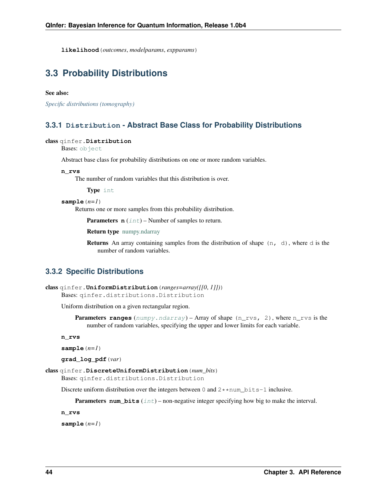**likelihood**(*outcomes*, *modelparams*, *expparams*)

# **3.3 Probability Distributions**

## See also:

*[Specific distributions \(tomography\)](#page-79-0)*

# **3.3.1 Distribution - Abstract Base Class for Probability Distributions**

### <span id="page-46-0"></span>class qinfer.**Distribution**

Bases: [object](https://docs.python.org/3/library/functions.html#object)

Abstract base class for probability distributions on one or more random variables.

#### **n\_rvs**

The number of random variables that this distribution is over.

Type [int](https://docs.python.org/3/library/functions.html#int)

#### $sample(n=1)$

Returns one or more samples from this probability distribution.

**Parameters**  $\mathbf{n}$  ([int](https://docs.python.org/3/library/functions.html#int)) – Number of samples to return.

Return type [numpy.ndarray](https://docs.scipy.org/doc/numpy/reference/generated/numpy.ndarray.html#numpy.ndarray)

**Returns** An array containing samples from the distribution of shape  $(n, d)$ , where d is the number of random variables.

# **3.3.2 Specific Distributions**

```
class qinfer.UniformDistribution(ranges=array([[0, 1]]))
    Bases: qinfer.distributions.Distribution
```
Uniform distribution on a given rectangular region.

```
Parameters rangesnumpy.ndarray) – Array of shape (n_rvs, 2), where n_rvs is the
    number of random variables, specifying the upper and lower limits for each variable.
```
**n\_rvs**

```
sample(n=1)
```
**grad\_log\_pdf**(*var*)

```
class qinfer.DiscreteUniformDistribution(num_bits)
```
Bases: qinfer.distributions.Distribution

Discrete uniform distribution over the integers between 0 and  $2*$  num bits-1 inclusive.

**Parameters num bits**  $(int)$  $(int)$  $(int)$  – non-negative integer specifying how big to make the interval.

**n\_rvs**

**sample**(*n=1*)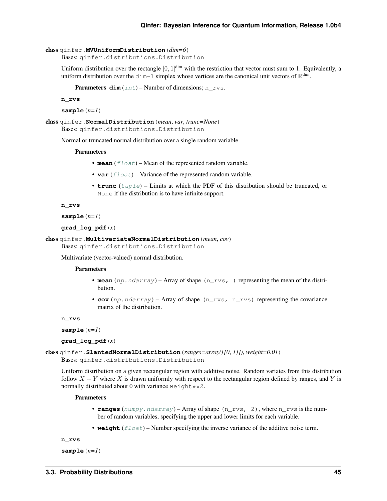```
class qinfer.MVUniformDistribution(dim=6)
```
Bases: qinfer.distributions.Distribution

Uniform distribution over the rectangle  $[0, 1]$ <sup>dim</sup> with the restriction that vector must sum to 1. Equivalently, a uniform distribution over the  $\dim-1$  simplex whose vertices are the canonical unit vectors of  $\mathbb{R}^{\dim}$ .

**Parameters**  $\dim$  ([int](https://docs.python.org/3/library/functions.html#int)) – Number of dimensions; n\_rvs.

**n\_rvs**

```
sample(n=1)
```

```
class qinfer.NormalDistribution(mean, var, trunc=None)
    Bases: qinfer.distributions.Distribution
```
Normal or truncated normal distribution over a single random variable.

#### **Parameters**

- **mean**  $(f$ loat) Mean of the represented random variable.
- **var** ([float](https://docs.python.org/3/library/functions.html#float)) Variance of the represented random variable.
- **trunc** ([tuple](https://docs.python.org/3/library/stdtypes.html#tuple)) Limits at which the PDF of this distribution should be truncated, or None if the distribution is to have infinite support.

```
n_rvs
```

```
sample(n=1)
```

```
grad_log_pdf(x)
```
class qinfer.**MultivariateNormalDistribution**(*mean*, *cov*)

```
Bases: qinfer.distributions.Distribution
```
Multivariate (vector-valued) normal distribution.

## Parameters

- **mean**  $(np.ndarray)$  Array of shape  $(n, rvs, )$  representing the mean of the distribution.
- **cov**  $(np.ndarray)$  Array of shape  $(n_r \text{ is } n_r \text{ is})$  representing the covariance matrix of the distribution.

**n\_rvs**

```
sample(n=1)
```
**grad\_log\_pdf**(*x*)

```
class qinfer.SlantedNormalDistribution(ranges=array([[0, 1]]), weight=0.01)
    Bases: qinfer.distributions.Distribution
```
Uniform distribution on a given rectangular region with additive noise. Random variates from this distribution follow  $X + Y$  where X is drawn uniformly with respect to the rectangular region defined by ranges, and Y is normally distributed about 0 with variance  $weight**2$ .

## Parameters

- **ranges** ([numpy.ndarray](https://docs.scipy.org/doc/numpy/reference/generated/numpy.ndarray.html#numpy.ndarray)) Array of shape (n\_rvs, 2), where n\_rvs is the number of random variables, specifying the upper and lower limits for each variable.
- **weight**  $(f$ loat) Number specifying the inverse variance of the additive noise term.

**n\_rvs**

```
sample(n=1)
```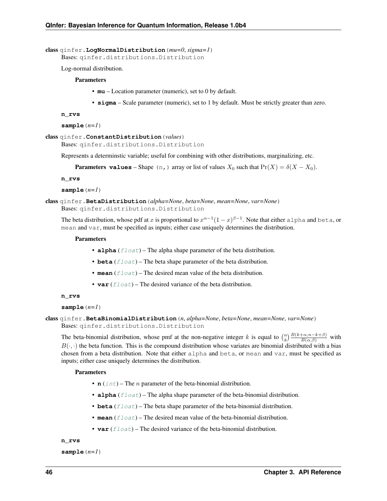class qinfer.**LogNormalDistribution**(*mu=0*, *sigma=1*)

Bases: qinfer.distributions.Distribution

Log-normal distribution.

## **Parameters**

- **mu** Location parameter (numeric), set to 0 by default.
- **sigma** Scale parameter (numeric), set to 1 by default. Must be strictly greater than zero.

```
n_rvs
```
**sample**(*n=1*)

```
class qinfer.ConstantDistribution(values)
```
Bases: qinfer.distributions.Distribution

Represents a determinstic variable; useful for combining with other distributions, marginalizing, etc.

**Parameters values** – Shape (n,) array or list of values  $X_0$  such that  $Pr(X) = \delta(X - X_0)$ .

**n\_rvs**

**sample**(*n=1*)

class qinfer.**BetaDistribution**(*alpha=None*, *beta=None*, *mean=None*, *var=None*) Bases: qinfer.distributions.Distribution

The beta distribution, whose pdf at x is proportional to  $x^{\alpha-1}(1-x)^{\beta-1}$ . Note that either alpha and beta, or mean and var, must be specified as inputs; either case uniquely determines the distribution.

## Parameters

- **alpha**  $(f$ loat) The alpha shape parameter of the beta distribution.
- **beta**  $(f$ loat) The beta shape parameter of the beta distribution.
- **mean**  $(f \text{load})$  The desired mean value of the beta distribution.
- **var** ([float](https://docs.python.org/3/library/functions.html#float)) The desired variance of the beta distribution.

```
n_rvs
```

```
sample(n=1)
```
class qinfer.**BetaBinomialDistribution**(*n*, *alpha=None*, *beta=None*, *mean=None*, *var=None*) Bases: qinfer.distributions.Distribution

The beta-binomial distribution, whose pmf at the non-negative integer k is equal to  $\binom{n}{k} \frac{B(k+\alpha,n-k+\beta)}{B(\alpha,\beta)}$  with  $B(\cdot, \cdot)$  the beta function. This is the compound distribution whose variates are binomial distributed with a bias chosen from a beta distribution. Note that either alpha and beta, or mean and var, must be specified as inputs; either case uniquely determines the distribution.

# Parameters

- **n**  $(int)$  $(int)$  $(int)$  The *n* parameter of the beta-binomial distribution.
- **alpha**  $(f$ loat) The alpha shape parameter of the beta-binomial distribution.
- **beta** (*[float](https://docs.python.org/3/library/functions.html#float)*) The beta shape parameter of the beta-binomial distribution.
- **mean**  $(f$ loat) The desired mean value of the beta-binomial distribution.
- **var** ([float](https://docs.python.org/3/library/functions.html#float)) The desired variance of the beta-binomial distribution.

**n\_rvs**

```
sample(n=1)
```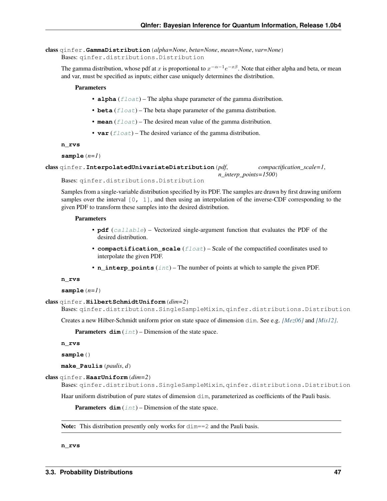class qinfer.**GammaDistribution**(*alpha=None*, *beta=None*, *mean=None*, *var=None*) Bases: qinfer.distributions.Distribution

The gamma distribution, whose pdf at x is proportional to  $x^{-\alpha-1}e^{-x\beta}$ . Note that either alpha and beta, or mean and var, must be specified as inputs; either case uniquely determines the distribution.

# Parameters

- **alpha**  $(f$ loat) The alpha shape parameter of the gamma distribution.
- **beta**  $(f$ loat) The beta shape parameter of the gamma distribution.
- **mean**  $(f$ loat) The desired mean value of the gamma distribution.
- **var** ([float](https://docs.python.org/3/library/functions.html#float)) The desired variance of the gamma distribution.

#### **n\_rvs**

```
sample(n=1)
```

```
class qinfer.InterpolatedUnivariateDistribution(pdf, compactification_scale=1,
                                                   n_interp_points=1500)
```
Bases: qinfer.distributions.Distribution

Samples from a single-variable distribution specified by its PDF. The samples are drawn by first drawing uniform samples over the interval  $[0, 1]$ , and then using an interpolation of the inverse-CDF corresponding to the given PDF to transform these samples into the desired distribution.

## Parameters

- **pdf** ([callable](https://docs.python.org/3/library/functions.html#callable)) Vectorized single-argument function that evaluates the PDF of the desired distribution.
- **compactification\_scale** ([float](https://docs.python.org/3/library/functions.html#float)) Scale of the compactified coordinates used to interpolate the given PDF.
- **n\_interp\_points** ([int](https://docs.python.org/3/library/functions.html#int)) The number of points at which to sample the given PDF.

#### **n\_rvs**

 $sample(n=1)$ 

```
class qinfer.HilbertSchmidtUniform(dim=2)
```

```
Bases: qinfer.distributions.SingleSampleMixin, qinfer.distributions.Distribution
```
Creates a new Hilber-Schmidt uniform prior on state space of dimension dim. See e.g. *[\[Mez06\]](#page-93-1)* and *[\[Mis12\]](#page-93-2)*.

**Parameters**  $\dim (\text{int})$  $\dim (\text{int})$  $\dim (\text{int})$  **– Dimension of the state space.** 

**n\_rvs**

**sample**()

**make\_Paulis**(*paulis*, *d*)

```
class qinfer.HaarUniform(dim=2)
```
Bases: qinfer.distributions.SingleSampleMixin, qinfer.distributions.Distribution

Haar uniform distribution of pure states of dimension dim, parameterized as coefficients of the Pauli basis.

**Parameters**  $\dim (\text{int})$  $\dim (\text{int})$  $\dim (\text{int})$  **– Dimension of the state space.** 

Note: This distribution presently only works for  $\dim=2$  and the Pauli basis.

**n\_rvs**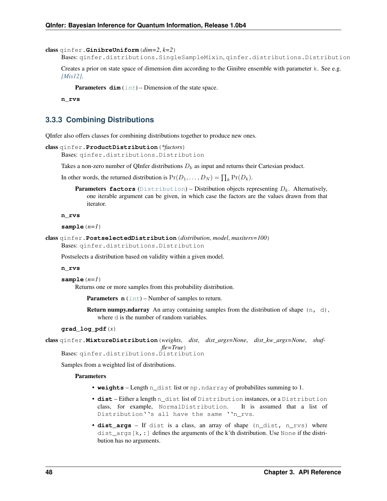```
class qinfer.GinibreUniform(dim=2, k=2)
```
Bases: qinfer.distributions.SingleSampleMixin, qinfer.distributions.Distribution

Creates a prior on state space of dimension dim according to the Ginibre ensemble with parameter k. See e.g. *[\[Mis12\]](#page-93-2)*.

**Parameters**  $\dim$  ([int](https://docs.python.org/3/library/functions.html#int)) – Dimension of the state space.

**n\_rvs**

# **3.3.3 Combining Distributions**

QInfer also offers classes for combining distributions together to produce new ones.

```
class qinfer.ProductDistribution(*factors)
```
Bases: qinfer.distributions.Distribution

Takes a non-zero number of QInfer distributions  $D_k$  as input and returns their Cartesian product.

In other words, the returned distribution is  $Pr(D_1, ..., D_N) = \prod_k Pr(D_k)$ .

**Parameters factors** ([Distribution](#page-46-0)) – Distribution objects representing  $D_k$ . Alternatively, one iterable argument can be given, in which case the factors are the values drawn from that iterator.

**n\_rvs**

**sample**(*n=1*)

```
class qinfer.PostselectedDistribution(distribution, model, maxiters=100)
    Bases: qinfer.distributions.Distribution
```
Postselects a distribution based on validity within a given model.

**n\_rvs**

**sample**(*n=1*)

Returns one or more samples from this probability distribution.

**Parameters**  $\mathbf{n}$  ([int](https://docs.python.org/3/library/functions.html#int)) – Number of samples to return.

**Return numpy.ndarray** An array containing samples from the distribution of shape  $(n, d)$ , where  $\alpha$  is the number of random variables.

## **grad\_log\_pdf**(*x*)

class qinfer.**MixtureDistribution**(*weights*, *dist*, *dist\_args=None*, *dist\_kw\_args=None*, *shuffle=True*)

Bases: qinfer.distributions.Distribution

Samples from a weighted list of distributions.

- **weights** Length n\_dist list or np.ndarray of probabilites summing to 1.
- **dist** Either a length n\_dist list of Distribution instances, or a Distribution class, for example, NormalDistribution. It is assumed that a list of Distribution''s all have the same ''n\_rvs.
- **dist args** If dist is a class, an array of shape (n dist, n rvs) where dist\_args  $[k, :]$  defines the arguments of the k'th distribution. Use None if the distribution has no arguments.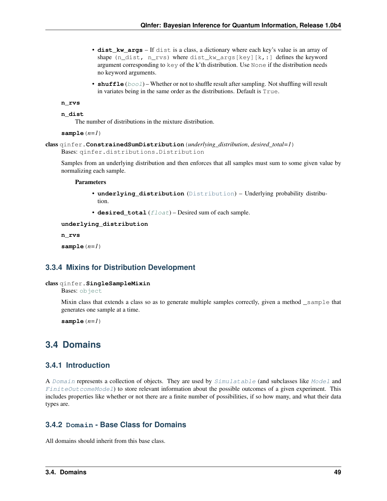- **dist kw args** If dist is a class, a dictionary where each key's value is an array of shape (n\_dist, n\_rvs) where dist\_kw\_args[key][k,:] defines the keyword argument corresponding to key of the k'th distribution. Use None if the distribution needs no keyword arguments.
- **shuffle** ([bool](https://docs.python.org/3/library/functions.html#bool)) Whether or not to shuffle result after sampling. Not shuffling will result in variates being in the same order as the distributions. Default is True.

```
n_rvs
```

```
n_dist
```
The number of distributions in the mixture distribution.

```
sample(n=1)
```

```
class qinfer.ConstrainedSumDistribution(underlying_distribution, desired_total=1)
    Bases: qinfer.distributions.Distribution
```
Samples from an underlying distribution and then enforces that all samples must sum to some given value by normalizing each sample.

#### **Parameters**

- **underlying\_distribution** ([Distribution](#page-46-0)) Underlying probability distribution.
- **desired\_total** ([float](https://docs.python.org/3/library/functions.html#float)) Desired sum of each sample.

**underlying\_distribution**

**n\_rvs**

**sample**(*n=1*)

# **3.3.4 Mixins for Distribution Development**

# class qinfer.**SingleSampleMixin**

Bases: [object](https://docs.python.org/3/library/functions.html#object)

Mixin class that extends a class so as to generate multiple samples correctly, given a method \_sample that generates one sample at a time.

**sample**(*n=1*)

# **3.4 Domains**

# **3.4.1 Introduction**

A [Domain](#page-52-0) represents a collection of objects. They are used by [Simulatable](#page-37-0) (and subclasses like [Model](#page-40-0) and  $FiniteOutcomeded1$  to store relevant information about the possible outcomes of a given experiment. This includes properties like whether or not there are a finite number of possibilities, if so how many, and what their data types are.

# **3.4.2 Domain - Base Class for Domains**

All domains should inherit from this base class.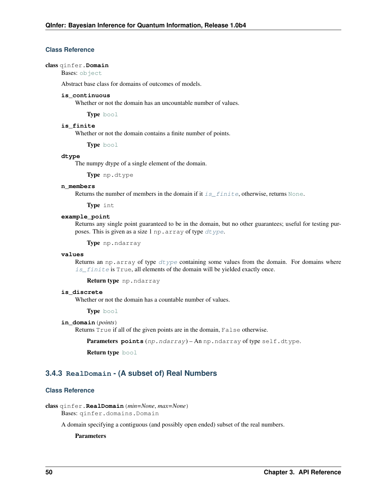# **Class Reference**

#### <span id="page-52-0"></span>class qinfer.**Domain**

Bases: [object](https://docs.python.org/3/library/functions.html#object)

Abstract base class for domains of outcomes of models.

# **is\_continuous**

Whether or not the domain has an uncountable number of values.

Type [bool](https://docs.python.org/3/library/functions.html#bool)

# <span id="page-52-1"></span>**is\_finite**

Whether or not the domain contains a finite number of points.

Type [bool](https://docs.python.org/3/library/functions.html#bool)

## <span id="page-52-2"></span>**dtype**

The numpy dtype of a single element of the domain.

Type np.dtype

## **n\_members**

Returns the number of members in the domain if it is  $finite$ , otherwise, returns [None](https://docs.python.org/3/library/constants.html#None).

Type int

# **example\_point**

Returns any single point guaranteed to be in the domain, but no other guarantees; useful for testing purposes. This is given as a size 1 np.array of type [dtype](#page-52-2).

Type np.ndarray

# **values**

Returns an np. array of type  $dt$  ype containing some values from the domain. For domains where [is\\_finite](#page-52-1) is True, all elements of the domain will be yielded exactly once.

Return type np.ndarray

# **is\_discrete**

Whether or not the domain has a countable number of values.

Type [bool](https://docs.python.org/3/library/functions.html#bool)

## **in\_domain**(*points*)

Returns True if all of the given points are in the domain, False otherwise.

Parameters **points** (np.ndarray) - An np.ndarray of type self.dtype.

Return type [bool](https://docs.python.org/3/library/functions.html#bool)

# **3.4.3 RealDomain - (A subset of) Real Numbers**

# **Class Reference**

class qinfer.**RealDomain**(*min=None*, *max=None*)

Bases: qinfer.domains.Domain

A domain specifying a contiguous (and possibly open ended) subset of the real numbers.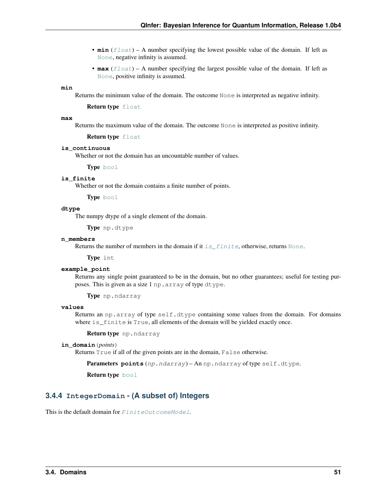- $\min$  ( $\text{float}}$  $\text{float}}$  $\text{float}}$ ) A number specifying the lowest possible value of the domain. If left as [None](https://docs.python.org/3/library/constants.html#None), negative infinity is assumed.
- $\text{max}(f\text{lost}) A$  number specifying the largest possible value of the domain. If left as [None](https://docs.python.org/3/library/constants.html#None), positive infinity is assumed.

# **min**

Returns the minimum value of the domain. The outcome None is interpreted as negative infinity.

Return type [float](https://docs.python.org/3/library/functions.html#float)

#### **max**

Returns the maximum value of the domain. The outcome None is interpreted as positive infinity.

Return type [float](https://docs.python.org/3/library/functions.html#float)

#### **is\_continuous**

Whether or not the domain has an uncountable number of values.

Type [bool](https://docs.python.org/3/library/functions.html#bool)

## <span id="page-53-0"></span>**is\_finite**

Whether or not the domain contains a finite number of points.

Type [bool](https://docs.python.org/3/library/functions.html#bool)

# **dtype**

The numpy dtype of a single element of the domain.

Type np.dtype

## **n\_members**

Returns the number of members in the domain if it  $is\_finite$ , otherwise, returns [None](https://docs.python.org/3/library/constants.html#None).

Type int

#### **example\_point**

Returns any single point guaranteed to be in the domain, but no other guarantees; useful for testing purposes. This is given as a size 1 np.array of type dtype.

Type np.ndarray

# **values**

Returns an np.array of type self.dtype containing some values from the domain. For domains where is finite is True, all elements of the domain will be yielded exactly once.

Return type np.ndarray

## **in\_domain**(*points*)

Returns True if all of the given points are in the domain, False otherwise.

Parameters **points** (np.ndarray) – An np.ndarray of type self.dtype.

Return type [bool](https://docs.python.org/3/library/functions.html#bool)

# **3.4.4 IntegerDomain - (A subset of) Integers**

This is the default domain for  $FiniteOutcomplete$ .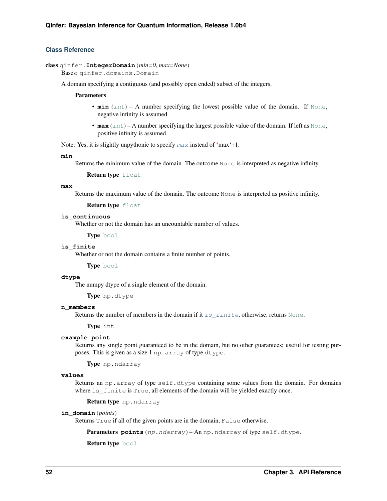# **Class Reference**

# class qinfer.**IntegerDomain**(*min=0*, *max=None*)

Bases: qinfer.domains.Domain

A domain specifying a contiguous (and possibly open ended) subset of the integers.

## **Parameters**

- $min(iint) A$  $min(iint) A$  $min(iint) A$  number specifying the lowest possible value of the domain. If [None](https://docs.python.org/3/library/constants.html#None), negative infinity is assumed.
- $\textbf{max}(int) A$  $\textbf{max}(int) A$  $\textbf{max}(int) A$  number specifying the largest possible value of the domain. If left as [None](https://docs.python.org/3/library/constants.html#None), positive infinity is assumed.

Note: Yes, it is slightly unpythonic to specify [max](#page-54-0) instead of 'max'+1.

## **min**

Returns the minimum value of the domain. The outcome None is interpreted as negative infinity.

Return type [float](https://docs.python.org/3/library/functions.html#float)

#### <span id="page-54-0"></span>**max**

Returns the maximum value of the domain. The outcome None is interpreted as positive infinity.

#### Return type [float](https://docs.python.org/3/library/functions.html#float)

## **is\_continuous**

Whether or not the domain has an uncountable number of values.

Type [bool](https://docs.python.org/3/library/functions.html#bool)

# <span id="page-54-1"></span>**is\_finite**

Whether or not the domain contains a finite number of points.

Type [bool](https://docs.python.org/3/library/functions.html#bool)

#### **dtype**

The numpy dtype of a single element of the domain.

Type np.dtype

#### **n\_members**

Returns the number of members in the domain if it is  $finite$ , otherwise, returns [None](https://docs.python.org/3/library/constants.html#None).

Type int

# **example\_point**

Returns any single point guaranteed to be in the domain, but no other guarantees; useful for testing purposes. This is given as a size 1 np.array of type dtype.

Type np.ndarray

# **values**

Returns an np.array of type self.dtype containing some values from the domain. For domains where is finite is True, all elements of the domain will be yielded exactly once.

Return type np.ndarray

# **in\_domain**(*points*)

Returns True if all of the given points are in the domain, False otherwise.

Parameters **points** (np.ndarray) – An np.ndarray of type self.dtype.

Return type [bool](https://docs.python.org/3/library/functions.html#bool)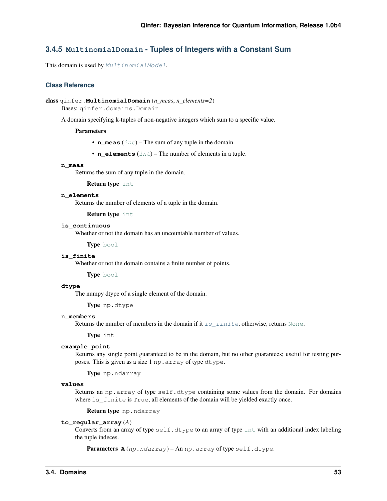# **3.4.5 MultinomialDomain - Tuples of Integers with a Constant Sum**

This domain is used by [MultinomialModel](#page-44-1).

# **Class Reference**

```
class qinfer.MultinomialDomain(n_meas, n_elements=2)
```
Bases: qinfer.domains.Domain

A domain specifying k-tuples of non-negative integers which sum to a specific value.

## Parameters

- **n\_meas** ([int](https://docs.python.org/3/library/functions.html#int)) The sum of any tuple in the domain.
- **n\_elements** ([int](https://docs.python.org/3/library/functions.html#int)) The number of elements in a tuple.

#### **n\_meas**

Returns the sum of any tuple in the domain.

## Return type [int](https://docs.python.org/3/library/functions.html#int)

# **n\_elements**

Returns the number of elements of a tuple in the domain.

Return type [int](https://docs.python.org/3/library/functions.html#int)

## **is\_continuous**

Whether or not the domain has an uncountable number of values.

Type [bool](https://docs.python.org/3/library/functions.html#bool)

# <span id="page-55-0"></span>**is\_finite**

Whether or not the domain contains a finite number of points.

Type [bool](https://docs.python.org/3/library/functions.html#bool)

# **dtype**

The numpy dtype of a single element of the domain.

Type np.dtype

## **n\_members**

Returns the number of members in the domain if it is  $finite$ , otherwise, returns [None](https://docs.python.org/3/library/constants.html#None).

Type int

## **example\_point**

Returns any single point guaranteed to be in the domain, but no other guarantees; useful for testing purposes. This is given as a size 1 np.array of type dtype.

Type np.ndarray

# **values**

Returns an np.array of type self.dtype containing some values from the domain. For domains where is\_finite is True, all elements of the domain will be yielded exactly once.

Return type np.ndarray

## **to\_regular\_array**(*A*)

Converts from an array of type self.dtype to an array of type [int](https://docs.python.org/3/library/functions.html#int) with an additional index labeling the tuple indeces.

Parameters **A** (np.ndarray) – An np.array of type self.dtype.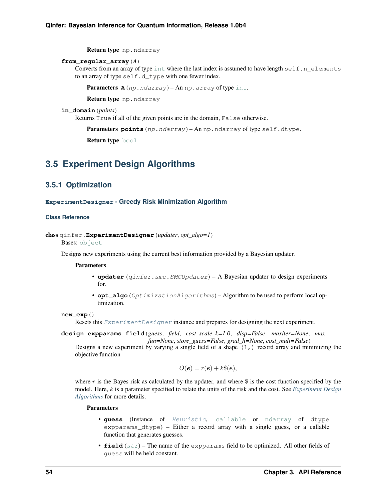Return type np.ndarray

## **from\_regular\_array**(*A*)

Converts from an array of type [int](https://docs.python.org/3/library/functions.html#int) where the last index is assumed to have length self.n\_elements to an array of type self.d\_type with one fewer index.

**Parameters**  $\mathbf{A}(np,ndarray) - \text{An np.array of type int.}$  $\mathbf{A}(np,ndarray) - \text{An np.array of type int.}$  $\mathbf{A}(np,ndarray) - \text{An np.array of type int.}$ 

Return type np.ndarray

# **in\_domain**(*points*)

Returns True if all of the given points are in the domain, False otherwise.

Parameters **points** (np.ndarray) - An np.ndarray of type self.dtype.

Return type [bool](https://docs.python.org/3/library/functions.html#bool)

# <span id="page-56-1"></span>**3.5 Experiment Design Algorithms**

# **3.5.1 Optimization**

# **ExperimentDesigner - Greedy Risk Minimization Algorithm**

#### **Class Reference**

```
class qinfer.ExperimentDesigner(updater, opt_algo=1)
```
Bases: [object](https://docs.python.org/3/library/functions.html#object)

Designs new experiments using the current best information provided by a Bayesian updater.

#### **Parameters**

- **updater** (*qinfer.smc.SMCUpdater*) A Bayesian updater to design experiments for.
- **opt\_algo** (OptimizationAlgorithms) Algorithm to be used to perform local optimization.

#### **new\_exp**()

Resets this Experiment Designer instance and prepares for designing the next experiment.

**design\_expparams\_field**(*guess*, *field*, *cost\_scale\_k=1.0*, *disp=False*, *maxiter=None*, *maxfun=None*, *store\_guess=False*, *grad\_h=None*, *cost\_mult=False*)

Designs a new experiment by varying a single field of a shape  $(1, 1)$  record array and minimizing the objective function

$$
O(e) = r(e) + k\$(e),
$$

where  $r$  is the Bayes risk as calculated by the updater, and where  $\frac{1}{2}$  is the cost function specified by the model. Here, *k* is a parameter specified to relate the units of the risk and the cost. See *[Experiment Design](#page-56-1) [Algorithms](#page-56-1)* for more details.

- **guess** (Instance of [Heuristic](#page-57-0), [callable](https://docs.python.org/3/library/functions.html#callable) or [ndarray](https://docs.scipy.org/doc/numpy/reference/generated/numpy.ndarray.html#numpy.ndarray) of dtype expparams\_dtype) – Either a record array with a single guess, or a callable function that generates guesses.
- **field**  $(s \tau r)$  The name of the expparams field to be optimized. All other fields of guess will be held constant.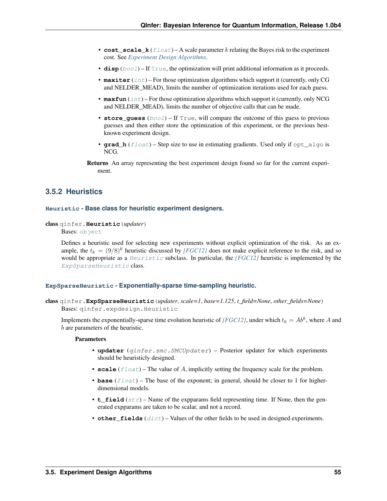- **cost** scale  $k(fload) A$  scale parameter k relating the Bayes risk to the experiment cost. See *[Experiment Design Algorithms](#page-56-1)*.
- **disp** ([bool](https://docs.python.org/3/library/functions.html#bool)) If [True](https://docs.python.org/3/library/constants.html#True), the optimization will print additional information as it proceeds.
- **maxiter** ([int](https://docs.python.org/3/library/functions.html#int)) For those optimization algorithms which support it (currently, only CG and NELDER\_MEAD), limits the number of optimization iterations used for each guess.
- **maxfun** ([int](https://docs.python.org/3/library/functions.html#int)) For those optimization algorithms which support it (currently, only NCG and NELDER\_MEAD), limits the number of objective calls that can be made.
- **store\_guess** ([bool](https://docs.python.org/3/library/functions.html#bool)) If True, will compare the outcome of this guess to previous guesses and then either store the optimization of this experiment, or the previous bestknown experiment design.
- **grad\_h** ([float](https://docs.python.org/3/library/functions.html#float)) Step size to use in estimating gradients. Used only if opt\_algo is NCG.
- Returns An array representing the best experiment design found so far for the current experiment.

# **3.5.2 Heuristics**

## **Heuristic - Base class for heuristic experiment designers.**

<span id="page-57-0"></span>class qinfer.**Heuristic**(*updater*)

Bases: [object](https://docs.python.org/3/library/functions.html#object)

Defines a heuristic used for selecting new experiments without explicit optimization of the risk. As an example, the  $t_k = (9/8)^k$  heuristic discussed by *[\[FGC12\]](#page-93-3)* does not make explicit reference to the risk, and so would be appropriate as a [Heuristic](#page-57-0) subclass. In particular, the *[\[FGC12\]](#page-93-3)* heuristic is implemented by the [ExpSparseHeuristic](#page-57-1) class.

# **ExpSparseHeuristic - Exponentially-sparse time-sampling heuristic.**

```
class qinfer.ExpSparseHeuristic(updater, scale=1, base=1.125, t_field=None, other_fields=None)
     Bases: qinfer.expdesign.Heuristic
```
Implements the exponentially-sparse time evolution heuristic of *[\[FGC12\]](#page-93-3)*, under which  $t_k = Ab^k$ , where A and  $b$  are parameters of the heuristic.

- **updater** (qinfer.smc.SMCUpdater) Posterior updater for which experiments should be heuristicly designed.
- **scale**  $(f$ l $\circ$ at) The value of A, implicitly setting the frequency scale for the problem.
- **base** (*[float](https://docs.python.org/3/library/functions.html#float)*) The base of the exponent; in general, should be closer to 1 for higherdimensional models.
- **t\_field**  $(s \tau)$  Name of the expparams field representing time. If None, then the generated expparams are taken to be scalar, and not a record.
- **other\_fields**  $(dict)$  $(dict)$  $(dict)$  Values of the other fields to be used in designed experiments.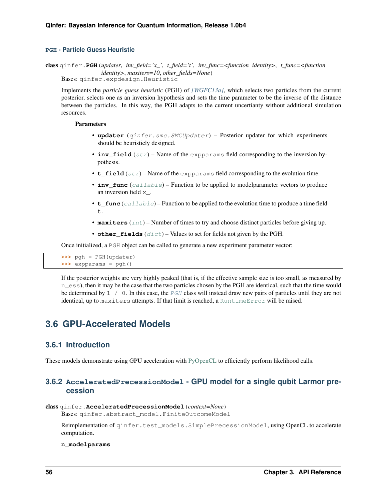# **PGH - Particle Guess Heuristic**

<span id="page-58-0"></span>class qinfer.**PGH**(*updater*, *inv\_field='x\_'*, *t\_field='t'*, *inv\_func=<function identity>*, *t\_func=<function identity>*, *maxiters=10*, *other\_fields=None*) Bases: qinfer.expdesign.Heuristic

Implements the *particle guess heuristic* (PGH) of *[\[WGFC13a\]](#page-94-0)*, which selects two particles from the current posterior, selects one as an inversion hypothesis and sets the time parameter to be the inverse of the distance between the particles. In this way, the PGH adapts to the current uncertianty without additional simulation resources.

## **Parameters**

- **updater** (qinfer.smc.SMCUpdater) Posterior updater for which experiments should be heuristicly designed.
- $inv_field(str)$  $inv_field(str)$  $inv_field(str)$  Name of the expparams field corresponding to the inversion hypothesis.
- $t_f$ **ield** ([str](https://docs.python.org/3/library/stdtypes.html#str)) Name of the expparams field corresponding to the evolution time.
- **inv\_func** ([callable](https://docs.python.org/3/library/functions.html#callable)) Function to be applied to modelparameter vectors to produce an inversion field x.
- **t\_func** ([callable](https://docs.python.org/3/library/functions.html#callable)) Function to be applied to the evolution time to produce a time field  $+$
- **maxiters** ([int](https://docs.python.org/3/library/functions.html#int)) Number of times to try and choose distinct particles before giving up.
- **other fields**  $(dict)$  $(dict)$  $(dict)$  Values to set for fields not given by the PGH.

Once initialized, a PGH object can be called to generate a new experiment parameter vector:

```
>>> pgh = PGH(updater)
>>> expparams = pgh()
```
If the posterior weights are very highly peaked (that is, if the effective sample size is too small, as measured by n\_ess), then it may be the case that the two particles chosen by the PGH are identical, such that the time would be determined by  $1 / 0$ . In this case, the [PGH](#page-58-0) class will instead draw new pairs of particles until they are not identical, up to maxiters attempts. If that limit is reached, a [RuntimeError](https://docs.python.org/3/library/exceptions.html#RuntimeError) will be raised.

# **3.6 GPU-Accelerated Models**

# **3.6.1 Introduction**

These models demonstrate using GPU acceleration with [PyOpenCL](http://mathema.tician.de/software/pyopencl/) to efficiently perform likelihood calls.

# **3.6.2 AcceleratedPrecessionModel - GPU model for a single qubit Larmor precession**

#### class qinfer.**AcceleratedPrecessionModel**(*context=None*)

Bases: qinfer.abstract\_model.FiniteOutcomeModel

Reimplementation of  $q$ infer.test\_models.SimplePrecessionModel, using OpenCL to accelerate computation.

## **n\_modelparams**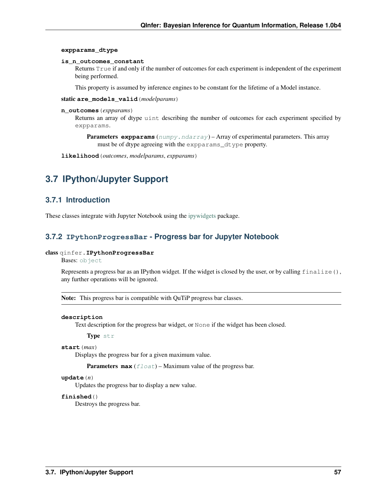## **expparams\_dtype**

#### **is\_n\_outcomes\_constant**

Returns True if and only if the number of outcomes for each experiment is independent of the experiment being performed.

This property is assumed by inference engines to be constant for the lifetime of a Model instance.

static **are\_models\_valid**(*modelparams*)

# **n\_outcomes**(*expparams*)

Returns an array of dtype uint describing the number of outcomes for each experiment specified by expparams.

**Parameters expparams** ([numpy.ndarray](https://docs.scipy.org/doc/numpy/reference/generated/numpy.ndarray.html#numpy.ndarray)) – Array of experimental parameters. This array must be of dtype agreeing with the expparams\_dtype property.

**likelihood**(*outcomes*, *modelparams*, *expparams*)

# **3.7 IPython/Jupyter Support**

# **3.7.1 Introduction**

These classes integrate with Jupyter Notebook using the [ipywidgets](https://github.com/ipython/ipywidgets/) package.

# **3.7.2 IPythonProgressBar - Progress bar for Jupyter Notebook**

# class qinfer.**IPythonProgressBar**

Bases: [object](https://docs.python.org/3/library/functions.html#object)

Represents a progress bar as an IPython widget. If the widget is closed by the user, or by calling finalize(), any further operations will be ignored.

Note: This progress bar is compatible with QuTiP progress bar classes.

# **description**

Text description for the progress bar widget, or None if the widget has been closed.

#### Type [str](https://docs.python.org/3/library/stdtypes.html#str)

# **start**(*max*)

Displays the progress bar for a given maximum value.

**Parameters max**  $(f \text{load})$  – Maximum value of the progress bar.

## **update**(*n*)

Updates the progress bar to display a new value.

# **finished**()

Destroys the progress bar.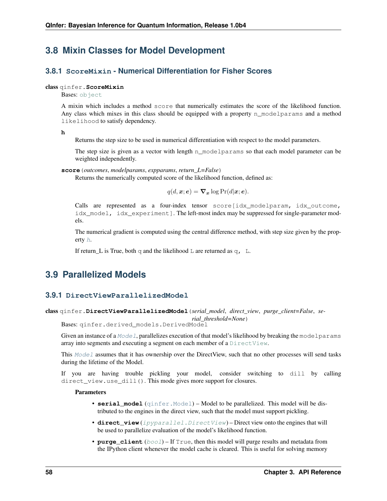# **3.8 Mixin Classes for Model Development**

# **3.8.1 ScoreMixin - Numerical Differentiation for Fisher Scores**

# class qinfer.**ScoreMixin**

Bases: [object](https://docs.python.org/3/library/functions.html#object)

A mixin which includes a method score that numerically estimates the score of the likelihood function. Any class which mixes in this class should be equipped with a property n\_modelparams and a method likelihood to satisfy dependency.

<span id="page-60-0"></span>**h**

Returns the step size to be used in numerical differentiation with respect to the model parameters.

The step size is given as a vector with length n\_modelparams so that each model parameter can be weighted independently.

**score**(*outcomes*, *modelparams*, *expparams*, *return\_L=False*)

Returns the numerically computed score of the likelihood function, defined as:

$$
q(d, \boldsymbol{x}; \boldsymbol{e}) = \boldsymbol{\nabla}_{\boldsymbol{x}} \log \Pr(d|\boldsymbol{x}; \boldsymbol{e}).
$$

Calls are represented as a four-index tensor score[idx\_modelparam, idx\_outcome, idx\_model, idx\_experiment]. The left-most index may be suppressed for single-parameter models.

The numerical gradient is computed using the central difference method, with step size given by the property [h](#page-60-0).

If return\_L is True, both q and the likelihood  $\mathbb L$  are returned as q,  $\mathbb L$ .

# **3.9 Parallelized Models**

# **3.9.1 DirectViewParallelizedModel**

class qinfer.**DirectViewParallelizedModel**(*serial\_model*, *direct\_view*, *purge\_client=False*, *se-*

*rial\_threshold=None*)

Bases: qinfer.derived models.DerivedModel

Given an instance of a  $Model$ , parallelizes execution of that model's likelihood by breaking the modelparams array into segments and executing a segment on each member of a [DirectView](https://ipyparallel.readthedocs.io/en/latest/api/ipyparallel.html#ipyparallel.DirectView).

This [Model](#page-40-0) assumes that it has ownership over the DirectView, such that no other processes will send tasks during the lifetime of the Model.

If you are having trouble pickling your model, consider switching to dill by calling direct\_view.use\_dill(). This mode gives more support for closures.

- **serial\_model** ([qinfer.Model](#page-40-0)) Model to be parallelized. This model will be distributed to the engines in the direct view, such that the model must support pickling.
- **direct\_view** (ipyparallel. DirectView) Direct view onto the engines that will be used to parallelize evaluation of the model's likelihood function.
- **purge\_client** ([bool](https://docs.python.org/3/library/functions.html#bool)) If True, then this model will purge results and metadata from the IPython client whenever the model cache is cleared. This is useful for solving memory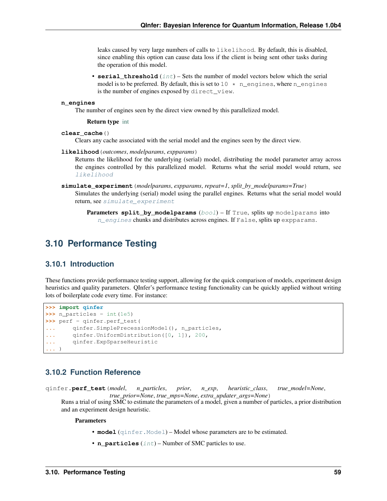leaks caused by very large numbers of calls to likelihood. By default, this is disabled, since enabling this option can cause data loss if the client is being sent other tasks during the operation of this model.

• **serial\_threshold** ([int](https://docs.python.org/3/library/functions.html#int)) – Sets the number of model vectors below which the serial model is to be preferred. By default, this is set to  $10 \star n$  engines, where neurogines is the number of engines exposed by direct\_view.

#### <span id="page-61-0"></span>**n\_engines**

The number of engines seen by the direct view owned by this parallelized model.

#### Return type [int](https://docs.python.org/3/library/functions.html#int)

#### **clear\_cache**()

Clears any cache associated with the serial model and the engines seen by the direct view.

#### **likelihood**(*outcomes*, *modelparams*, *expparams*)

Returns the likelihood for the underlying (serial) model, distributing the model parameter array across the engines controlled by this parallelized model. Returns what the serial model would return, see [likelihood](#page-40-1)

- **simulate\_experiment**(*modelparams*, *expparams*, *repeat=1*, *split\_by\_modelparams=True*) Simulates the underlying (serial) model using the parallel engines. Returns what the serial model would return, see [simulate\\_experiment](#page-39-0)
	- **Parameters split\_by\_modelparams** ([bool](https://docs.python.org/3/library/functions.html#bool)) If True, splits up modelparams into n engines chunks and distributes across engines. If False, splits up expparams.

# **3.10 Performance Testing**

# **3.10.1 Introduction**

These functions provide performance testing support, allowing for the quick comparison of models, experiment design heuristics and quality parameters. QInfer's performance testing functionality can be quickly applied without writing lots of boilerplate code every time. For instance:

```
>>> import qinfer
>>> n_particles = int(1e5)
>>> perf = qinfer.perf_test(
... qinfer.SimplePrecessionModel(), n_particles,
... qinfer.UniformDistribution([0, 1]), 200,
... qinfer.ExpSparseHeuristic
... )
```
# **3.10.2 Function Reference**

<span id="page-61-1"></span>qinfer.**perf\_test**(*model*, *n\_particles*, *prior*, *n\_exp*, *heuristic\_class*, *true\_model=None*, *true\_prior=None*, *true\_mps=None*, *extra\_updater\_args=None*)

Runs a trial of using SMC to estimate the parameters of a model, given a number of particles, a prior distribution and an experiment design heuristic.

- **model** ([qinfer.Model](#page-40-0)) Model whose parameters are to be estimated.
- **n\_particles** ([int](https://docs.python.org/3/library/functions.html#int)) Number of SMC particles to use.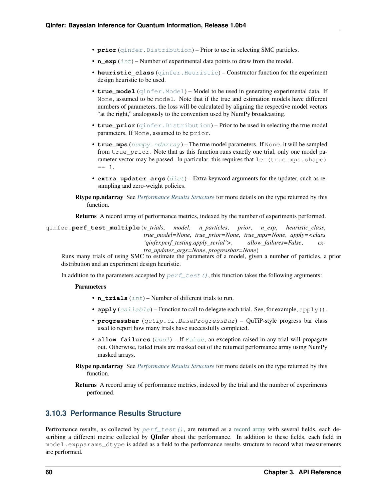- **prior** ([qinfer.Distribution](#page-46-0)) Prior to use in selecting SMC particles.
- **n**  $exp(iint)$  $exp(iint)$  $exp(iint)$  Number of experimental data points to draw from the model.
- **heuristic\_class** (qinfer. Heuristic) Constructor function for the experiment design heuristic to be used.
- **true model** (qinfer. Model) Model to be used in generating experimental data. If None, assumed to be model. Note that if the true and estimation models have different numbers of parameters, the loss will be calculated by aligning the respective model vectors "at the right," analogously to the convention used by NumPy broadcasting.
- **true\_prior** ([qinfer.Distribution](#page-46-0)) Prior to be used in selecting the true model parameters. If None, assumed to be prior.
- **true\_mps** ([numpy.ndarray](https://docs.scipy.org/doc/numpy/reference/generated/numpy.ndarray.html#numpy.ndarray)) The true model parameters. If None, it will be sampled from true  $prior.$  Note that as this function runs exactly one trial, only one model parameter vector may be passed. In particular, this requires that len (true\_mps.shape)  $== 1$ .
- **extra updater args**  $(dict)$  $(dict)$  $(dict)$  Extra keyword arguments for the updater, such as resampling and zero-weight policies.
- Rtype np.ndarray See *[Performance Results Structure](#page-62-0)* for more details on the type returned by this function.

Returns A record array of performance metrics, indexed by the number of experiments performed.

qinfer.**perf\_test\_multiple**(*n\_trials*, *model*, *n\_particles*, *prior*, *n\_exp*, *heuristic\_class*, *true\_model=None*, *true\_prior=None*, *true\_mps=None*, *apply=<class 'qinfer.perf\_testing.apply\_serial'>*, *allow\_failures=False*, *extra\_updater\_args=None*, *progressbar=None*)

Runs many trials of using SMC to estimate the parameters of a model, given a number of particles, a prior distribution and an experiment design heuristic.

In addition to the parameters accepted by  $pert\_test$  (), this function takes the following arguments:

#### Parameters

- **n** trials ([int](https://docs.python.org/3/library/functions.html#int)) Number of different trials to run.
- **apply**  $(callable)$  $(callable)$  $(callable)$  Function to call to delegate each trial. See, for example, apply().
- **progressbar** (qutip.ui.BaseProgressBar) QuTiP-style progress bar class used to report how many trials have successfully completed.
- **allow\_failures** ([bool](https://docs.python.org/3/library/functions.html#bool)) If [False](https://docs.python.org/3/library/constants.html#False), an exception raised in any trial will propagate out. Otherwise, failed trials are masked out of the returned performance array using NumPy masked arrays.
- Rtype np.ndarray See *[Performance Results Structure](#page-62-0)* for more details on the type returned by this function.
- Returns A record array of performance metrics, indexed by the trial and the number of experiments performed.

# <span id="page-62-0"></span>**3.10.3 Performance Results Structure**

Perfromance results, as collected by  $pert\_test()$ , are returned as a [record array](http://docs.scipy.org/doc/numpy/user/basics.rec.html) with several fields, each describing a different metric collected by **OInfer** about the performance. In addition to these fields, each field in model.expparams dtype is added as a field to the performance results structure to record what measurements are performed.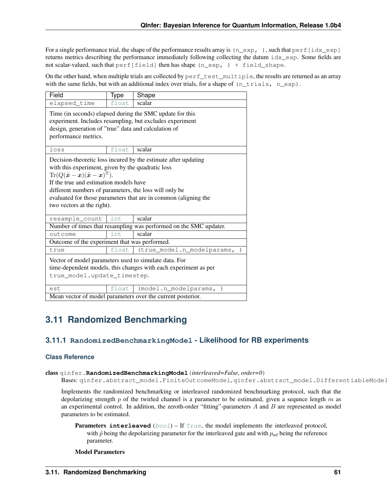For a single performance trial, the shape of the performance results array is  $(n \exp, \cdot)$ , such that  $\text{perf}$  [idx  $\exp$ ] returns metrics describing the performance immediately following collecting the datum idx\_exp. Some fields are not scalar-valued, such that  $perf[field]$  then has shape (n\_exp, ) + field\_shape.

On the other hand, when multiple trials are collected by  $perf\_test\_multiple,$  the results are returned as an array with the same fields, but with an additional index over trials, for a shape of  $(n_t$ trials,  $n_{exp})$ .

| Field                                                                                                                                                                                                                                                                                                                                                                                                                                | Type  | Shape                      |
|--------------------------------------------------------------------------------------------------------------------------------------------------------------------------------------------------------------------------------------------------------------------------------------------------------------------------------------------------------------------------------------------------------------------------------------|-------|----------------------------|
| elapsed_time                                                                                                                                                                                                                                                                                                                                                                                                                         | float | scalar                     |
| Time (in seconds) elapsed during the SMC update for this<br>experiment. Includes resampling, but excludes experiment<br>design, generation of "true" data and calculation of<br>performance metrics.                                                                                                                                                                                                                                 |       |                            |
| loss                                                                                                                                                                                                                                                                                                                                                                                                                                 | float | scalar                     |
| Decision-theoretic loss incured by the estimate after updating<br>with this experiment, given by the quadratic loss<br>$\text{Tr}(Q(\hat{\boldsymbol{x}} - \boldsymbol{x})(\hat{\boldsymbol{x}} - \boldsymbol{x})^{\text{T}}).$<br>If the true and estimation models have<br>different numbers of parameters, the loss will only be<br>evaluated for those parameters that are in common (aligning the<br>two vectors at the right). |       |                            |
| resample_count                                                                                                                                                                                                                                                                                                                                                                                                                       | int   | scalar                     |
| Number of times that resampling was performed on the SMC updater.                                                                                                                                                                                                                                                                                                                                                                    |       |                            |
| outcome                                                                                                                                                                                                                                                                                                                                                                                                                              | int   | scalar                     |
| Outcome of the experiment that was performed.                                                                                                                                                                                                                                                                                                                                                                                        |       |                            |
| true                                                                                                                                                                                                                                                                                                                                                                                                                                 | float | (true_model.n_modelparams, |
| Vector of model parameters used to simulate data. For<br>time-dependent models, this changes with each experiment as per<br>true_model.update_timestep.                                                                                                                                                                                                                                                                              |       |                            |
| est                                                                                                                                                                                                                                                                                                                                                                                                                                  | float | (model.n modelparams,      |
| Mean vector of model parameters over the current posterior.                                                                                                                                                                                                                                                                                                                                                                          |       |                            |

# **3.11 Randomized Benchmarking**

# **3.11.1 RandomizedBenchmarkingModel - Likelihood for RB experiments**

# **Class Reference**

# class qinfer.**RandomizedBenchmarkingModel**(*interleaved=False*, *order=0*)

Bases: qinfer.abstract\_model.FiniteOutcomeModel, qinfer.abstract\_model.DifferentiableModel

Implements the randomized benchmarking or interleaved randomized benchmarking protocol, such that the depolarizing strength  $p$  of the twirled channel is a parameter to be estimated, given a sequnce length  $m$  as an experimental control. In addition, the zeroth-order "fitting"-parameters  $A$  and  $B$  are represented as model parameters to be estimated.

**Parameters interleaved**  $(b \circ \circ l)$  – If  $True$ , the model implements the interleaved protocol, with  $\tilde{p}$  being the depolarizing parameter for the interleaved gate and with  $p_{\text{ref}}$  being the reference parameter.

# Model Parameters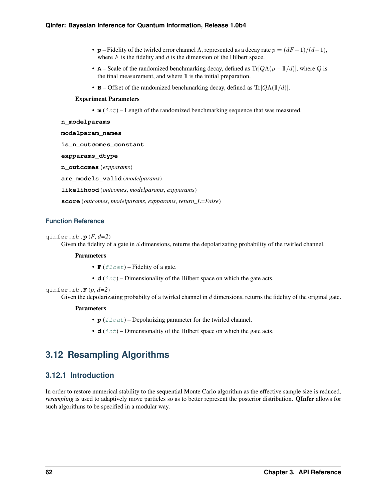- **p** Fidelity of the twirled error channel  $\Lambda$ , represented as a decay rate  $p = (dF-1)/(d-1)$ , where  $F$  is the fidelity and  $d$  is the dimension of the Hilbert space.
- **A** Scale of the randomized benchmarking decay, defined as  $Tr[Q\Lambda(\rho-1/d)]$ , where Q is the final measurement, and where  $\mathbbm{1}$  is the initial preparation.
- **B** Offset of the randomized benchmarking decay, defined as  $Tr[Q\Lambda(1/d)].$

# Experiment Parameters

• **m** (int) – Length of the randomized benchmarking sequence that was measured.

```
n_modelparams
```
**modelparam\_names**

**is\_n\_outcomes\_constant**

**expparams\_dtype**

**n\_outcomes**(*expparams*)

**are\_models\_valid**(*modelparams*)

**likelihood**(*outcomes*, *modelparams*, *expparams*)

**score**(*outcomes*, *modelparams*, *expparams*, *return\_L=False*)

# **Function Reference**

qinfer.rb.**p**(*F*, *d=2*)

Given the fidelity of a gate in  $d$  dimensions, returns the depolarizating probability of the twirled channel.

# Parameters

- $\mathbf{F}$  ([float](https://docs.python.org/3/library/functions.html#float)) Fidelity of a gate.
- $d$  ( $int$ ) Dimensionality of the Hilbert space on which the gate acts.

qinfer.rb.**F**(*p*, *d=2*)

Given the depolarizating probabilty of a twirled channel in d dimensions, returns the fidelity of the original gate.

# Parameters

- $p(fload)$  Depolarizing parameter for the twirled channel.
- $d$  ( $int$ ) Dimensionality of the Hilbert space on which the gate acts.

# <span id="page-64-0"></span>**3.12 Resampling Algorithms**

# **3.12.1 Introduction**

In order to restore numerical stability to the sequential Monte Carlo algorithm as the effective sample size is reduced, *resampling* is used to adaptively move particles so as to better represent the posterior distribution. QInfer allows for such algorithms to be specified in a modular way.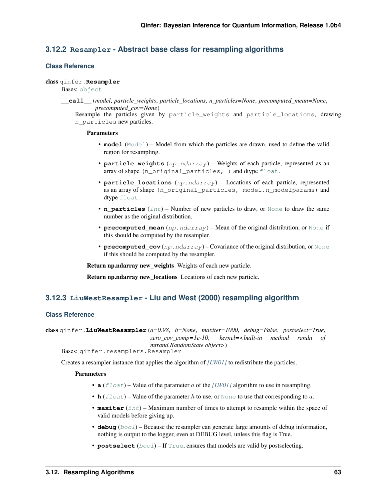# **3.12.2 Resampler - Abstract base class for resampling algorithms**

# **Class Reference**

# class qinfer.**Resampler**

Bases: [object](https://docs.python.org/3/library/functions.html#object)

**\_\_call\_\_**(*model*, *particle\_weights*, *particle\_locations*, *n\_particles=None*, *precomputed\_mean=None*, *precomputed\_cov=None*)

Resample the particles given by particle\_weights and particle\_locations, drawing n\_particles new particles.

# **Parameters**

- **model** ([Model](#page-40-0)) Model from which the particles are drawn, used to define the valid region for resampling.
- **particle\_weights** (np.ndarray) Weights of each particle, represented as an array of shape (n\_original\_particles, ) and dtype [float](https://docs.python.org/3/library/functions.html#float).
- **particle\_locations** (np.ndarray) Locations of each particle, represented as an array of shape (n\_original\_particles, model.n\_modelparams) and dtype [float](https://docs.python.org/3/library/functions.html#float).
- **n\_particles** ([int](https://docs.python.org/3/library/functions.html#int)) Number of new particles to draw, or [None](https://docs.python.org/3/library/constants.html#None) to draw the same number as the original distribution.
- **precomputed\_mean** (np. ndarray) Mean of the original distribution, or [None](https://docs.python.org/3/library/constants.html#None) if this should be computed by the resampler.
- **precomputed\_cov** (np.ndarray) Covariance of the original distribution, or [None](https://docs.python.org/3/library/constants.html#None) if this should be computed by the resampler.

Return np.ndarray new weights Weights of each new particle.

Return np.ndarray new locations Locations of each new particle.

# **3.12.3 LiuWestResampler - Liu and West (2000) resampling algorithm**

# **Class Reference**

```
class qinfer.LiuWestResampler(a=0.98, h=None, maxiter=1000, debug=False, postselect=True,
                                 zero_cov_comp=1e-10, kernel=<built-in method randn of
                                 mtrand.RandomState object>)
```
Bases: qinfer.resamplers.Resampler

Creates a resampler instance that applies the algorithm of *[\[LW01\]](#page-93-4)* to redistribute the particles.

- **a**  $(f$ loat) Value of the parameter a of the *[\[LW01\]](#page-93-4)* algorithm to use in resampling.
- **h**  $(f \text{load})$  Value of the parameter h to use, or [None](https://docs.python.org/3/library/constants.html#None) to use that corresponding to a.
- **maxiter** ([int](https://docs.python.org/3/library/functions.html#int)) Maximum number of times to attempt to resample within the space of valid models before giving up.
- **debug** ([bool](https://docs.python.org/3/library/functions.html#bool)) Because the resampler can generate large amounts of debug information, nothing is output to the logger, even at DEBUG level, unless this flag is True.
- **postselect** ([bool](https://docs.python.org/3/library/functions.html#bool)) If [True](https://docs.python.org/3/library/constants.html#True), ensures that models are valid by postselecting.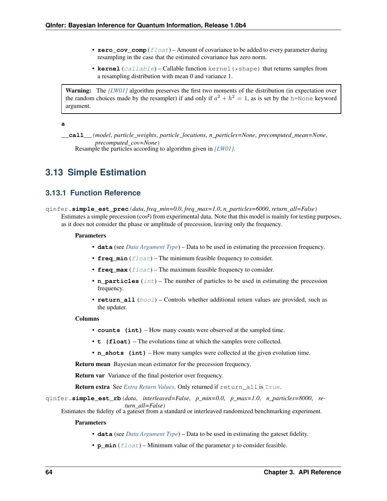- **zero** cov comp  $(f$ loat) Amount of covariance to be added to every parameter during resampling in the case that the estimated covariance has zero norm.
- **kernel** ([callable](https://docs.python.org/3/library/functions.html#callable)) Callable function kernel(\*shape) that returns samples from a resampling distribution with mean 0 and variance 1.

Warning: The [\[LW01\]](#page-93-4) algorithm preserves the first two moments of the distribution (in expectation over the random choices made by the resampler) if and only if  $a^2 + h^2 = 1$ , as is set by the h=None keyword argument.

**a**

**\_\_call\_\_**(*model*, *particle\_weights*, *particle\_locations*, *n\_particles=None*, *precomputed\_mean=None*, *precomputed\_cov=None*) Resample the particles according to algorithm given in *[\[LW01\]](#page-93-4)*.

# **3.13 Simple Estimation**

# **3.13.1 Function Reference**

qinfer.**simple\_est\_prec**(*data*, *freq\_min=0.0*, *freq\_max=1.0*, *n\_particles=6000*, *return\_all=False*) Estimates a simple precession (cos²) from experimental data. Note that this model is mainly for testing purposes, as it does not consider the phase or amplitude of precession, leaving only the frequency.

# Parameters

- **data** (see *[Data Argument Type](#page-67-0)*) Data to be used in estimating the precession frequency.
- **freq\_min** ([float](https://docs.python.org/3/library/functions.html#float)) The minimum feasible frequency to consider.
- **freq\_max** ([float](https://docs.python.org/3/library/functions.html#float)) The maximum feasible frequency to consider.
- **n\_particles** ([int](https://docs.python.org/3/library/functions.html#int)) The number of particles to be used in estimating the precession frequency.
- **return\_all** ([bool](https://docs.python.org/3/library/functions.html#bool)) Controls whether additional return values are provided, such as the updater.

#### Columns

- **counts (int)** How many counts were observed at the sampled time.
- **t (float)** The evolutions time at which the samples were collected.
- **n\_shots (int)** How many samples were collected at the given evolution time.

Return mean Bayesian mean estimator for the precession frequency.

Return var Variance of the final posterior over frequency.

Return extra See *[Extra Return Values](#page-67-1)*. Only returned if return\_all is [True](https://docs.python.org/3/library/constants.html#True).

qinfer.**simple\_est\_rb**(*data*, *interleaved=False*, *p\_min=0.0*, *p\_max=1.0*, *n\_particles=8000*, *return\_all=False*)

Estimates the fidelity of a gateset from a standard or interleaved randomized benchmarking experiment.

- **data** (see *[Data Argument Type](#page-67-0)*) Data to be used in estimating the gateset fidelity.
- **p\_min**  $(fload)$  Minimum value of the parameter  $p$  to consider feasible.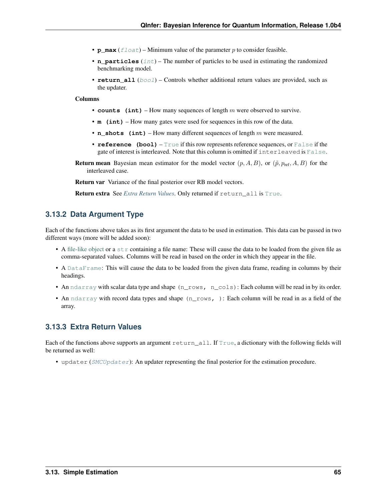- **p\_max**  $(fload)$  Minimum value of the parameter  $p$  to consider feasible.
- **n\_particles** ([int](https://docs.python.org/3/library/functions.html#int)) The number of particles to be used in estimating the randomized benchmarking model.
- **return all** ([bool](https://docs.python.org/3/library/functions.html#bool)) Controls whether additional return values are provided, such as the updater.

## Columns

- **counts** (int) How many sequences of length m were observed to survive.
- **m** (int) How many gates were used for sequences in this row of the data.
- **n\_shots** (int) How many different sequences of length  $m$  were measured.
- **reference (bool)** [True](https://docs.python.org/3/library/constants.html#True) if this row represents reference sequences, or [False](https://docs.python.org/3/library/constants.html#False) if the gate of interest is interleaved. Note that this column is omitted if interleaved is [False](https://docs.python.org/3/library/constants.html#False).
- **Return mean** Bayesian mean estimator for the model vector  $(p, A, B)$ , or  $(\tilde{p}, p_{\text{ref}}, A, B)$  for the interleaved case.

Return var Variance of the final posterior over RB model vectors.

Return extra See *[Extra Return Values](#page-67-1)*. Only returned if return all is [True](https://docs.python.org/3/library/constants.html#True).

# <span id="page-67-0"></span>**3.13.2 Data Argument Type**

Each of the functions above takes as its first argument the data to be used in estimation. This data can be passed in two different ways (more will be added soon):

- A [file-like object](https://docs.python.org/3/glossary.html#term-file-object) or a [str](https://docs.python.org/3/library/stdtypes.html#str) containing a file name: These will cause the data to be loaded from the given file as comma-separated values. Columns will be read in based on the order in which they appear in the file.
- A [DataFrame](http://pandas.pydata.org/pandas-docs/stable/generated/pandas.DataFrame.html#pandas.DataFrame): This will cause the data to be loaded from the given data frame, reading in columns by their headings.
- An [ndarray](https://docs.scipy.org/doc/numpy/reference/generated/numpy.ndarray.html#numpy.ndarray) with scalar data type and shape (n\_rows, n\_cols): Each column will be read in by its order.
- An [ndarray](https://docs.scipy.org/doc/numpy/reference/generated/numpy.ndarray.html#numpy.ndarray) with record data types and shape (n\_rows, ): Each column will be read in as a field of the array.

# <span id="page-67-1"></span>**3.13.3 Extra Return Values**

Each of the functions above supports an argument return\_all. If [True](https://docs.python.org/3/library/constants.html#True), a dictionary with the following fields will be returned as well:

• updater ([SMCUpdater](#page-68-0)): An updater representing the final posterior for the estimation procedure.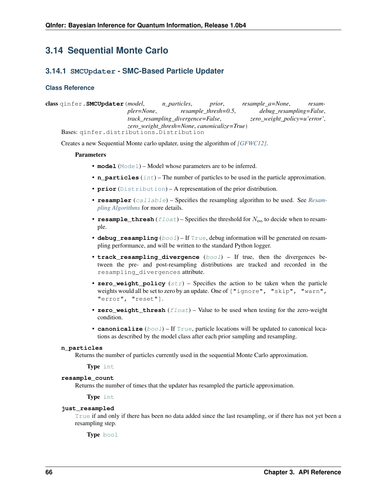# **3.14 Sequential Monte Carlo**

# **3.14.1 SMCUpdater - SMC-Based Particle Updater**

# **Class Reference**

<span id="page-68-0"></span>class qinfer.**SMCUpdater**(*model*, *n\_particles*, *prior*, *resample\_a=None*, *resampler=None*, *resample\_thresh=0.5*, *debug\_resampling=False*, *track\_resampling\_divergence=False*, *zero\_weight\_policy=u'error'*, *zero\_weight\_thresh=None*, *canonicalize=True*) Bases: qinfer.distributions.Distribution

Creates a new Sequential Monte carlo updater, using the algorithm of *[\[GFWC12\]](#page-93-5)*.

# Parameters

- **model** ([Model](#page-40-0)) Model whose parameters are to be inferred.
- **n\_particles** ([int](https://docs.python.org/3/library/functions.html#int)) The number of particles to be used in the particle approximation.
- **prior** ([Distribution](#page-46-0)) A representation of the prior distribution.
- **resampler** ([callable](https://docs.python.org/3/library/functions.html#callable)) Specifies the resampling algorithm to be used. See *[Resam](#page-64-0)[pling Algorithms](#page-64-0)* for more details.
- **resample\_thresh**  $(fload)$  Specifies the threshold for  $N_{\text{ess}}$  to decide when to resample.
- **debug\_resampling** ([bool](https://docs.python.org/3/library/functions.html#bool)) If [True](https://docs.python.org/3/library/constants.html#True), debug information will be generated on resampling performance, and will be written to the standard Python logger.
- **track\_resampling\_divergence** ([bool](https://docs.python.org/3/library/functions.html#bool)) If true, then the divergences between the pre- and post-resampling distributions are tracked and recorded in the resampling\_divergences attribute.
- **zero\_weight\_policy** ([str](https://docs.python.org/3/library/stdtypes.html#str)) Specifies the action to be taken when the particle weights would all be set to zero by an update. One of ["ignore", "skip", "warn", "error", "reset"].
- **zero\_weight\_thresh** ([float](https://docs.python.org/3/library/functions.html#float)) Value to be used when testing for the zero-weight condition.
- **canonicalize** ([bool](https://docs.python.org/3/library/functions.html#bool)) If [True](https://docs.python.org/3/library/constants.html#True), particle locations will be updated to canonical locations as described by the model class after each prior sampling and resampling.

# **n\_particles**

Returns the number of particles currently used in the sequential Monte Carlo approximation.

Type [int](https://docs.python.org/3/library/functions.html#int)

#### **resample\_count**

Returns the number of times that the updater has resampled the particle approximation.

Type [int](https://docs.python.org/3/library/functions.html#int)

#### **just\_resampled**

[True](https://docs.python.org/3/library/constants.html#True) if and only if there has been no data added since the last resampling, or if there has not yet been a resampling step.

Type [bool](https://docs.python.org/3/library/functions.html#bool)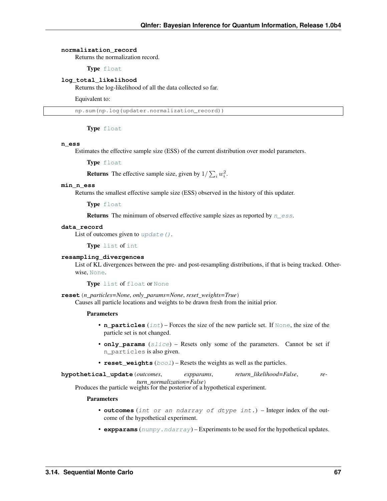#### **normalization\_record**

Returns the normalization record.

Type [float](https://docs.python.org/3/library/functions.html#float)

## **log\_total\_likelihood**

Returns the log-likelihood of all the data collected so far.

Equivalent to:

np.sum(np.log(updater.normalization\_record))

Type [float](https://docs.python.org/3/library/functions.html#float)

#### <span id="page-69-0"></span>**n\_ess**

Estimates the effective sample size (ESS) of the current distribution over model parameters.

Type [float](https://docs.python.org/3/library/functions.html#float)

**Returns** The effective sample size, given by  $1/\sum_i w_i^2$ .

## **min\_n\_ess**

Returns the smallest effective sample size (ESS) observed in the history of this updater.

Type [float](https://docs.python.org/3/library/functions.html#float)

**Returns** The minimum of observed effective sample sizes as reported by  $n_{\text{e}}$  ess.

#### **data\_record**

List of outcomes given to  $update()$ .

Type [list](https://docs.python.org/3/library/stdtypes.html#list) of [int](https://docs.python.org/3/library/functions.html#int)

## **resampling\_divergences**

List of KL divergences between the pre- and post-resampling distributions, if that is being tracked. Otherwise, [None](https://docs.python.org/3/library/constants.html#None).

Type [list](https://docs.python.org/3/library/stdtypes.html#list) of [float](https://docs.python.org/3/library/functions.html#float) or [None](https://docs.python.org/3/library/constants.html#None)

**reset**(*n\_particles=None*, *only\_params=None*, *reset\_weights=True*) Causes all particle locations and weights to be drawn fresh from the initial prior.

#### Parameters

- **n\_particles** ([int](https://docs.python.org/3/library/functions.html#int)) Forces the size of the new particle set. If [None](https://docs.python.org/3/library/constants.html#None), the size of the particle set is not changed.
- **only\_params** ([slice](https://docs.python.org/3/library/functions.html#slice)) Resets only some of the parameters. Cannot be set if n\_particles is also given.
- **reset\_weights** (*[bool](https://docs.python.org/3/library/functions.html#bool)*) Resets the weights as well as the particles.

**hypothetical\_update**(*outcomes*, *expparams*, *return\_likelihood=False*, *return\_normalization=False*)

Produces the particle weights for the posterior of a hypothetical experiment.

- **outcomes** (int or an ndarray of dtype int.) Integer index of the outcome of the hypothetical experiment.
- **expparams** ([numpy.ndarray](https://docs.scipy.org/doc/numpy/reference/generated/numpy.ndarray.html#numpy.ndarray)) Experiments to be used for the hypothetical updates.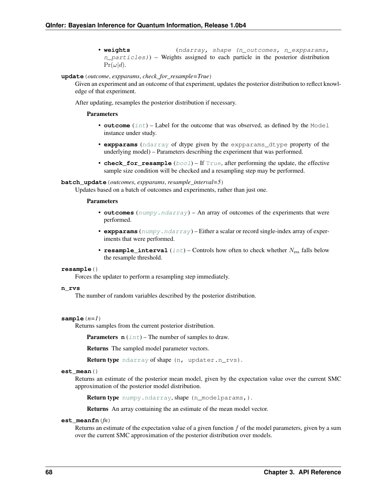• **weights** (ndarray, shape (n\_outcomes, n\_expparams,  $n$ <sub>particles</sub>)) – Weights assigned to each particle in the posterior distribution  $Pr(\omega|d)$ .

<span id="page-70-0"></span>**update**(*outcome*, *expparams*, *check\_for\_resample=True*)

Given an experiment and an outcome of that experiment, updates the posterior distribution to reflect knowledge of that experiment.

After updating, resamples the posterior distribution if necessary.

## Parameters

- **outcome** ([int](https://docs.python.org/3/library/functions.html#int)) Label for the outcome that was observed, as defined by the Model instance under study.
- **expparams** ([ndarray](https://docs.scipy.org/doc/numpy/reference/generated/numpy.ndarray.html#numpy.ndarray) of dtype given by the expparams\_dtype property of the underlying model) – Parameters describing the experiment that was performed.
- **check\_for\_resample** ([bool](https://docs.python.org/3/library/functions.html#bool)) If [True](https://docs.python.org/3/library/constants.html#True), after performing the update, the effective sample size condition will be checked and a resampling step may be performed.

#### **batch\_update**(*outcomes*, *expparams*, *resample\_interval=5*)

Updates based on a batch of outcomes and experiments, rather than just one.

#### **Parameters**

- **outcomes** ([numpy.ndarray](https://docs.scipy.org/doc/numpy/reference/generated/numpy.ndarray.html#numpy.ndarray)) An array of outcomes of the experiments that were performed.
- **expparams** ([numpy.ndarray](https://docs.scipy.org/doc/numpy/reference/generated/numpy.ndarray.html#numpy.ndarray)) Either a scalar or record single-index array of experiments that were performed.
- **resample\_[int](https://docs.python.org/3/library/functions.html#int)erval**  $(int)$  Controls how often to check whether  $N_{\text{ess}}$  falls below the resample threshold.

#### **resample**()

Forces the updater to perform a resampling step immediately.

#### **n\_rvs**

The number of random variables described by the posterior distribution.

#### $sample(n=1)$

Returns samples from the current posterior distribution.

**Parameters**  $\mathbf{n}$  ([int](https://docs.python.org/3/library/functions.html#int)) – The number of samples to draw.

Returns The sampled model parameter vectors.

Return type [ndarray](https://docs.scipy.org/doc/numpy/reference/generated/numpy.ndarray.html#numpy.ndarray) of shape (n, updater.n\_rvs).

# **est\_mean**()

Returns an estimate of the posterior mean model, given by the expectation value over the current SMC approximation of the posterior model distribution.

Return type [numpy.ndarray](https://docs.scipy.org/doc/numpy/reference/generated/numpy.ndarray.html#numpy.ndarray), shape (n\_modelparams,).

Returns An array containing the an estimate of the mean model vector.

## **est\_meanfn**(*fn*)

Returns an estimate of the expectation value of a given function  $f$  of the model parameters, given by a sum over the current SMC approximation of the posterior distribution over models.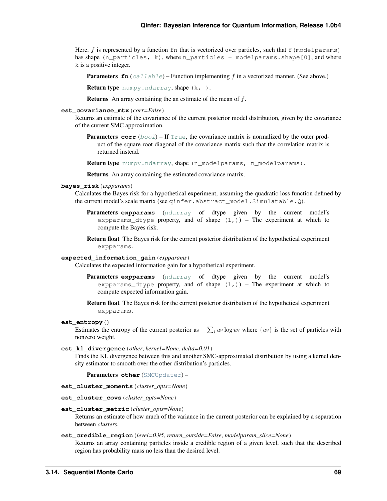Here,  $f$  is represented by a function  $\epsilon$  fn that is vectorized over particles, such that  $\epsilon$  (modelparams) has shape (n\_particles, k), where n\_particles = modelparams.shape[0], and where k is a positive integer.

**Parameters**  $\mathbf{f}$  (*[callable](https://docs.python.org/3/library/functions.html#callable)*) – Function implementing  $f$  in a vectorized manner. (See above.)

Return type [numpy.ndarray](https://docs.scipy.org/doc/numpy/reference/generated/numpy.ndarray.html#numpy.ndarray), shape (k, ).

**Returns** An array containing the an estimate of the mean of  $f$ .

## **est\_covariance\_mtx**(*corr=False*)

Returns an estimate of the covariance of the current posterior model distribution, given by the covariance of the current SMC approximation.

**Parameters corr**  $(b \circ c)$  – If  $True$ , the covariance matrix is normalized by the outer product of the square root diagonal of the covariance matrix such that the correlation matrix is returned instead.

Return type [numpy.ndarray](https://docs.scipy.org/doc/numpy/reference/generated/numpy.ndarray.html#numpy.ndarray), shape (n\_modelparams, n\_modelparams).

Returns An array containing the estimated covariance matrix.

#### **bayes\_risk**(*expparams*)

Calculates the Bayes risk for a hypothetical experiment, assuming the quadratic loss function defined by the current model's scale matrix (see qinfer.abstract\_model.Simulatable.Q).

**Parameters expparams** ([ndarray](https://docs.scipy.org/doc/numpy/reference/generated/numpy.ndarray.html#numpy.ndarray) of dtype given by the current model's expparams dtype property, and of shape  $(1,)$ ) – The experiment at which to compute the Bayes risk.

Return float The Bayes risk for the current posterior distribution of the hypothetical experiment expparams.

# **expected\_information\_gain**(*expparams*)

Calculates the expected information gain for a hypothetical experiment.

- Parameters expparams ([ndarray](https://docs.scipy.org/doc/numpy/reference/generated/numpy.ndarray.html#numpy.ndarray) of dtype given by the current model's expparams dtype property, and of shape  $(1,))$  – The experiment at which to compute expected information gain.
- Return float The Bayes risk for the current posterior distribution of the hypothetical experiment expparams.

#### **est\_entropy**()

Estimates the entropy of the current posterior as  $-\sum_i w_i \log w_i$  where  $\{w_i\}$  is the set of particles with nonzero weight.

**est\_kl\_divergence**(*other*, *kernel=None*, *delta=0.01*)

Finds the KL divergence between this and another SMC-approximated distribution by using a kernel density estimator to smooth over the other distribution's particles.

Parameters **other** ([SMCUpdater](#page-68-0)) –

- **est\_cluster\_moments**(*cluster\_opts=None*)
- **est\_cluster\_covs**(*cluster\_opts=None*)

## **est\_cluster\_metric**(*cluster\_opts=None*)

Returns an estimate of how much of the variance in the current posterior can be explained by a separation between *clusters*.

#### **est\_credible\_region**(*level=0.95*, *return\_outside=False*, *modelparam\_slice=None*)

Returns an array containing particles inside a credible region of a given level, such that the described region has probability mass no less than the desired level.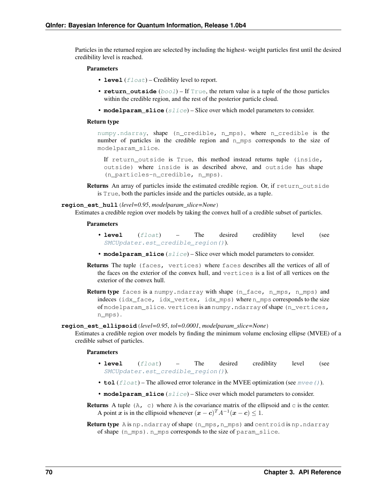<span id="page-72-2"></span>Particles in the returned region are selected by including the highest- weight particles first until the desired credibility level is reached.

#### **Parameters**

- **level**  $(fload)$  Crediblity level to report.
- **return** outside  $(b \circ o1)$  If [True](https://docs.python.org/3/library/constants.html#True), the return value is a tuple of the those particles within the credible region, and the rest of the posterior particle cloud.
- **modelparam\_slice** ([slice](https://docs.python.org/3/library/functions.html#slice)) Slice over which model parameters to consider.

#### Return type

[numpy.ndarray](https://docs.scipy.org/doc/numpy/reference/generated/numpy.ndarray.html#numpy.ndarray), shape (n\_credible, n\_mps), where n\_credible is the number of particles in the credible region and n\_mps corresponds to the size of modelparam\_slice.

If return\_outside is True, this method instead returns tuple (inside, outside) where inside is as described above, and outside has shape (n\_particles-n\_credible, n\_mps).

Returns An array of particles inside the estimated credible region. Or, if return\_outside is True, both the particles inside and the particles outside, as a tuple.

#### <span id="page-72-1"></span>**region\_est\_hull**(*level=0.95*, *modelparam\_slice=None*)

Estimates a credible region over models by taking the convex hull of a credible subset of particles.

#### Parameters

- **level** ([float](https://docs.python.org/3/library/functions.html#float)) The desired crediblity level (see [SMCUpdater.est\\_credible\\_region\(\)](#page-71-0)).
- **modelparam\_slice** ([slice](https://docs.python.org/3/library/functions.html#slice)) Slice over which model parameters to consider.
- Returns The tuple (faces, vertices) where faces describes all the vertices of all of the faces on the exterior of the convex hull, and vertices is a list of all vertices on the exterior of the convex hull.
- Return type faces is a numpy.ndarray with shape (n\_face, n\_mps, n\_mps) and indeces (idx\_face, idx\_vertex, idx\_mps) where n\_mps corresponds to the size of modelparam slice. vertices is an numpy.ndarray of shape (n\_vertices, n\_mps).

<span id="page-72-0"></span>**region\_est\_ellipsoid**(*level=0.95*, *tol=0.0001*, *modelparam\_slice=None*)

Estimates a credible region over models by finding the minimum volume enclosing ellipse (MVEE) of a credible subset of particles.

#### Parameters

- **level** ([float](https://docs.python.org/3/library/functions.html#float)) The desired crediblity level (see [SMCUpdater.est\\_credible\\_region\(\)](#page-71-0)).
- **tol** (*[float](https://docs.python.org/3/library/functions.html#float)*) The allowed error tolerance in the MVEE optimization (see mvee ()).
- **modelparam\_slice** ([slice](https://docs.python.org/3/library/functions.html#slice)) Slice over which model parameters to consider.
- **Returns** A tuple (A, c) where A is the covariance matrix of the ellipsoid and c is the center. A point x is in the ellipsoid whenever  $(x - c)^T A^{-1}(x - c) \leq 1$ .

Return type A is np.ndarray of shape (n\_mps,n\_mps) and centroid is np.ndarray of shape (n\_mps). n\_mps corresponds to the size of param\_slice.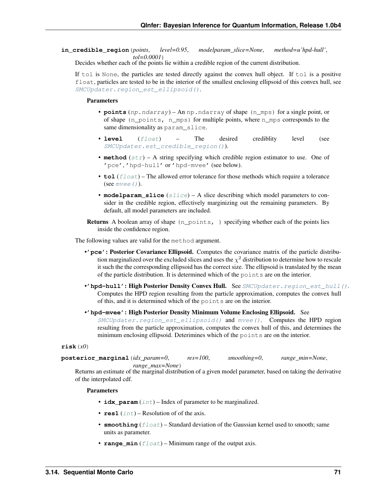<span id="page-73-1"></span>**in\_credible\_region**(*points*, *level=0.95*, *modelparam\_slice=None*, *method=u'hpd-hull'*, *tol=0.0001*)

Decides whether each of the points lie within a credible region of the current distribution.

If tol is None, the particles are tested directly against the convex hull object. If tol is a positive float, particles are tested to be in the interior of the smallest enclosing ellipsoid of this convex hull, see [SMCUpdater.region\\_est\\_ellipsoid\(\)](#page-72-0).

#### Parameters

- **points** (np.ndarray) An np.ndarray of shape (n\_mps) for a single point, or of shape  $(n\_points, n\_mps)$  for multiple points, where  $n\_mps$  corresponds to the same dimensionality as param\_slice.
- **level** ([float](https://docs.python.org/3/library/functions.html#float)) The desired crediblity level (see [SMCUpdater.est\\_credible\\_region\(\)](#page-71-0)).
- **method**  $(str)$  $(str)$  $(str)$  A string specifying which credible region estimator to use. One of 'pce', 'hpd-hull' or 'hpd-mvee' (see below).
- **tol** (*[float](https://docs.python.org/3/library/functions.html#float)*) The allowed error tolerance for those methods which require a tolerance (see  $m$ vee $()$ ).
- **modelparam\_slice** ([slice](https://docs.python.org/3/library/functions.html#slice)) A slice describing which model parameters to consider in the credible region, effectively marginizing out the remaining parameters. By default, all model parameters are included.

Returns A boolean array of shape (n\_points, ) specifying whether each of the points lies inside the confidence region.

The following values are valid for the method argument.

- •**'pce'**: Posterior Covariance Ellipsoid. Computes the covariance matrix of the particle distribution marginalized over the excluded slices and uses the  $\chi^2$  distribution to determine how to rescale it such the the corresponding ellipsoid has the correct size. The ellipsoid is translated by the mean of the particle distribution. It is determined which of the points are on the interior.
- •' hpd-hull': High Posterior Density Convex Hull. See [SMCUpdater.region\\_est\\_hull\(\)](#page-72-1). Computes the HPD region resulting from the particle approximation, computes the convex hull of this, and it is determined which of the points are on the interior.
- •**'hpd-mvee'**: High Posterior Density Minimum Volume Enclosing Ellipsoid. See  $SMCUpdater. region\_est\_ellipsoid()$  and  $mvee()$ . Computes the HPD region resulting from the particle approximation, computes the convex hull of this, and determines the minimum enclosing ellipsoid. Deterimines which of the points are on the interior.

<span id="page-73-0"></span>**risk**(*x0*)

**posterior\_marginal**(*idx\_param=0*, *res=100*, *smoothing=0*, *range\_min=None*, *range\_max=None*)

Returns an estimate of the marginal distribution of a given model parameter, based on taking the derivative of the interpolated cdf.

#### Parameters

- **idx** param  $(int)$  $(int)$  $(int)$  Index of parameter to be marginalized.
- $\text{res1}$  ([int](https://docs.python.org/3/library/functions.html#int)) Resolution of of the axis.
- **smoothing** (*[float](https://docs.python.org/3/library/functions.html#float)*) Standard deviation of the Gaussian kernel used to smooth; same units as parameter.
- **range\_min** ([float](https://docs.python.org/3/library/functions.html#float)) Minimum range of the output axis.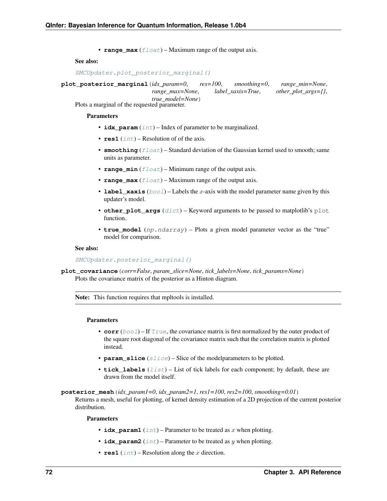• **range** max  $(f$ loat) – Maximum range of the output axis.

#### <span id="page-74-2"></span>See also:

```
SMCUpdater.plot_posterior_marginal()
```
<span id="page-74-0"></span>**plot\_posterior\_marginal**(*idx\_param=0*, *res=100*, *smoothing=0*, *range\_min=None*, *range\_max=None*, *label\_xaxis=True*, *other\_plot\_args={}*, *true\_model=None*)

Plots a marginal of the requested parameter.

#### Parameters

- **idx\_param** ([int](https://docs.python.org/3/library/functions.html#int)) Index of parameter to be marginalized.
- $\text{res1}$  ([int](https://docs.python.org/3/library/functions.html#int)) Resolution of of the axis.
- **smoothing** (*[float](https://docs.python.org/3/library/functions.html#float)*) Standard deviation of the Gaussian kernel used to smooth; same units as parameter.
- **range\_min**  $(fload)$  Minimum range of the output axis.
- **range\_max**  $(f$ loat) Maximum range of the output axis.
- **label\_xaxis** ( $bood$ ) Labels the x-axis with the model parameter name given by this updater's model.
- **other\_plot\_args** ([dict](https://docs.python.org/3/library/stdtypes.html#dict)) Keyword arguments to be passed to matplotlib's plot function.
- **true\_model** (np.ndarray) Plots a given model parameter vector as the "true" model for comparison.

#### See also:

#### [SMCUpdater.posterior\\_marginal\(\)](#page-73-0)

**plot\_covariance**(*corr=False*, *param\_slice=None*, *tick\_labels=None*, *tick\_params=None*) Plots the covariance matrix of the posterior as a Hinton diagram.

Note: This function requires that mpltools is installed.

#### Parameters

- **corr** ([bool](https://docs.python.org/3/library/functions.html#bool)) If [True](https://docs.python.org/3/library/constants.html#True), the covariance matrix is first normalized by the outer product of the square root diagonal of the covariance matrix such that the correlation matrix is plotted instead.
- **param\_slice** ([slice](https://docs.python.org/3/library/functions.html#slice)) Slice of the modelparameters to be plotted.
- **tick labels** (*[list](https://docs.python.org/3/library/stdtypes.html#list)*) List of tick labels for each component; by default, these are drawn from the model itself.

<span id="page-74-1"></span>**posterior\_mesh**(*idx\_param1=0*, *idx\_param2=1*, *res1=100*, *res2=100*, *smoothing=0.01*)

Returns a mesh, useful for plotting, of kernel density estimation of a 2D projection of the current posterior distribution.

#### Parameters

- **idx\_param1** ([int](https://docs.python.org/3/library/functions.html#int)) Parameter to be treated as  $x$  when plotting.
- **idx\_param2** ([int](https://docs.python.org/3/library/functions.html#int)) Parameter to be treated as  $y$  when plotting.
- $\text{res1}$  ([int](https://docs.python.org/3/library/functions.html#int)) Resolution along the x direction.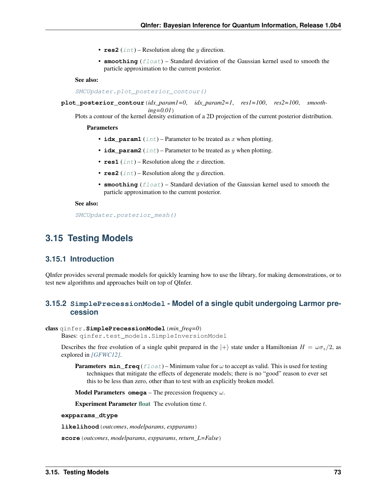- <span id="page-75-1"></span>•  $\text{res2}$  ([int](https://docs.python.org/3/library/functions.html#int)) – Resolution along the  $\psi$  direction.
- **smoothing** (*[float](https://docs.python.org/3/library/functions.html#float)*) Standard deviation of the Gaussian kernel used to smooth the particle approximation to the current posterior.

#### See also:

[SMCUpdater.plot\\_posterior\\_contour\(\)](#page-75-0)

<span id="page-75-0"></span>**plot\_posterior\_contour**(*idx\_param1=0*, *idx\_param2=1*, *res1=100*, *res2=100*, *smoothing=0.01*)

Plots a contour of the kernel density estimation of a 2D projection of the current posterior distribution.

#### Parameters

- **idx\_param1** ( $int$ ) Parameter to be treated as  $x$  when plotting.
- **idx\_param2** ([int](https://docs.python.org/3/library/functions.html#int)) Parameter to be treated as  $y$  when plotting.
- $\text{res1}$  ([int](https://docs.python.org/3/library/functions.html#int)) Resolution along the x direction.
- $\text{res2}$  ([int](https://docs.python.org/3/library/functions.html#int)) Resolution along the *y* direction.
- **smoothing** (*[float](https://docs.python.org/3/library/functions.html#float)*) Standard deviation of the Gaussian kernel used to smooth the particle approximation to the current posterior.

#### See also:

[SMCUpdater.posterior\\_mesh\(\)](#page-74-1)

## **3.15 Testing Models**

### **3.15.1 Introduction**

QInfer provides several premade models for quickly learning how to use the library, for making demonstrations, or to test new algorithms and approaches built on top of QInfer.

### **3.15.2 SimplePrecessionModel - Model of a single qubit undergoing Larmor precession**

#### class qinfer.**SimplePrecessionModel**(*min\_freq=0*)

Bases: qinfer.test\_models.SimpleInversionModel

Describes the free evolution of a single qubit prepared in the  $|+\rangle$  state under a Hamiltonian  $H = \omega \sigma_z/2$ , as explored in *[\[GFWC12\]](#page-93-0)*.

**Parameters**  $min\_freq$  ( $float$ ) – Minimum value for  $\omega$  to accept as valid. This is used for testing techniques that mitigate the effects of degenerate models; there is no "good" reason to ever set this to be less than zero, other than to test with an explicitly broken model.

**Model Parameters omega** – The precession frequency  $\omega$ .

**Experiment Parameter [float](https://docs.python.org/3/library/functions.html#float)** The evolution time  $t$ .

#### **expparams\_dtype**

**likelihood**(*outcomes*, *modelparams*, *expparams*)

**score**(*outcomes*, *modelparams*, *expparams*, *return\_L=False*)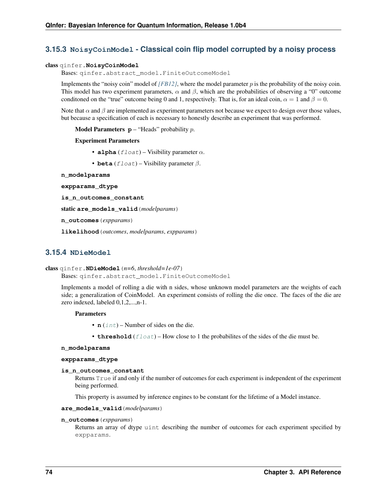### <span id="page-76-0"></span>**3.15.3 NoisyCoinModel - Classical coin flip model corrupted by a noisy process**

#### class qinfer.**NoisyCoinModel**

Bases: qinfer.abstract\_model.FiniteOutcomeModel

Implements the "noisy coin" model of *[\[FB12\]](#page-93-1)*, where the model parameter  $p$  is the probability of the noisy coin. This model has two experiment parameters,  $\alpha$  and  $\beta$ , which are the probabilities of observing a "0" outcome conditioned on the "true" outcome being 0 and 1, respectively. That is, for an ideal coin,  $\alpha = 1$  and  $\beta = 0$ .

Note that  $\alpha$  and  $\beta$  are implemented as experiment parameters not because we expect to design over those values, but because a specification of each is necessary to honestly describe an experiment that was performed.

**Model Parameters**  $p -$  **"Heads" probability p.** 

#### Experiment Parameters

- **alpha**  $(f$ loat) Visibility parameter  $\alpha$ .
- **beta**  $(fload)$  Visibility parameter  $\beta$ .
- **n\_modelparams**

```
expparams_dtype
```

```
is_n_outcomes_constant
```
static **are\_models\_valid**(*modelparams*)

**n\_outcomes**(*expparams*)

**likelihood**(*outcomes*, *modelparams*, *expparams*)

### **3.15.4 NDieModel**

```
class qinfer.NDieModel(n=6, threshold=1e-07)
```

```
Bases: qinfer.abstract model.FiniteOutcomeModel
```
Implements a model of rolling a die with n sides, whose unknown model parameters are the weights of each side; a generalization of CoinModel. An experiment consists of rolling the die once. The faces of the die are zero indexed, labeled 0,1,2,...,n-1.

#### **Parameters**

- **n** ([int](https://docs.python.org/3/library/functions.html#int)) Number of sides on the die.
- **threshold**  $(fload)$  How close to 1 the probabilites of the sides of the die must be.

#### **n\_modelparams**

#### **expparams\_dtype**

#### **is\_n\_outcomes\_constant**

Returns True if and only if the number of outcomes for each experiment is independent of the experiment being performed.

This property is assumed by inference engines to be constant for the lifetime of a Model instance.

#### **are\_models\_valid**(*modelparams*)

#### **n\_outcomes**(*expparams*)

Returns an array of dtype uint describing the number of outcomes for each experiment specified by expparams.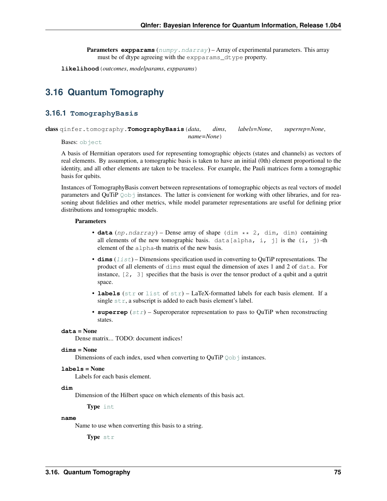**Parameters expparams** ([numpy.ndarray](https://docs.scipy.org/doc/numpy/reference/generated/numpy.ndarray.html#numpy.ndarray)) – Array of experimental parameters. This array must be of dtype agreeing with the expparams\_dtype property.

<span id="page-77-1"></span>**likelihood**(*outcomes*, *modelparams*, *expparams*)

# **3.16 Quantum Tomography**

#### **3.16.1 TomographyBasis**

<span id="page-77-0"></span>class qinfer.tomography.**TomographyBasis**(*data*, *dims*, *labels=None*, *superrep=None*, *name=None*)

Bases: [object](https://docs.python.org/3/library/functions.html#object)

A basis of Hermitian operators used for representing tomographic objects (states and channels) as vectors of real elements. By assumption, a tomographic basis is taken to have an initial (0th) element proportional to the identity, and all other elements are taken to be traceless. For example, the Pauli matrices form a tomographic basis for qubits.

Instances of TomographyBasis convert between representations of tomographic objects as real vectors of model parameters and QuTiP [Qobj](http://qutip.org/docs/3.1.0/apidoc/classes.html#qutip.Qobj) instances. The latter is convienent for working with other libraries, and for reasoning about fidelities and other metrics, while model parameter representations are useful for defining prior distributions and tomographic models.

#### **Parameters**

- **data**  $(np.ndarray)$  Dense array of shape  $(\dim \ast \ast 2, \dim, \dim)$  containing all elements of the new tomographic basis. data[alpha, i, j] is the  $(i, j)$ -th element of the alpha-th matrix of the new basis.
- **dims** ([list](https://docs.python.org/3/library/stdtypes.html#list)) Dimensions specification used in converting to QuTiP representations. The product of all elements of dims must equal the dimension of axes 1 and 2 of data. For instance, [2, 3] specifies that the basis is over the tensor product of a qubit and a qutrit space.
- **labels** ([str](https://docs.python.org/3/library/stdtypes.html#str) or [list](https://docs.python.org/3/library/stdtypes.html#list) of [str](https://docs.python.org/3/library/stdtypes.html#str)) LaTeX-formatted labels for each basis element. If a single  $str$ , a subscript is added to each basis element's label.
- **superrep**  $(str)$  $(str)$  $(str)$  Superoperator representation to pass to QuTiP when reconstructing states.

#### **data** = None

Dense matrix... TODO: document indices!

#### **dims** = None

Dimensions of each index, used when converting to QuTiP  $Q \circ b$  instances.

#### **labels** = None

Labels for each basis element.

#### **dim**

Dimension of the Hilbert space on which elements of this basis act.

Type [int](https://docs.python.org/3/library/functions.html#int)

#### **name**

Name to use when converting this basis to a string.

Type [str](https://docs.python.org/3/library/stdtypes.html#str)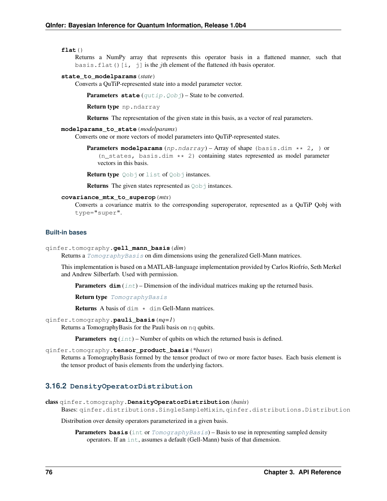#### <span id="page-78-1"></span>**flat**()

Returns a NumPy array that represents this operator basis in a flattened manner, such that basis.flat()[i, j] is the *j*th element of the flattened *i*th basis operator.

#### **state\_to\_modelparams**(*state*)

Converts a QuTiP-represented state into a model parameter vector.

Parameters state (qutip. Qobj) – State to be converted.

Return type np.ndarray

Returns The representation of the given state in this basis, as a vector of real parameters.

#### **modelparams\_to\_state**(*modelparams*)

Converts one or more vectors of model parameters into QuTiP-represented states.

**Parameters modelparams** (np.ndarray) – Array of shape (basis.dim \*\* 2, ) or  $(n_{\text{states}}, \text{basis.dim} \star\star 2)$  containing states represented as model parameter vectors in this basis.

Return type [Qobj](http://qutip.org/docs/3.1.0/apidoc/classes.html#qutip.Qobj) or [list](https://docs.python.org/3/library/stdtypes.html#list) of Qobj instances.

**Returns** The given states represented as  $Q \circ b$  instances.

#### **covariance\_mtx\_to\_superop**(*mtx*)

Converts a covariance matrix to the corresponding superoperator, represented as a QuTiP Qobj with type="super".

#### **Built-in bases**

```
qinfer.tomography.gell_mann_basis(dim)
```
Returns a [TomographyBasis](#page-77-0) on dim dimensions using the generalized Gell-Mann matrices.

This implementation is based on a MATLAB-language implementation provided by Carlos Riofrío, Seth Merkel and Andrew Silberfarb. Used with permission.

**Parameters**  $\dim (\text{int})$  $\dim (\text{int})$  $\dim (\text{int})$  **– Dimension of the individual matrices making up the returned basis.** 

Return type [TomographyBasis](#page-77-0)

**Returns** A basis of dim  $*$  dim Gell-Mann matrices.

#### qinfer.tomography.**pauli\_basis**(*nq=1*)

Returns a TomographyBasis for the Pauli basis on nq qubits.

**Parameters**  $nq$  ([int](https://docs.python.org/3/library/functions.html#int)) – Number of qubits on which the returned basis is defined.

#### qinfer.tomography.**tensor\_product\_basis**(*\*bases*)

Returns a TomographyBasis formed by the tensor product of two or more factor bases. Each basis element is the tensor product of basis elements from the underlying factors.

#### **3.16.2 DensityOperatorDistribution**

```
class qinfer.tomography.DensityOperatorDistribution(basis)
```

```
Bases: qinfer.distributions.SingleSampleMixin, qinfer.distributions.Distribution
```
Distribution over density operators parameterized in a given basis.

**Parameters basis** ([int](https://docs.python.org/3/library/functions.html#int) or [TomographyBasis](#page-77-0)) – Basis to use in representing sampled density operators. If an [int](https://docs.python.org/3/library/functions.html#int), assumes a default (Gell-Mann) basis of that dimension.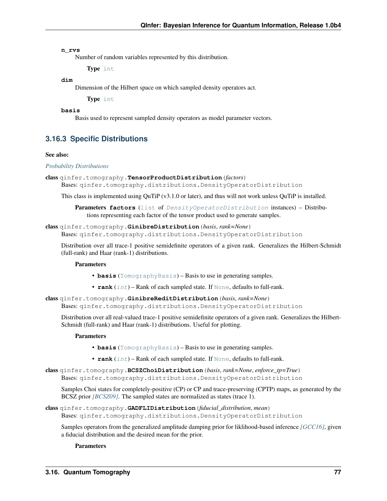#### <span id="page-79-0"></span>**n\_rvs**

Number of random variables represented by this distribution.

Type [int](https://docs.python.org/3/library/functions.html#int)

#### **dim**

Dimension of the Hilbert space on which sampled density operators act.

Type [int](https://docs.python.org/3/library/functions.html#int)

#### **basis**

Basis used to represent sampled density operators as model parameter vectors.

### **3.16.3 Specific Distributions**

#### See also:

#### *[Probability Distributions](#page-46-0)*

```
class qinfer.tomography.TensorProductDistribution(factors)
```
Bases: qinfer.tomography.distributions.DensityOperatorDistribution

This class is implemented using QuTiP (v3.1.0 or later), and thus will not work unless QuTiP is installed.

Parameters **factors** ([list](https://docs.python.org/3/library/stdtypes.html#list) of [DensityOperatorDistribution](#page-78-0) instances) – Distributions representing each factor of the tensor product used to generate samples.

#### class qinfer.tomography.**GinibreDistribution**(*basis*, *rank=None*)

Bases: qinfer.tomography.distributions.DensityOperatorDistribution

Distribution over all trace-1 positive semidefinite operators of a given rank. Generalizes the Hilbert-Schmidt (full-rank) and Haar (rank-1) distributions.

#### **Parameters**

- **basis** ([TomographyBasis](#page-77-0)) Basis to use in generating samples.
- **rank**  $(int)$  $(int)$  $(int)$  Rank of each sampled state. If  $None$ , defaults to full-rank.

class qinfer.tomography.**GinibreReditDistribution**(*basis*, *rank=None*) Bases: qinfer.tomography.distributions.DensityOperatorDistribution

Distribution over all real-valued trace-1 positive semidefinite operators of a given rank. Generalizes the Hilbert-Schmidt (full-rank) and Haar (rank-1) distributions. Useful for plotting.

#### Parameters

- **basis** ([TomographyBasis](#page-77-0)) Basis to use in generating samples.
- **rank** ([int](https://docs.python.org/3/library/functions.html#int)) Rank of each sampled state. If [None](https://docs.python.org/3/library/constants.html#None), defaults to full-rank.
- class qinfer.tomography.**BCSZChoiDistribution**(*basis*, *rank=None*, *enforce\_tp=True*) Bases: qinfer.tomography.distributions.DensityOperatorDistribution

Samples Choi states for completely-positive (CP) or CP and trace-preserving (CPTP) maps, as generated by the BCSZ prior *[\[BCSZ09\]](#page-93-2)*. The sampled states are normalized as states (trace 1).

#### class qinfer.tomography.**GADFLIDistribution**(*fiducial\_distribution*, *mean*) Bases: qinfer.tomography.distributions.DensityOperatorDistribution

Samples operators from the generalized amplitude damping prior for liklihood-based inference *[\[GCC16\]](#page-94-0)*, given a fiducial distribution and the desired mean for the prior.

#### **Parameters**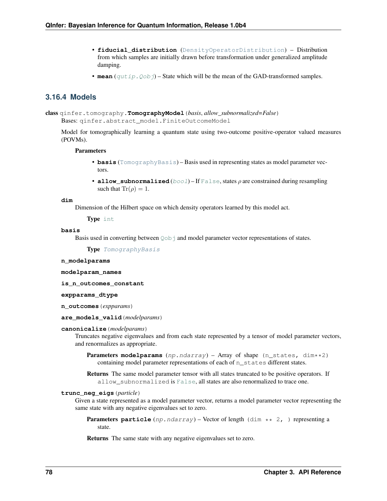- <span id="page-80-0"></span>• **fiducial\_distribution** ([DensityOperatorDistribution](#page-78-0)) – Distribution from which samples are initially drawn before transformation under generalized amplitude damping.
- **mean**  $(\text{qutip.Qobj})$  $(\text{qutip.Qobj})$  $(\text{qutip.Qobj})$  State which will be the mean of the GAD-transformed samples.

### **3.16.4 Models**

class qinfer.tomography.**TomographyModel**(*basis*, *allow\_subnormalized=False*) Bases: qinfer.abstract\_model.FiniteOutcomeModel

Model for tomographically learning a quantum state using two-outcome positive-operator valued measures (POVMs).

#### **Parameters**

- **basis** ([TomographyBasis](#page-77-0)) Basis used in representing states as model parameter vectors.
- **allow\_subnormalized** ( $bool$ ) If [False](https://docs.python.org/3/library/constants.html#False), states  $\rho$  are constrained during resampling such that  $\text{Tr}(\rho) = 1$ .

#### **dim**

Dimension of the Hilbert space on which density operators learned by this model act.

Type [int](https://docs.python.org/3/library/functions.html#int)

#### **basis**

Basis used in converting between  $Q \circ b$  j and model parameter vector representations of states.

Type [TomographyBasis](#page-77-0)

#### **n\_modelparams**

**modelparam\_names**

**is\_n\_outcomes\_constant**

**expparams\_dtype**

**n\_outcomes**(*expparams*)

#### **are\_models\_valid**(*modelparams*)

#### **canonicalize**(*modelparams*)

Truncates negative eigenvalues and from each state represented by a tensor of model parameter vectors, and renormalizes as appropriate.

Parameters modelparams (np.ndarray) – Array of shape (n\_states, dim\*\*2) containing model parameter representations of each of n\_states different states.

Returns The same model parameter tensor with all states truncated to be positive operators. If allow\_subnormalized is [False](https://docs.python.org/3/library/constants.html#False), all states are also renormalized to trace one.

#### **trunc\_neg\_eigs**(*particle*)

Given a state represented as a model parameter vector, returns a model parameter vector representing the same state with any negative eigenvalues set to zero.

**Parameters particle** (np.ndarray) – Vector of length (dim \*\* 2, ) representing a state.

Returns The same state with any negative eigenvalues set to zero.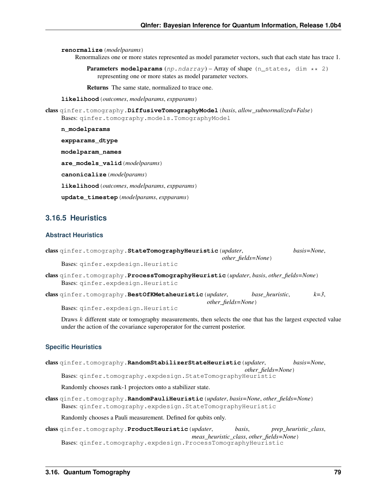<span id="page-81-0"></span>**renormalize**(*modelparams*)

Renormalizes one or more states represented as model parameter vectors, such that each state has trace 1.

Parameters modelparams (np.ndarray) – Array of shape (n\_states, dim \*\* 2) representing one or more states as model parameter vectors.

Returns The same state, normalized to trace one.

**likelihood**(*outcomes*, *modelparams*, *expparams*)

class qinfer.tomography.**DiffusiveTomographyModel**(*basis*, *allow\_subnormalized=False*) Bases: qinfer.tomography.models.TomographyModel

**n\_modelparams**

**expparams\_dtype**

**modelparam\_names**

**are\_models\_valid**(*modelparams*)

**canonicalize**(*modelparams*)

**likelihood**(*outcomes*, *modelparams*, *expparams*)

**update\_timestep**(*modelparams*, *expparams*)

### **3.16.5 Heuristics**

### **Abstract Heuristics**

| class ginfer.tomography.StateTomographyHeuristic (updater,                                                                  |                            |                 | basis=None. |
|-----------------------------------------------------------------------------------------------------------------------------|----------------------------|-----------------|-------------|
| Bases: qinfer.expdesign.Heuristic                                                                                           | <i>other fields=None</i> ) |                 |             |
| class ginfer.tomography.ProcessTomographyHeuristic (updater, basis, other_fields=None)<br>Bases: qinfer.expdesign.Heuristic |                            |                 |             |
| class qinfer.tomography.BestOfKMetaheuristic (updater,                                                                      | <i>other fields=None</i> ) | base heuristic, | $k=3$ .     |
| Bases: qinfer.expdesign.Heuristic                                                                                           |                            |                 |             |

Draws  $k$  different state or tomography measurements, then selects the one that has the largest expected value under the action of the covariance superoperator for the current posterior.

#### **Specific Heuristics**

| class qinfer.tomography.RandomStabilizerStateHeuristic (updater,                                                                                     | basis=None.           |
|------------------------------------------------------------------------------------------------------------------------------------------------------|-----------------------|
| other_fields=None)                                                                                                                                   |                       |
| Bases: qinfer.tomography.expdesign.StateTomographyHeuristic                                                                                          |                       |
| Randomly chooses rank-1 projectors onto a stabilizer state.                                                                                          |                       |
| class qinfer.tomography.RandomPauliHeuristic (updater, basis=None, other_fields=None)<br>Bases: ginfer.tomography.expdesign.StateTomographyHeuristic |                       |
| Randomly chooses a Pauli measurement. Defined for qubits only.                                                                                       |                       |
| basis.<br>class ginfer.tomography.ProductHeuristic (updater,<br>meas_heuristic_class, other_fields=None)                                             | prep_heuristic_class, |

Bases: qinfer.tomography.expdesign.ProcessTomographyHeuristic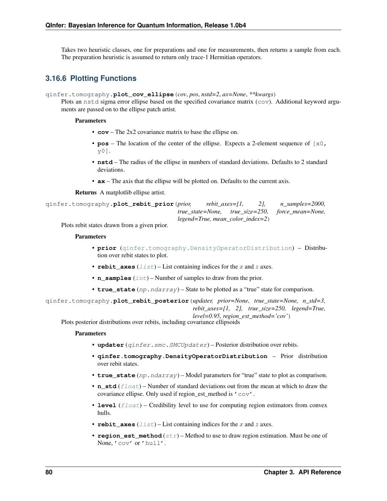<span id="page-82-0"></span>Takes two heuristic classes, one for preparations and one for measurements, then returns a sample from each. The preparation heuristic is assumed to return only trace-1 Hermitian operators.

### **3.16.6 Plotting Functions**

qinfer.tomography.**plot\_cov\_ellipse**(*cov*, *pos*, *nstd=2*, *ax=None*, *\*\*kwargs*)

Plots an nstd sigma error ellipse based on the specified covariance matrix (cov). Additional keyword arguments are passed on to the ellipse patch artist.

#### **Parameters**

- **cov** The 2x2 covariance matrix to base the ellipse on.
- **pos** The location of the center of the ellipse. Expects a 2-element sequence of  $[x0]$ , y0].
- **nstd** The radius of the ellipse in numbers of standard deviations. Defaults to 2 standard deviations.
- **ax** The axis that the ellipse will be plotted on. Defaults to the current axis.

Returns A matplotlib ellipse artist.

```
qinfer.tomography.plot_rebit_prior(prior, rebit_axes=[1, 2], n_samples=2000,
                                        true_state=None, true_size=250, force_mean=None,
                                       legend=True, mean_color_index=2)
```
Plots rebit states drawn from a given prior.

#### Parameters

- **prior** ([qinfer.tomography.DensityOperatorDistribution](#page-78-0)) Distribution over rebit states to plot.
- **rebit\_axes**  $(llist)$  $(llist)$  $(llist)$  List containing indices for the  $x$  and  $z$  axes.
- **n\_samples** ([int](https://docs.python.org/3/library/functions.html#int)) Number of samples to draw from the prior.
- **true** state (np. ndarray) State to be plotted as a "true" state for comparison.

qinfer.tomography.**plot\_rebit\_posterior**(*updater, prior=None, true\_state=None, n\_std=3, rebit\_axes=[1, 2], true\_size=250, legend=True, level=0.95, region\_est\_method='cov'*)

Plots posterior distributions over rebits, including covariance ellipsoids

#### **Parameters**

- **updater** (qinfer.smc.SMCUpdater) Posterior distribution over rebits.
- **qinfer.tomography.DensityOperatorDistribution** Prior distribution over rebit states.
- **true\_state** (np.ndarray) Model parameters for "true" state to plot as comparison.
- **n\_std** ([float](https://docs.python.org/3/library/functions.html#float)) Number of standard deviations out from the mean at which to draw the covariance ellipse. Only used if region\_est\_method is 'cov'.
- **level** (*[float](https://docs.python.org/3/library/functions.html#float)*) Credibility level to use for computing region estimators from convex hulls.
- **rebit** axes  $(llist)$  $(llist)$  $(llist)$  List containing indices for the x and z axes.
- **region\_est\_method** ([str](https://docs.python.org/3/library/stdtypes.html#str)) Method to use to draw region estimation. Must be one of None, 'cov' or 'hull'.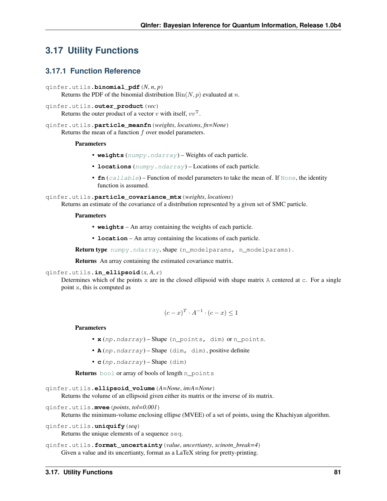# <span id="page-83-1"></span>**3.17 Utility Functions**

### **3.17.1 Function Reference**

```
qinfer.utils.binomial_pdf(N, n, p)
     Returns the PDF of the binomial distribution Bin(N, p) evaluated at n.
```

```
qinfer.utils.outer_product(vec)
```
Returns the outer product of a vector  $v$  with itself,  $vv^{\mathrm{T}}$ .

qinfer.utils.**particle\_meanfn**(*weights*, *locations*, *fn=None*) Returns the mean of a function  $f$  over model parameters.

#### **Parameters**

- **weights** ([numpy.ndarray](https://docs.scipy.org/doc/numpy/reference/generated/numpy.ndarray.html#numpy.ndarray)) Weights of each particle.
- **locations** ([numpy.ndarray](https://docs.scipy.org/doc/numpy/reference/generated/numpy.ndarray.html#numpy.ndarray)) Locations of each particle.
- **fn** ([callable](https://docs.python.org/3/library/functions.html#callable)) Function of model parameters to take the mean of. If [None](https://docs.python.org/3/library/constants.html#None), the identity function is assumed.

qinfer.utils.**particle\_covariance\_mtx**(*weights*, *locations*)

Returns an estimate of the covariance of a distribution represented by a given set of SMC particle.

#### Parameters

- **weights** An array containing the weights of each particle.
- **location** An array containing the locations of each particle.

Return type [numpy.ndarray](https://docs.scipy.org/doc/numpy/reference/generated/numpy.ndarray.html#numpy.ndarray), shape (n\_modelparams, n\_modelparams).

Returns An array containing the estimated covariance matrix.

#### qinfer.utils.**in\_ellipsoid**(*x*, *A*, *c*)

Determines which of the points  $x$  are in the closed ellipsoid with shape matrix A centered at  $c$ . For a single point x, this is computed as

$$
(c-x)^T \cdot A^{-1} \cdot (c-x) \le 1
$$

#### **Parameters**

- **x** (np.ndarray) Shape (n points, dim) or n points.
- **A** (np.ndarray) Shape (dim, dim), positive definite
- **c** (np.ndarray) Shape (dim)

Returns [bool](https://docs.python.org/3/library/functions.html#bool) or array of bools of length n\_points

```
qinfer.utils.ellipsoid_volume(A=None, invA=None)
```
Returns the volume of an ellipsoid given either its matrix or the inverse of its matrix.

```
qinfer.utils.mvee(points, tol=0.001)
```
Returns the minimum-volume enclosing ellipse (MVEE) of a set of points, using the Khachiyan algorithm.

```
qinfer.utils.uniquify(seq)
```
Returns the unique elements of a sequence seq.

```
qinfer.utils.format_uncertainty(value, uncertianty, scinotn_break=4)
     Given a value and its uncertianty, format as a LaTeX string for pretty-printing.
```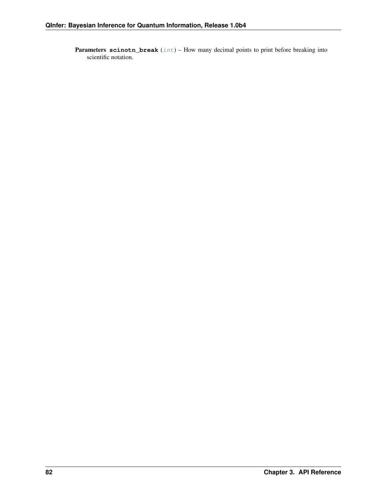Parameters scinotn\_break ([int](https://docs.python.org/3/library/functions.html#int)) – How many decimal points to print before breaking into scientific notation.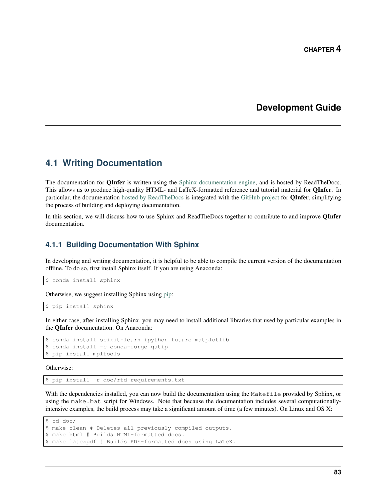## **Development Guide**

## **4.1 Writing Documentation**

The documentation for **QInfer** is written using the [Sphinx documentation engine,](http://www.sphinx-doc.org/en/stable/) and is hosted by ReadTheDocs. This allows us to produce high-quality HTML- and LaTeX-formatted reference and tutorial material for QInfer. In particular, the documentation [hosted by ReadTheDocs](http://python-qinfer.readthedocs.io/) is integrated with the [GitHub project](https://github.com/QInfer/python-qinfer) for **QInfer**, simplifying the process of building and deploying documentation.

In this section, we will discuss how to use Sphinx and ReadTheDocs together to contribute to and improve **QInfer** documentation.

### **4.1.1 Building Documentation With Sphinx**

In developing and writing documentation, it is helpful to be able to compile the current version of the documentation offline. To do so, first install Sphinx itself. If you are using Anaconda:

\$ conda install sphinx

Otherwise, we suggest installing Sphinx using [pip:](https://pip.pypa.io/en/stable/)

```
$ pip install sphinx
```
In either case, after installing Sphinx, you may need to install additional libraries that used by particular examples in the QInfer documentation. On Anaconda:

```
$ conda install scikit-learn ipython future matplotlib
$ conda install -c conda-forge qutip
$ pip install mpltools
```
Otherwise:

\$ pip install -r doc/rtd-requirements.txt

With the dependencies installed, you can now build the documentation using the Makefile provided by Sphinx, or using the make.bat script for Windows. Note that because the documentation includes several computationallyintensive examples, the build process may take a significant amount of time (a few minutes). On Linux and OS X:

```
$ cd doc/
$ make clean # Deletes all previously compiled outputs.
$ make html # Builds HTML-formatted docs.
$ make latexpdf # Builds PDF-formatted docs using LaTeX.
```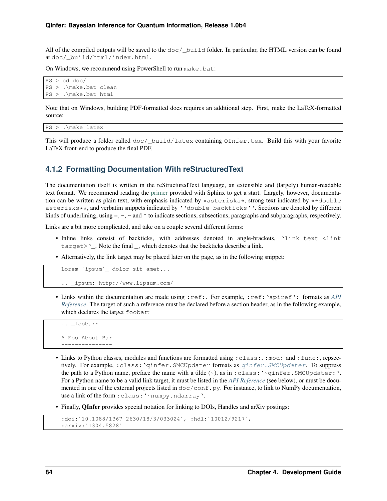All of the compiled outputs will be saved to the  $\text{doc}/\text{build folder}$ . In particular, the HTML version can be found at doc/\_build/html/index.html.

On Windows, we recommend using PowerShell to run make.bat:

```
PS > cd doc/
PS > .\make.bat clean
PS > .\make.bat html
```
Note that on Windows, building PDF-formatted docs requires an additional step. First, make the LaTeX-formatted source:

```
PS > .\make latex
```
This will produce a folder called doc/\_build/latex containing QInfer.tex. Build this with your favorite LaTeX front-end to produce the final PDF.

### **4.1.2 Formatting Documentation With reStructuredText**

The documentation itself is written in the reStructuredText language, an extensible and (largely) human-readable text format. We recommend reading the [primer](http://www.sphinx-doc.org/en/stable/rest.html) provided with Sphinx to get a start. Largely, however, documentation can be written as plain text, with emphasis indicated by  $*$ asterisks $*$ , strong text indicated by  $*$ double asterisks\*\*, and verbatim snippets indicated by ''double backticks''. Sections are denoted by different kinds of underlining, using  $=$ ,  $-$ ,  $\sim$  and  $\land$  to indicate sections, subsections, paragraphs and subparagraphs, respectively.

Links are a bit more complicated, and take on a couple several different forms:

- Inline links consist of backticks, with addresses denoted in angle-brackets, 'link text <link  $target$ . Note the final , which denotes that the backticks describe a link.
- Alternatively, the link target may be placed later on the page, as in the following snippet:

```
Lorem `ipsum`_ dolor sit amet...
```

```
.. _ipsum: http://www.lipsum.com/
```
• Links within the documentation are made using :ref:. For example, :ref:'apiref': formats as *[API](#page-37-0) [Reference](#page-37-0)*. The target of such a reference must be declared before a section header, as in the following example, which declares the target foobar:

```
.. _foobar:
A Foo About Bar
---------------
```
- Links to Python classes, modules and functions are formatted using :class:, :mod: and :func:, repsectively. For example, : class: 'qinfer. SMCUpdater formats as  $q$ infer. SMCUpdater. To suppress the path to a Python name, preface the name with a tilde  $(\sim)$ , as in :class: ' $\sim$ qinfer.SMCUpdater: '. For a Python name to be a valid link target, it must be listed in the *[API Reference](#page-37-0)* (see below), or must be documented in one of the external projects listed in  $\text{doc}/\text{conf.py}$ . For instance, to link to NumPy documentation, use a link of the form : class: '~numpy.ndarray'.
- Finally, **QInfer** provides special notation for linking to DOIs, Handles and arXiv postings:

```
:doi:`10.1088/1367-2630/18/3/033024`, :hdl:`10012/9217`,
:arxiv:`1304.5828`
```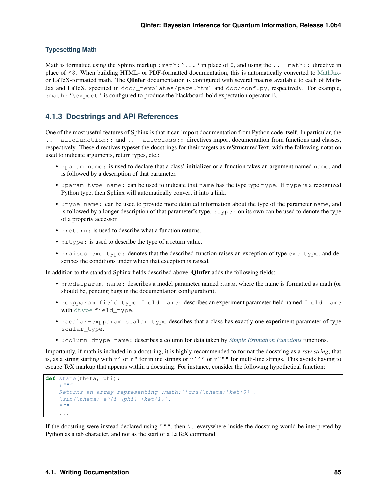#### **Typesetting Math**

Math is formatted using the Sphinx markup : math: '...' in place of  $\hat{S}$ , and using the ... math: : directive in place of \$\$. When building HTML- or PDF-formatted documentation, this is automatically converted to [MathJax](https://www.mathjax.org/)or LaTeX-formatted math. The QInfer documentation is configured with several macros available to each of Math-Jax and LaTeX, specified in doc/\_templates/page.html and doc/conf.py, respectively. For example, : math: '\expect' is configured to produce the blackboard-bold expectation operator  $E$ .

### **4.1.3 Docstrings and API References**

One of the most useful features of Sphinx is that it can import documentation from Python code itself. In particular, the autofunction:: and .. autoclass:: directives import documentation from functions and classes, respectively. These directives typeset the docstrings for their targets as reStructuredText, with the following notation used to indicate arguments, return types, etc.:

- :param name: is used to declare that a class' initializer or a function takes an argument named name, and is followed by a description of that parameter.
- : param type name: can be used to indicate that name has the type type type. If type is a recognized Python type, then Sphinx will automatically convert it into a link.
- :type name: can be used to provide more detailed information about the type of the parameter name, and is followed by a longer description of that parameter's type. : type: on its own can be used to denote the type of a property accessor.
- : return: is used to describe what a function returns.
- : rtype: is used to describe the type of a return value.
- : raises exc\_type: denotes that the described function raises an exception of type exc\_type, and describes the conditions under which that exception is raised.

In addition to the standard Sphinx fields described above, QInfer adds the following fields:

- :modelparam name: describes a model parameter named name, where the name is formatted as math (or should be, pending bugs in the documentation configuration).
- :expparam field\_type field\_name: describes an experiment parameter field named field\_name with [dtype](https://docs.scipy.org/doc/numpy/reference/generated/numpy.dtype.html#numpy.dtype) field\_type.
- : scalar-expparam scalar\_type describes that a class has exactly one experiment parameter of type scalar\_type.
- :column dtype name: describes a column for data taken by *[Simple Estimation Functions](#page-5-0)* functions.

Importantly, if math is included in a docstring, it is highly recommended to format the docstring as a *raw string*; that is, as a string starting with  $r'$  or  $r''$  for inline strings or  $r'$ '' or  $r''''$  for multi-line strings. This avoids having to escape TeX markup that appears within a docstring. For instance, consider the following hypothetical function:

```
def state(theta, phi):
    r"""
    Returns an array representing : math: \cos(\theta)\ket{0} +
    \sin(\theta) e^i (i \phi} \ket{1}`.
    "''"''"''"...
```
If the docstring were instead declared using "", then  $\setminus t$  everywhere inside the docstring would be interpreted by Python as a tab character, and not as the start of a LaTeX command.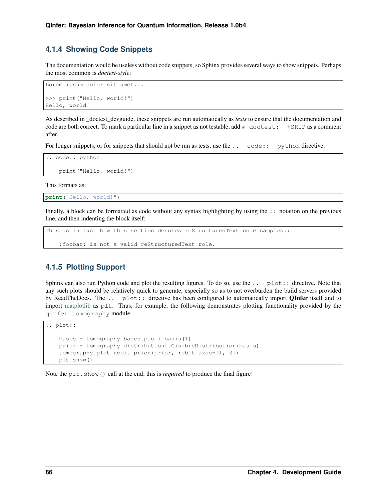## <span id="page-88-0"></span>**4.1.4 Showing Code Snippets**

The documentation would be useless without code snippets, so Sphinx provides several ways to show snippets. Perhaps the most common is *doctest-style*:

```
Lorem ipsum dolor sit amet...
>>> print("Hello, world!")
Hello, world!
```
As described in \_doctest\_devguide, these snippets are run automatically as *tests* to ensure that the documentation and code are both correct. To mark a particular line in a snippet as not testable, add  $\#$  doctest:  $+$ SKIP as a comment after.

For longer snippets, or for snippets that should not be run as tests, use the .. code:: python directive:

```
.. code:: python
   print("Hello, world!")
```
This formats as:

```
print("Hello, world!")
```
Finally, a block can be formatted as code without any syntax highlighting by using the :: notation on the previous line, and then indenting the block itself:

```
This is in fact how this section denotes reStructuredText code samples::
```

```
:foobar: is not a valid reStructuredText role.
```
## **4.1.5 Plotting Support**

Sphinx can also run Python code and plot the resulting figures. To do so, use the ... plot: directive. Note that any such plots should be relatively quick to generate, especially so as to not overburden the build servers provided by ReadTheDocs. The .. plot:: directive has been configured to automatically import **QInfer** itself and to import [matplotlib](http://matplotlib.org/) as plt. Thus, for example, the following demonstrates plotting functionality provided by the qinfer.tomography module:

```
.. plot::
   basis = tomography.bases.pauli_basis(1)
   prior = tomography.distributions.GinibreDistribution(basis)
   tomography.plot_rebit_prior(prior, rebit_axes=[1, 3])
   plt.show()
```
Note the plt.show() call at the end; this is *required* to produce the final figure!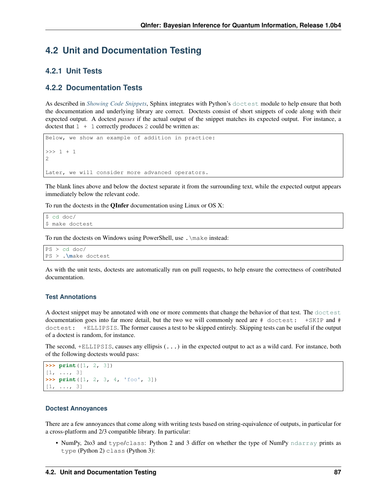# **4.2 Unit and Documentation Testing**

## **4.2.1 Unit Tests**

## **4.2.2 Documentation Tests**

As described in *[Showing Code Snippets](#page-88-0)*, Sphinx integrates with Python's [doctest](https://docs.python.org/3/library/doctest.html#module-doctest) module to help ensure that both the documentation and underlying library are correct. Doctests consist of short snippets of code along with their expected output. A doctest *passes* if the actual output of the snippet matches its expected output. For instance, a doctest that  $1 + 1$  correctly produces 2 could be written as:

```
Below, we show an example of addition in practice:
>>> 1 + 1
2
Later, we will consider more advanced operators.
```
The blank lines above and below the doctest separate it from the surrounding text, while the expected output appears immediately below the relevant code.

To run the doctests in the QInfer documentation using Linux or OS X:

```
$ cd doc/
$ make doctest
```
To run the doctests on Windows using PowerShell, use .\make instead:

```
PS > cd doc/
PS > .\make doctest
```
As with the unit tests, doctests are automatically run on pull requests, to help ensure the correctness of contributed documentation.

#### **Test Annotations**

A doctest snippet may be annotated with one or more comments that change the behavior of that test. The [doctest](https://docs.python.org/3/library/doctest.html#module-doctest) documentation goes into far more detail, but the two we will commonly need are # doctest: +SKIP and # doctest: +ELLIPSIS. The former causes a test to be skipped entirely. Skipping tests can be useful if the output of a doctest is random, for instance.

The second, +ELLIPSIS, causes any ellipsis (...) in the expected output to act as a wild card. For instance, both of the following doctests would pass:

```
>>> print([1, 2, 3])
[1, \ldots, 3]>>> print([1, 2, 3, 4, 'foo', 3])
[1, ..., 3]
```
#### **Doctest Annoyances**

There are a few annoyances that come along with writing tests based on string-equivalence of outputs, in particular for a cross-platform and 2/3 compatible library. In particular:

• NumPy, 2to3 and type/class: Python 2 and 3 differ on whether the type of NumPy [ndarray](https://docs.scipy.org/doc/numpy/reference/generated/numpy.ndarray.html#numpy.ndarray) prints as type (Python 2) class (Python 3):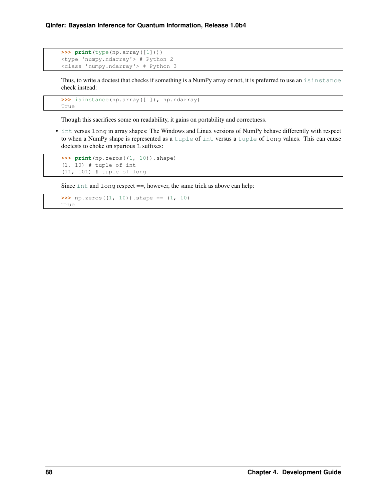```
>>> print(type(np.array([1])))
<type 'numpy.ndarray'> # Python 2
<class 'numpy.ndarray'> # Python 3
```
Thus, to write a doctest that checks if something is a NumPy array or not, it is preferred to use an [isinstance](https://docs.python.org/3/library/functions.html#isinstance) check instead:

```
>>> isinstance(np.array([1]), np.ndarray)
True
```
Though this sacrifices some on readability, it gains on portability and correctness.

• [int](https://docs.python.org/3/library/functions.html#int) versus long in array shapes: The Windows and Linux versions of NumPy behave differently with respect to when a NumPy shape is represented as a [tuple](https://docs.python.org/3/library/stdtypes.html#tuple) of [int](https://docs.python.org/3/library/functions.html#int) versus a [tuple](https://docs.python.org/3/library/stdtypes.html#tuple) of long values. This can cause doctests to choke on spurious L suffixes:

```
>>> print(np.zeros((1, 10)).shape)
(1, 10) # tuple of int
(1L, 10L) # tuple of long
```
Since  $int$  and  $long$  respect  $==$ , however, the same trick as above can help:

```
\Rightarrow p.zeros((1, 10)).shape == (1, 10)
True
```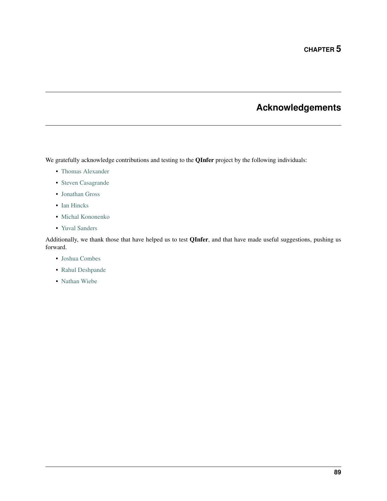# **Acknowledgements**

We gratefully acknowledge contributions and testing to the **QInfer** project by the following individuals:

- [Thomas Alexander](https://services.iqc.uwaterloo.ca/people/profile/t4alexan/)
- [Steven Casagrande](http://steven.casagrande.io/)
- [Jonathan Gross](http://www.unm.edu/~jagross/)
- [Ian Hincks](https://github.com/ihincks)
- [Michal Kononenko](https://services.iqc.uwaterloo.ca/people/profile/mkononenko/)
- [Yuval Sanders](https://github.com/ysanders)

Additionally, we thank those that have helped us to test QInfer, and that have made useful suggestions, pushing us forward.

- [Joshua Combes](https://www.perimeterinstitute.ca/people/joshua-combes)
- [Rahul Deshpande](https://services.iqc.uwaterloo.ca/people/profile/rdeshpande/)
- [Nathan Wiebe](http://research.microsoft.com/en-us/people/nawiebe/)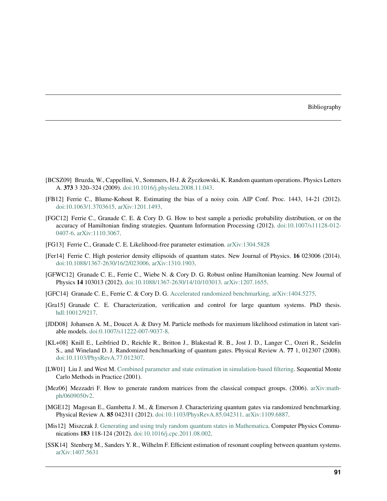#### Bibliography

- <span id="page-93-2"></span>[BCSZ09] Bruzda, W., Cappellini, V., Sommers, H-J. & Zyczkowski, K. Random quantum operations. Physics Letters ˙ A. 373 3 320–324 (2009). [doi:10.1016/j.physleta.2008.11.043.](https://dx.doi.org/10.1016/j.physleta.2008.11.043)
- <span id="page-93-1"></span>[FB12] Ferrie C., Blume-Kohout R. Estimating the bias of a noisy coin. AIP Conf. Proc. 1443, 14-21 (2012). [doi:10.1063/1.3703615.](https://dx.doi.org/10.1063/1.3703615) [arXiv:1201.1493.](http://arxiv.org/abs/1201.1493)
- [FGC12] Ferrie C., Granade C. E. & Cory D. G. How to best sample a periodic probability distribution, or on the accuracy of Hamiltonian finding strategies. Quantum Information Processing (2012). [doi:10.1007/s11128-012-](https://dx.doi.org/10.1007/s11128-012-0407-6) [0407-6.](https://dx.doi.org/10.1007/s11128-012-0407-6) [arXiv:1110.3067.](http://arxiv.org/abs/1110.3067)
- [FG13] Ferrie C., Granade C. E. Likelihood-free parameter estimation. [arXiv:1304.5828](http://arxiv.org/abs/1304.5828)
- [Fer14] Ferrie C. High posterior density ellipsoids of quantum states. New Journal of Physics. 16 023006 (2014). [doi:10.1088/1367-2630/16/2/023006.](https://dx.doi.org/10.1088/1367-2630/16/2/023006) [arXiv:1310.1903.](http://arxiv.org/abs/1310.1903)
- <span id="page-93-0"></span>[GFWC12] Granade C. E., Ferrie C., Wiebe N. & Cory D. G. Robust online Hamiltonian learning. New Journal of Physics 14 103013 (2012). [doi:10.1088/1367-2630/14/10/103013.](https://dx.doi.org/10.1088/1367-2630/14/10/103013) [arXiv:1207.1655.](http://arxiv.org/abs/1207.1655)
- [GFC14] Granade C. E., Ferrie C. & Cory D. G. [Accelerated randomized benchmarking.](http://www.cgranade.com/research/arb/) [arXiv:1404.5275.](http://arxiv.org/abs/1404.5275)
- [Gra15] Granade C. E. Characterization, verification and control for large quantum systems. PhD thesis. [hdl:10012/9217.](https://hdl.handle.net/10012/9217)
- [JDD08] Johansen A. M., Doucet A. & Davy M. Particle methods for maximum likelihood estimation in latent variable models. [doi:0.1007/s11222-007-9037-8.](https://dx.doi.org/0.1007/s11222-007-9037-8)
- [KL+08] Knill E., Leibfried D., Reichle R., Britton J., Blakestad R. B., Jost J. D., Langer C., Ozeri R., Seidelin S., and Wineland D. J. Randomized benchmarking of quantum gates. Physical Review A. 77 1, 012307 (2008). [doi:10.1103/PhysRevA.77.012307.](https://dx.doi.org/10.1103/PhysRevA.77.012307)
- [LW01] Liu J. and West M. [Combined parameter and state estimation in simulation-based filtering.](http://ftp.stat.duke.edu/WorkingPapers/99-14.html) Sequential Monte Carlo Methods in Practice (2001).
- [Mez06] Mezzadri F. How to generate random matrices from the classical compact groups. (2006). [arXiv:math](http://arxiv.org/abs/math-ph/0609050v2)[ph/0609050v2.](http://arxiv.org/abs/math-ph/0609050v2)
- [MGE12] Magesan E., Gambetta J. M., & Emerson J. Characterizing quantum gates via randomized benchmarking. Physical Review A. 85 042311 (2012). [doi:10.1103/PhysRevA.85.042311.](https://dx.doi.org/10.1103/PhysRevA.85.042311) [arXiv:1109.6887.](http://arxiv.org/abs/1109.6887)
- [Mis12] Miszczak J. [Generating and using truly random quantum states in Mathematica.](http://www.iitis.pl/~miszczak/files/papers/miszczak12generating) Computer Physics Communications 183 118-124 (2012). [doi:10.1016/j.cpc.2011.08.002.](https://dx.doi.org/10.1016/j.cpc.2011.08.002)
- [SSK14] Stenberg M., Sanders Y. R., Wilhelm F. Efficient estimation of resonant coupling between quantum systems. [arXiv:1407.5631](http://arxiv.org/abs/1407.5631)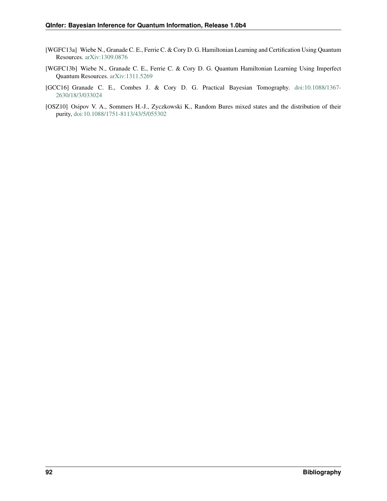- [WGFC13a] Wiebe N., Granade C. E., Ferrie C. & Cory D. G. Hamiltonian Learning and Certification Using Quantum Resources. [arXiv:1309.0876](http://arxiv.org/abs/1309.0876)
- [WGFC13b] Wiebe N., Granade C. E., Ferrie C. & Cory D. G. Quantum Hamiltonian Learning Using Imperfect Quantum Resources. [arXiv:1311.5269](http://arxiv.org/abs/1311.5269)
- <span id="page-94-0"></span>[GCC16] Granade C. E., Combes J. & Cory D. G. Practical Bayesian Tomography. [doi:10.1088/1367-](https://dx.doi.org/10.1088/1367-2630/18/3/033024) [2630/18/3/033024](https://dx.doi.org/10.1088/1367-2630/18/3/033024)
- [OSZ10] Osipov V. A., Sommers H.-J., Zyczkowski K., Random Bures mixed states and the distribution of their purity, [doi:10.1088/1751-8113/43/5/055302](https://dx.doi.org/10.1088/1751-8113/43/5/055302)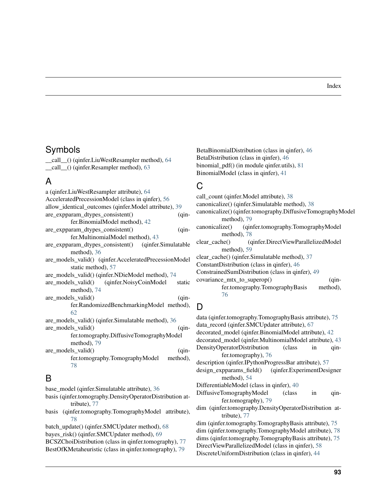#### Index

## Symbols

\_\_call\_\_() (qinfer.LiuWestResampler method), [64](#page-66-0) \_\_call\_\_() (qinfer.Resampler method), [63](#page-65-0)

## A

| a (qinfer.LiuWestResampler attribute), 64             |  |  |  |  |
|-------------------------------------------------------|--|--|--|--|
| AcceleratedPrecessionModel (class in qinfer), 56      |  |  |  |  |
| allow_identical_outcomes (qinfer.Model attribute), 39 |  |  |  |  |
| are_expparam_dtypes_consistent()<br>$(qin-$           |  |  |  |  |
| fer.BinomialModel method), 42                         |  |  |  |  |
| are_expparam_dtypes_consistent()<br>$(qin-$           |  |  |  |  |
| fer.MultinomialModel method), 43                      |  |  |  |  |
| are_expparam_dtypes_consistent() (qinfer.Simulatable  |  |  |  |  |
| method), 36                                           |  |  |  |  |
| are_models_valid() (qinfer.AcceleratedPrecessionModel |  |  |  |  |
| static method), 57                                    |  |  |  |  |
| are_models_valid() (qinfer.NDieModel method), 74      |  |  |  |  |
| are_models_valid() (qinfer.NoisyCoinModel<br>static   |  |  |  |  |
| method), 74                                           |  |  |  |  |
| are_models_valid()<br>$(qin-$                         |  |  |  |  |
| fer.RandomizedBenchmarkingModel method),              |  |  |  |  |
| 62                                                    |  |  |  |  |
| are_models_valid() (qinfer.Simulatable method), 36    |  |  |  |  |
| are_models_valid()<br>$(qin-$                         |  |  |  |  |
| fer.tomography.DiffusiveTomographyModel               |  |  |  |  |
| method), 79                                           |  |  |  |  |
| are_models_valid()<br>$(qin-$                         |  |  |  |  |
| fer.tomography.TomographyModel<br>method),            |  |  |  |  |
| 78                                                    |  |  |  |  |
|                                                       |  |  |  |  |

## B

base\_model (qinfer.Simulatable attribute), [36](#page-38-0)

- basis (qinfer.tomography.DensityOperatorDistribution attribute), [77](#page-79-0)
- basis (qinfer.tomography.TomographyModel attribute), [78](#page-80-0)
- batch\_update() (qinfer.SMCUpdater method), [68](#page-70-0) bayes\_risk() (qinfer.SMCUpdater method), [69](#page-71-1)

BCSZChoiDistribution (class in qinfer.tomography), [77](#page-79-0) BestOfKMetaheuristic (class in qinfer.tomography), [79](#page-81-0)

BetaBinomialDistribution (class in qinfer), [46](#page-48-0) BetaDistribution (class in qinfer), [46](#page-48-0) binomial pdf() (in module qinfer.utils), [81](#page-83-1) BinomialModel (class in qinfer), [41](#page-43-0)

## C

call\_count (qinfer.Model attribute), [38](#page-40-0) canonicalize() (qinfer.Simulatable method), [38](#page-40-0) canonicalize() (qinfer.tomography.DiffusiveTomographyModel method), [79](#page-81-0) canonicalize() (qinfer.tomography.TomographyModel method), [78](#page-80-0) clear\_cache() (qinfer.DirectViewParallelizedModel method), [59](#page-61-0) clear\_cache() (qinfer.Simulatable method), [37](#page-39-0) ConstantDistribution (class in qinfer), [46](#page-48-0) ConstrainedSumDistribution (class in qinfer), [49](#page-51-0) covariance\_mtx\_to\_superop() (qinfer.tomography.TomographyBasis method), [76](#page-78-1)

# D

data (qinfer.tomography.TomographyBasis attribute), [75](#page-77-1) data\_record (qinfer.SMCUpdater attribute), [67](#page-69-0) decorated\_model (qinfer.BinomialModel attribute), [42](#page-44-0) decorated\_model (qinfer.MultinomialModel attribute), [43](#page-45-0) DensityOperatorDistribution (class in qinfer.tomography), [76](#page-78-1) description (qinfer.IPythonProgressBar attribute), [57](#page-59-0) design\_expparams\_field() (qinfer.ExperimentDesigner method), [54](#page-56-0) DifferentiableModel (class in qinfer), [40](#page-42-0) DiffusiveTomographyModel (class in qinfer.tomography), [79](#page-81-0) dim (qinfer.tomography.DensityOperatorDistribution attribute), [77](#page-79-0) dim (qinfer.tomography.TomographyBasis attribute), [75](#page-77-1) dim (qinfer.tomography.TomographyModel attribute), [78](#page-80-0) dims (qinfer.tomography.TomographyBasis attribute), [75](#page-77-1) DirectViewParallelizedModel (class in qinfer), [58](#page-60-0) DiscreteUniformDistribution (class in qinfer), [44](#page-46-1)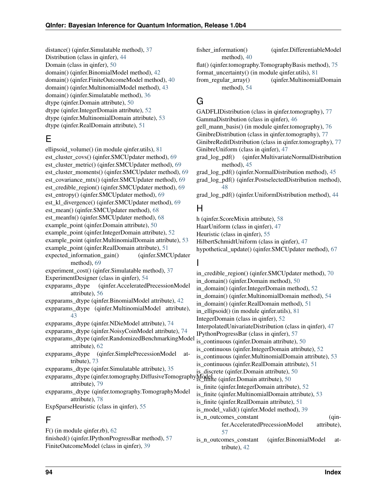distance() (qinfer.Simulatable method), [37](#page-39-0) Distribution (class in qinfer), [44](#page-46-1) Domain (class in qinfer), [50](#page-52-0) domain() (qinfer.BinomialModel method), [42](#page-44-0) domain() (qinfer.FiniteOutcomeModel method), [40](#page-42-0) domain() (qinfer.MultinomialModel method), [43](#page-45-0) domain() (qinfer.Simulatable method), [36](#page-38-0) dtype (qinfer.Domain attribute), [50](#page-52-0) dtype (qinfer.IntegerDomain attribute), [52](#page-54-0) dtype (qinfer.MultinomialDomain attribute), [53](#page-55-0) dtype (qinfer.RealDomain attribute), [51](#page-53-0)

# E

ellipsoid\_volume() (in module qinfer.utils), [81](#page-83-1) est\_cluster\_covs() (qinfer.SMCUpdater method), [69](#page-71-1) est\_cluster\_metric() (qinfer.SMCUpdater method), [69](#page-71-1) est\_cluster\_moments() (qinfer.SMCUpdater method), [69](#page-71-1) est\_covariance\_mtx() (qinfer.SMCUpdater method), [69](#page-71-1) est\_credible\_region() (qinfer.SMCUpdater method), [69](#page-71-1) est\_entropy() (qinfer.SMCUpdater method), [69](#page-71-1) est kl divergence() (qinfer.SMCUpdater method), [69](#page-71-1) est\_mean() (qinfer.SMCUpdater method), [68](#page-70-0) est\_meanfn() (qinfer.SMCUpdater method), [68](#page-70-0) example point (qinfer.Domain attribute), [50](#page-52-0) example\_point (qinfer.IntegerDomain attribute), [52](#page-54-0) example\_point (qinfer.MultinomialDomain attribute), [53](#page-55-0) example\_point (qinfer.RealDomain attribute), [51](#page-53-0) expected\_information\_gain() (qinfer.SMCUpdater method), [69](#page-71-1) experiment\_cost() (qinfer.Simulatable method), [37](#page-39-0) ExperimentDesigner (class in qinfer), [54](#page-56-0) expparams\_dtype (qinfer.AcceleratedPrecessionModel attribute), [56](#page-58-0) expparams\_dtype (qinfer.BinomialModel attribute), [42](#page-44-0) expparams\_dtype (qinfer.MultinomialModel attribute), [43](#page-45-0) expparams\_dtype (qinfer.NDieModel attribute), [74](#page-76-0) expparams\_dtype (qinfer.NoisyCoinModel attribute), [74](#page-76-0) expparams\_dtype (qinfer.RandomizedBenchmarkingModel attribute), [62](#page-64-0) expparams\_dtype (qinfer.SimplePrecessionModel attribute), [73](#page-75-1) expparams\_dtype (qinfer.Simulatable attribute), [35](#page-37-1) expparams\_dtype (qinfer.tomography.DiffusiveTomographyModel Compared Commitments and the set attribute), [79](#page-81-0) expparams\_dtype (qinfer.tomography.TomographyModel attribute), [78](#page-80-0) ExpSparseHeuristic (class in qinfer), [55](#page-57-0) F

F() (in module qinfer.rb), [62](#page-64-0) finished() (qinfer.IPythonProgressBar method), [57](#page-59-0) FiniteOutcomeModel (class in qinfer), [39](#page-41-0)

fisher\_information() (qinfer.DifferentiableModel method), [40](#page-42-0)

flat() (qinfer.tomography.TomographyBasis method), [75](#page-77-1) format\_uncertainty() (in module qinfer.utils), [81](#page-83-1)

from regular array() (qinfer.MultinomialDomain method), [54](#page-56-0)

# G

GADFLIDistribution (class in qinfer.tomography), [77](#page-79-0) GammaDistribution (class in qinfer), [46](#page-48-0)

gell\_mann\_basis() (in module qinfer.tomography), [76](#page-78-1)

GinibreDistribution (class in qinfer.tomography), [77](#page-79-0)

GinibreReditDistribution (class in qinfer.tomography), [77](#page-79-0) GinibreUniform (class in qinfer), [47](#page-49-0)

grad\_log\_pdf() (qinfer.MultivariateNormalDistribution method), [45](#page-47-0)

grad\_log\_pdf() (qinfer.NormalDistribution method), [45](#page-47-0)

grad\_log\_pdf() (qinfer.PostselectedDistribution method), [48](#page-50-0)

grad\_log\_pdf() (qinfer.UniformDistribution method), [44](#page-46-1)

## H

h (qinfer.ScoreMixin attribute), [58](#page-60-0) HaarUniform (class in qinfer), [47](#page-49-0) Heuristic (class in qinfer), [55](#page-57-0) HilbertSchmidtUniform (class in qinfer), [47](#page-49-0) hypothetical\_update() (qinfer.SMCUpdater method), [67](#page-69-0)

## I

in\_credible\_region() (qinfer.SMCUpdater method), [70](#page-72-2) in\_domain() (qinfer.Domain method), [50](#page-52-0) in\_domain() (qinfer.IntegerDomain method), [52](#page-54-0) in\_domain() (qinfer.MultinomialDomain method), [54](#page-56-0) in domain() (qinfer.RealDomain method), [51](#page-53-0) in ellipsoid() (in module qinfer.utils), [81](#page-83-1) IntegerDomain (class in qinfer), [52](#page-54-0) InterpolatedUnivariateDistribution (class in qinfer), [47](#page-49-0) IPythonProgressBar (class in qinfer), [57](#page-59-0) is\_continuous (qinfer.Domain attribute), [50](#page-52-0) is continuous (qinfer.IntegerDomain attribute), [52](#page-54-0) is continuous (qinfer.MultinomialDomain attribute), [53](#page-55-0) is continuous (qinfer.RealDomain attribute), [51](#page-53-0) is\_discrete (qinfer.Domain attribute), [50](#page-52-0) is\_finite (qinfer.IntegerDomain attribute), [52](#page-54-0) is\_finite (qinfer.MultinomialDomain attribute), [53](#page-55-0) is\_finite (qinfer.RealDomain attribute), [51](#page-53-0) is\_model\_valid() (qinfer.Model method), [39](#page-41-0) is\_n\_outcomes\_constant (qinfer.AcceleratedPrecessionModel attribute), [57](#page-59-0) is n outcomes constant (qinfer.BinomialModel attribute), [42](#page-44-0)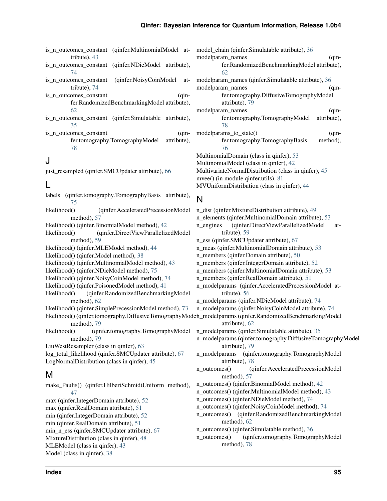- is\_n\_outcomes\_constant (qinfer.MultinomialModel at-model\_chain (qinfer.Simulatable attribute), [36](#page-38-0) tribute), [43](#page-45-0)
- is n outcomes constant (qinfer.NDieModel attribute), [74](#page-76-0)
- is n outcomes constant (qinfer.NoisyCoinModel attribute), [74](#page-76-0)
- is n outcomes constant (qinfer.RandomizedBenchmarkingModel attribute), [62](#page-64-0)
- is\_n\_outcomes\_constant (qinfer.Simulatable attribute), [35](#page-37-1)
- is\_n\_outcomes\_constant (qinfer.tomography.TomographyModel attribute), [78](#page-80-0)

## J

just resampled (qinfer.SMCUpdater attribute), [66](#page-68-1)

## L

- labels (qinfer.tomography.TomographyBasis attribute), [75](#page-77-1)
- likelihood() (qinfer.AcceleratedPrecessionModel method), [57](#page-59-0)
- likelihood() (qinfer.BinomialModel method), [42](#page-44-0)
- likelihood() (qinfer.DirectViewParallelizedModel method), [59](#page-61-0)
- likelihood() (qinfer.MLEModel method), [44](#page-46-1)
- likelihood() (qinfer.Model method), [38](#page-40-0)
- likelihood() (qinfer.MultinomialModel method), [43](#page-45-0)
- likelihood() (qinfer.NDieModel method), [75](#page-77-1)
- likelihood() (qinfer.NoisyCoinModel method), [74](#page-76-0)
- likelihood() (qinfer.PoisonedModel method), [41](#page-43-0)
- likelihood() (qinfer.RandomizedBenchmarkingModel method), [62](#page-64-0)
- likelihood() (qinfer.SimplePrecessionModel method), [73](#page-75-1)
- likelihood() (qinfer.tomography.DiffusiveTomographyModeh\_modelparams (qinfer.RandomizedBenchmarkingModel method), [79](#page-81-0) attribute), [62](#page-64-0)
- likelihood() (qinfer.tomography.TomographyModel method), [79](#page-81-0)
- LiuWestResampler (class in qinfer), [63](#page-65-0)
- log\_total\_likelihood (qinfer.SMCUpdater attribute), [67](#page-69-0) LogNormalDistribution (class in qinfer), [45](#page-47-0)

## M

make\_Paulis() (qinfer.HilbertSchmidtUniform method), [47](#page-49-0) max (qinfer.IntegerDomain attribute), [52](#page-54-0) max (qinfer.RealDomain attribute), [51](#page-53-0) min (qinfer.IntegerDomain attribute), [52](#page-54-0) min (qinfer.RealDomain attribute), [51](#page-53-0) min\_n\_ess (qinfer.SMCUpdater attribute), [67](#page-69-0) MixtureDistribution (class in qinfer), [48](#page-50-0) MLEModel (class in qinfer), [43](#page-45-0) Model (class in qinfer), [38](#page-40-0)

modelparam\_names (qinfer.RandomizedBenchmarkingModel attribute), [62](#page-64-0) modelparam\_names (qinfer.Simulatable attribute), [36](#page-38-0) modelparam\_names (qinfer.tomography.DiffusiveTomographyModel attribute), [79](#page-81-0) modelparam\_names (qinfer.tomography.TomographyModel attribute), [78](#page-80-0) modelparams\_to\_state() (qinfer.tomography.TomographyBasis method), [76](#page-78-1) MultinomialDomain (class in qinfer), [53](#page-55-0) MultinomialModel (class in qinfer), [42](#page-44-0) MultivariateNormalDistribution (class in qinfer), [45](#page-47-0) mvee() (in module qinfer.utils), [81](#page-83-1) MVUniformDistribution (class in qinfer), [44](#page-46-1)

# N

- n\_dist (qinfer.MixtureDistribution attribute), [49](#page-51-0) n\_elements (qinfer.MultinomialDomain attribute), [53](#page-55-0) n engines (qinfer.DirectViewParallelizedModel attribute), [59](#page-61-0) n\_ess (qinfer.SMCUpdater attribute), [67](#page-69-0) n\_meas (qinfer.MultinomialDomain attribute), [53](#page-55-0) n\_members (qinfer.Domain attribute), [50](#page-52-0) n\_members (qinfer.IntegerDomain attribute), [52](#page-54-0) n\_members (qinfer.MultinomialDomain attribute), [53](#page-55-0) n\_members (qinfer.RealDomain attribute), [51](#page-53-0) n\_modelparams (qinfer.AcceleratedPrecessionModel attribute), [56](#page-58-0) n\_modelparams (qinfer.NDieModel attribute), [74](#page-76-0) n\_modelparams (qinfer.NoisyCoinModel attribute), [74](#page-76-0) n\_modelparams (qinfer.Simulatable attribute), [35](#page-37-1) n\_modelparams (qinfer.tomography.DiffusiveTomographyModel attribute), [79](#page-81-0) n\_modelparams (qinfer.tomography.TomographyModel attribute), [78](#page-80-0) n\_outcomes() (qinfer.AcceleratedPrecessionModel method), [57](#page-59-0) n\_outcomes() (qinfer.BinomialModel method), [42](#page-44-0) n\_outcomes() (qinfer.MultinomialModel method), [43](#page-45-0) n\_outcomes() (qinfer.NDieModel method), [74](#page-76-0) n\_outcomes() (qinfer.NoisyCoinModel method), [74](#page-76-0) n\_outcomes() (qinfer.RandomizedBenchmarkingModel method), [62](#page-64-0) n\_outcomes() (qinfer.Simulatable method), [36](#page-38-0)
- n\_outcomes() (qinfer.tomography.TomographyModel method), [78](#page-80-0)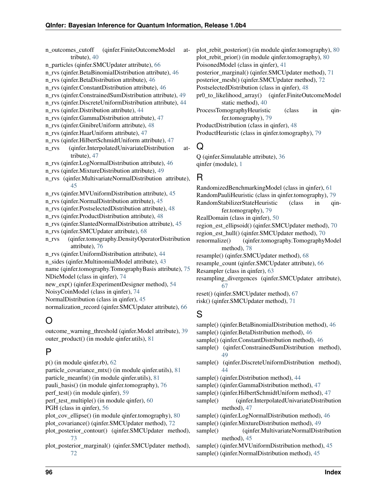n\_outcomes\_cutoff (qinfer.FiniteOutcomeModel attribute), [40](#page-42-0) n\_particles (qinfer.SMCUpdater attribute), [66](#page-68-1) n\_rvs (qinfer.BetaBinomialDistribution attribute), [46](#page-48-0) n\_rvs (qinfer.BetaDistribution attribute), [46](#page-48-0) n\_rvs (qinfer.ConstantDistribution attribute), [46](#page-48-0) n\_rvs (qinfer.ConstrainedSumDistribution attribute), [49](#page-51-0) n\_rvs (qinfer.DiscreteUniformDistribution attribute), [44](#page-46-1) n\_rvs (qinfer.Distribution attribute), [44](#page-46-1) n\_rvs (qinfer.GammaDistribution attribute), [47](#page-49-0) n\_rvs (qinfer.GinibreUniform attribute), [48](#page-50-0) n\_rvs (qinfer.HaarUniform attribute), [47](#page-49-0) n\_rvs (qinfer.HilbertSchmidtUniform attribute), [47](#page-49-0) n\_rvs (qinfer.InterpolatedUnivariateDistribution attribute), [47](#page-49-0) n\_rvs (qinfer.LogNormalDistribution attribute), [46](#page-48-0) n\_rvs (qinfer.MixtureDistribution attribute), [49](#page-51-0) n\_rvs (qinfer.MultivariateNormalDistribution attribute), [45](#page-47-0) n\_rvs (qinfer.MVUniformDistribution attribute), [45](#page-47-0) n\_rvs (qinfer.NormalDistribution attribute), [45](#page-47-0) n\_rvs (qinfer.PostselectedDistribution attribute), [48](#page-50-0) n\_rvs (qinfer.ProductDistribution attribute), [48](#page-50-0) n\_rvs (qinfer.SlantedNormalDistribution attribute), [45](#page-47-0) n\_rvs (qinfer.SMCUpdater attribute), [68](#page-70-0) n\_rvs (qinfer.tomography.DensityOperatorDistribution attribute), [76](#page-78-1) n\_rvs (qinfer.UniformDistribution attribute), [44](#page-46-1) n\_sides (qinfer.MultinomialModel attribute), [43](#page-45-0) name (qinfer.tomography.TomographyBasis attribute), [75](#page-77-1) NDieModel (class in qinfer), [74](#page-76-0) new\_exp() (qinfer.ExperimentDesigner method), [54](#page-56-0) NoisyCoinModel (class in qinfer), [74](#page-76-0) NormalDistribution (class in qinfer), [45](#page-47-0) normalization\_record (qinfer.SMCUpdater attribute), [66](#page-68-1)

# O

outcome\_warning\_threshold (qinfer.Model attribute), [39](#page-41-0) outer product() (in module qinfer.utils), [81](#page-83-1)

# P

p() (in module qinfer.rb), [62](#page-64-0) particle\_covariance\_mtx() (in module qinfer.utils), [81](#page-83-1) particle\_meanfn() (in module qinfer.utils), [81](#page-83-1) pauli\_basis() (in module qinfer.tomography), [76](#page-78-1) perf\_test() (in module qinfer), [59](#page-61-0) perf\_test\_multiple() (in module qinfer), [60](#page-62-0) PGH (class in qinfer), [56](#page-58-0) plot cov ellipse() (in module qinfer.tomography), [80](#page-82-0) plot\_covariance() (qinfer.SMCUpdater method), [72](#page-74-2) plot posterior contour() (qinfer.SMCUpdater method), [73](#page-75-1) plot\_posterior\_marginal() (qinfer.SMCUpdater method),

[72](#page-74-2)

plot rebit posterior() (in module qinfer.tomography), [80](#page-82-0) plot rebit prior() (in module qinfer.tomography), [80](#page-82-0) PoisonedModel (class in qinfer), [41](#page-43-0) posterior\_marginal() (qinfer.SMCUpdater method), [71](#page-73-1) posterior\_mesh() (qinfer.SMCUpdater method), [72](#page-74-2) PostselectedDistribution (class in qinfer), [48](#page-50-0) pr0\_to\_likelihood\_array() (qinfer.FiniteOutcomeModel static method), [40](#page-42-0) ProcessTomographyHeuristic (class in qinfer.tomography), [79](#page-81-0) ProductDistribution (class in qinfer), [48](#page-50-0) ProductHeuristic (class in qinfer.tomography), [79](#page-81-0)

# Q

Q (qinfer.Simulatable attribute), [36](#page-38-0) qinfer (module), [1](#page-3-0)

# R

RandomizedBenchmarkingModel (class in qinfer), [61](#page-63-0) RandomPauliHeuristic (class in qinfer.tomography), [79](#page-81-0) RandomStabilizerStateHeuristic (class in qinfer.tomography), [79](#page-81-0) RealDomain (class in qinfer), [50](#page-52-0) region\_est\_ellipsoid() (qinfer.SMCUpdater method), [70](#page-72-2) region\_est\_hull() (qinfer.SMCUpdater method), [70](#page-72-2) renormalize() (qinfer.tomography.TomographyModel method), [78](#page-80-0) resample() (qinfer.SMCUpdater method), [68](#page-70-0) resample\_count (qinfer.SMCUpdater attribute), [66](#page-68-1) Resampler (class in qinfer), [63](#page-65-0) resampling\_divergences (qinfer.SMCUpdater attribute), [67](#page-69-0) reset() (qinfer.SMCUpdater method), [67](#page-69-0) risk() (qinfer.SMCUpdater method), [71](#page-73-1)

# S

sample() (qinfer.BetaBinomialDistribution method), [46](#page-48-0) sample() (qinfer.BetaDistribution method), [46](#page-48-0) sample() (qinfer.ConstantDistribution method), [46](#page-48-0) sample() (qinfer.ConstrainedSumDistribution method), [49](#page-51-0) sample() (qinfer.DiscreteUniformDistribution method), [44](#page-46-1) sample() (qinfer.Distribution method), [44](#page-46-1) sample() (qinfer.GammaDistribution method), [47](#page-49-0) sample() (qinfer.HilbertSchmidtUniform method), [47](#page-49-0) sample() (qinfer.InterpolatedUnivariateDistribution method), [47](#page-49-0) sample() (qinfer.LogNormalDistribution method), [46](#page-48-0) sample() (qinfer.MixtureDistribution method), [49](#page-51-0) sample() (qinfer.MultivariateNormalDistribution method), [45](#page-47-0) sample() (qinfer.MVUniformDistribution method), [45](#page-47-0) sample() (qinfer.NormalDistribution method), [45](#page-47-0)